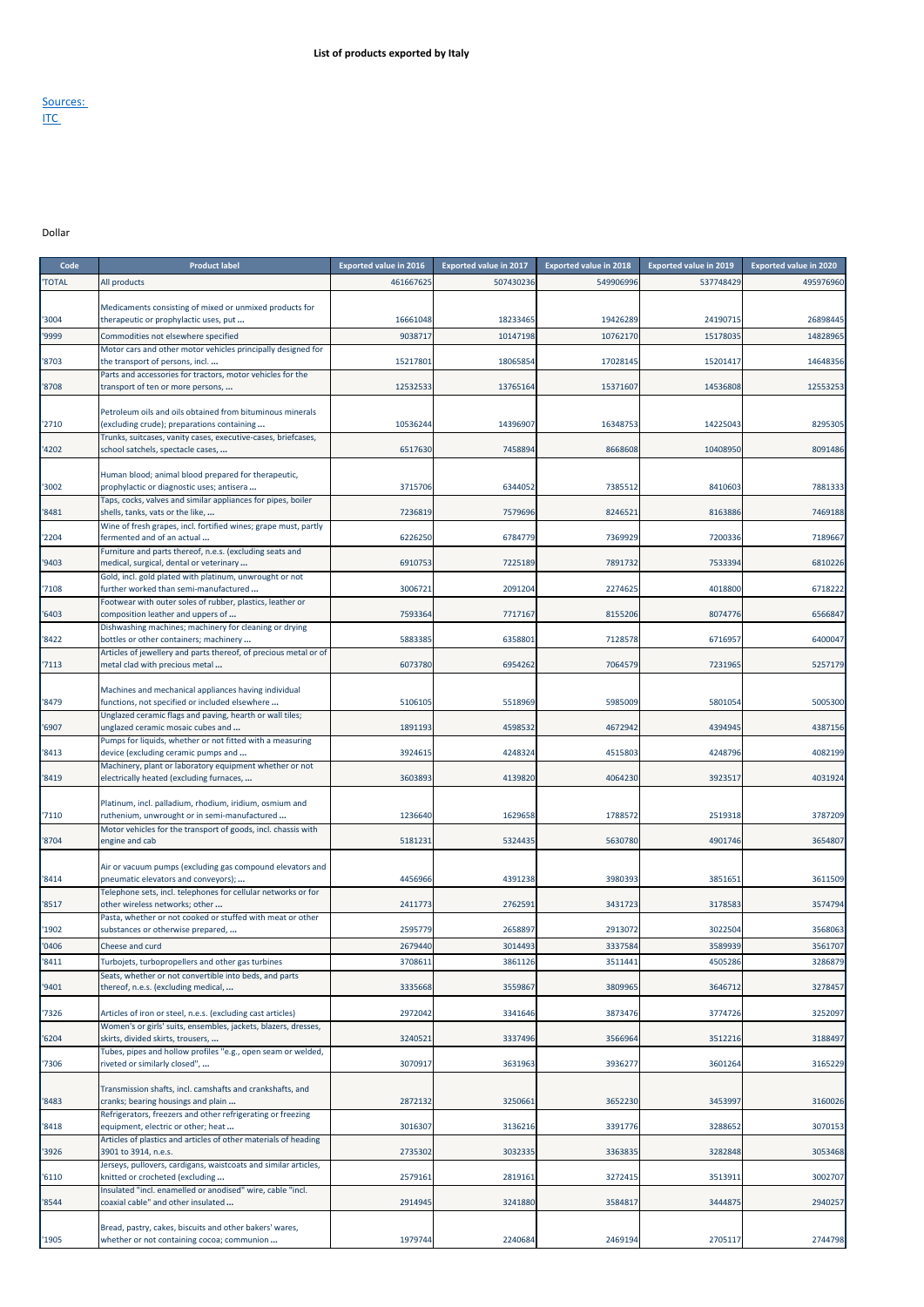## Sources: <u>ITC</u>

## Dollar

| Code         | <b>Product label</b>                                                                                        | <b>Exported value in 2016</b> | <b>Exported value in 2017</b> | <b>Exported value in 2018</b> | <b>Exported value in 2019</b> | <b>Exported value in 2020</b> |
|--------------|-------------------------------------------------------------------------------------------------------------|-------------------------------|-------------------------------|-------------------------------|-------------------------------|-------------------------------|
| <b>TOTAL</b> | All products                                                                                                | 461667625                     | 507430236                     | 549906996                     | 537748429                     | 495976960                     |
|              |                                                                                                             |                               |                               |                               |                               |                               |
| '3004        | Medicaments consisting of mixed or unmixed products for<br>therapeutic or prophylactic uses, put            | 16661048                      | 18233465                      | 19426289                      | 24190715                      | 26898445                      |
| '9999        | Commodities not elsewhere specified                                                                         | 9038717                       | 10147198                      | 10762170                      | 15178035                      | 14828965                      |
|              | Motor cars and other motor vehicles principally designed for                                                |                               |                               |                               |                               |                               |
| '8703        | the transport of persons, incl                                                                              | 15217801                      | 18065854                      | 17028145                      | 15201417                      | 14648356                      |
| '8708        | Parts and accessories for tractors, motor vehicles for the<br>transport of ten or more persons,             | 12532533                      | 13765164                      | 15371607                      | 14536808                      | 12553253                      |
|              |                                                                                                             |                               |                               |                               |                               |                               |
|              | Petroleum oils and oils obtained from bituminous minerals                                                   |                               |                               |                               |                               |                               |
| '2710        | (excluding crude); preparations containing<br>Trunks, suitcases, vanity cases, executive-cases, briefcases, | 10536244                      | 14396907                      | 16348753                      | 14225043                      | 8295305                       |
| '4202        | school satchels, spectacle cases,                                                                           | 6517630                       | 7458894                       | 8668608                       | 10408950                      | 8091486                       |
|              |                                                                                                             |                               |                               |                               |                               |                               |
|              | Human blood; animal blood prepared for therapeutic,                                                         |                               |                               |                               |                               |                               |
| '3002        | prophylactic or diagnostic uses; antisera<br>Taps, cocks, valves and similar appliances for pipes, boiler   | 3715706                       | 6344052                       | 7385512                       | 8410603                       | 7881333                       |
| '8481        | shells, tanks, vats or the like,                                                                            | 7236819                       | 7579696                       | 8246521                       | 8163886                       | 7469188                       |
|              | Wine of fresh grapes, incl. fortified wines; grape must, partly                                             |                               |                               |                               |                               |                               |
| '2204        | fermented and of an actual                                                                                  | 6226250                       | 6784779                       | 7369929                       | 7200336                       | 7189667                       |
| '9403        | Furniture and parts thereof, n.e.s. (excluding seats and<br>medical, surgical, dental or veterinary         | 6910753                       | 7225189                       | 7891732                       | 7533394                       | 6810226                       |
|              | Gold, incl. gold plated with platinum, unwrought or not                                                     |                               |                               |                               |                               |                               |
| '7108        | further worked than semi-manufactured                                                                       | 3006721                       | 2091204                       | 2274625                       | 4018800                       | 6718222                       |
| '6403        | Footwear with outer soles of rubber, plastics, leather or<br>composition leather and uppers of              | 7593364                       | 7717167                       | 8155206                       | 8074776                       | 6566847                       |
|              | Dishwashing machines; machinery for cleaning or drying                                                      |                               |                               |                               |                               |                               |
| '8422        | bottles or other containers; machinery                                                                      | 5883385                       | 6358801                       | 7128578                       | 6716957                       | 6400047                       |
| '7113        | Articles of jewellery and parts thereof, of precious metal or of                                            | 6073780                       | 6954262                       | 7064579                       | 7231965                       | 5257179                       |
|              | metal clad with precious metal                                                                              |                               |                               |                               |                               |                               |
|              | Machines and mechanical appliances having individual                                                        |                               |                               |                               |                               |                               |
| '8479        | functions, not specified or included elsewhere                                                              | 5106105                       | 5518969                       | 5985009                       | 5801054                       | 5005300                       |
| '6907        | Unglazed ceramic flags and paving, hearth or wall tiles;<br>unglazed ceramic mosaic cubes and               | 1891193                       | 4598532                       | 4672942                       | 4394945                       | 4387156                       |
|              | Pumps for liquids, whether or not fitted with a measuring                                                   |                               |                               |                               |                               |                               |
| '8413        | device (excluding ceramic pumps and                                                                         | 3924615                       | 4248324                       | 4515803                       | 4248796                       | 4082199                       |
| '8419        | Machinery, plant or laboratory equipment whether or not<br>electrically heated (excluding furnaces,         | 3603893                       | 4139820                       | 4064230                       | 3923517                       | 4031924                       |
|              |                                                                                                             |                               |                               |                               |                               |                               |
|              | Platinum, incl. palladium, rhodium, iridium, osmium and                                                     |                               |                               |                               |                               |                               |
| '7110        | ruthenium, unwrought or in semi-manufactured                                                                | 1236640                       | 1629658                       | 1788572                       | 2519318                       | 3787209                       |
| '8704        | Motor vehicles for the transport of goods, incl. chassis with<br>engine and cab                             | 5181231                       | 5324435                       | 5630780                       | 4901746                       | 3654807                       |
|              |                                                                                                             |                               |                               |                               |                               |                               |
|              | Air or vacuum pumps (excluding gas compound elevators and                                                   |                               |                               |                               |                               |                               |
| '8414        | pneumatic elevators and conveyors);<br>Telephone sets, incl. telephones for cellular networks or for        | 4456966                       | 4391238                       | 3980393                       | 3851651                       | 3611509                       |
| '8517        | other wireless networks; other                                                                              | 2411773                       | 2762591                       | 3431723                       | 3178583                       | 3574794                       |
|              | Pasta, whether or not cooked or stuffed with meat or other                                                  |                               |                               |                               |                               |                               |
| '1902        | substances or otherwise prepared,                                                                           | 2595779                       | 2658897                       | 2913072                       | 3022504                       | 3568063                       |
| '0406        | Cheese and curd                                                                                             | 2679440                       | 3014493                       | 3337584                       | 3589939                       | 3561707                       |
| '8411        | Turbojets, turbopropellers and other gas turbines                                                           | 3708611                       | 3861126                       | 3511441                       | 4505286                       | 3286879                       |
| '9401        | Seats, whether or not convertible into beds, and parts<br>thereof, n.e.s. (excluding medical,               | 3335668                       | 3559867                       | 3809965                       | 3646712                       | 3278457                       |
|              |                                                                                                             |                               |                               |                               |                               |                               |
| '7326        | Articles of iron or steel, n.e.s. (excluding cast articles)                                                 | 2972042                       | 3341646                       | 3873476                       | 3774726                       | 3252097                       |
|              | Women's or girls' suits, ensembles, jackets, blazers, dresses,                                              |                               |                               |                               |                               |                               |
| '6204        | skirts, divided skirts, trousers,<br>Tubes, pipes and hollow profiles "e.g., open seam or welded,           | 3240521                       | 3337496                       | 3566964                       | 3512216                       | 3188497                       |
| '7306        | riveted or similarly closed",                                                                               | 3070917                       | 3631963                       | 3936277                       | 3601264                       | 3165229                       |
|              |                                                                                                             |                               |                               |                               |                               |                               |
|              | Transmission shafts, incl. camshafts and crankshafts, and                                                   |                               |                               |                               |                               |                               |
| '8483        | cranks; bearing housings and plain<br>Refrigerators, freezers and other refrigerating or freezing           | 2872132                       | 3250661                       | 3652230                       | 3453997                       | 3160026                       |
| '8418        | equipment, electric or other; heat                                                                          | 3016307                       | 3136216                       | 3391776                       | 3288652                       | 3070153                       |
|              | Articles of plastics and articles of other materials of heading                                             |                               |                               |                               |                               |                               |
| '3926        | 3901 to 3914, n.e.s.                                                                                        | 2735302                       | 3032335                       | 3363835                       | 3282848                       | 3053468                       |
| '6110        | Jerseys, pullovers, cardigans, waistcoats and similar articles,<br>knitted or crocheted (excluding          | 2579161                       | 2819161                       | 3272415                       | 3513911                       | 3002707                       |
|              | Insulated "incl. enamelled or anodised" wire, cable "incl.                                                  |                               |                               |                               |                               |                               |
| '8544        | coaxial cable" and other insulated                                                                          | 2914945                       | 3241880                       | 3584817                       | 3444875                       | 2940257                       |
|              | Bread, pastry, cakes, biscuits and other bakers' wares,                                                     |                               |                               |                               |                               |                               |
| '1905        | whether or not containing cocoa; communion                                                                  | 1979744                       | 2240684                       | 2469194                       | 2705117                       | 2744798                       |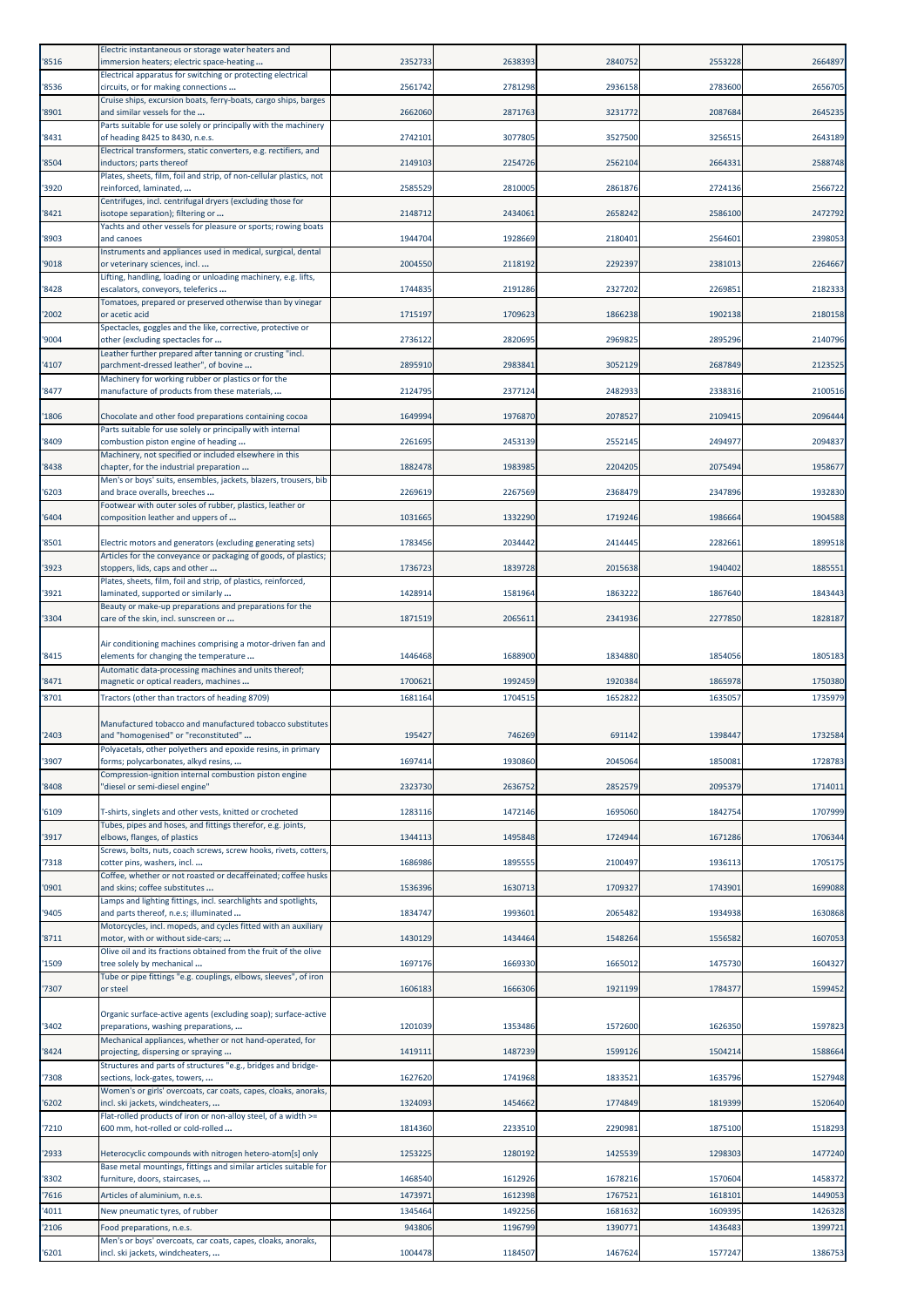| '8516          | Electric instantaneous or storage water heaters and<br>immersion heaters; electric space-heating                             | 2352733            | 2638393            | 2840752            | 2553228            | 2664897            |
|----------------|------------------------------------------------------------------------------------------------------------------------------|--------------------|--------------------|--------------------|--------------------|--------------------|
| '8536          | Electrical apparatus for switching or protecting electrical<br>circuits, or for making connections                           | 2561742            | 2781298            | 2936158            | 2783600            | 2656705            |
| '8901          | Cruise ships, excursion boats, ferry-boats, cargo ships, barges<br>and similar vessels for the                               | 2662060            | 2871763            | 3231772            | 2087684            | 2645235            |
| '8431          | Parts suitable for use solely or principally with the machinery<br>of heading 8425 to 8430, n.e.s.                           | 2742101            | 3077805            | 3527500            | 3256515            | 2643189            |
| '8504          | Electrical transformers, static converters, e.g. rectifiers, and<br>inductors; parts thereof                                 | 2149103            | 2254726            | 2562104            | 2664331            | 2588748            |
| '3920          | Plates, sheets, film, foil and strip, of non-cellular plastics, not<br>reinforced, laminated,                                | 2585529            | 2810005            | 2861876            | 2724136            | 2566722            |
| '8421          | Centrifuges, incl. centrifugal dryers (excluding those for<br>isotope separation); filtering or                              | 2148712            | 2434061            | 2658242            | 2586100            | 2472792            |
| '8903          | Yachts and other vessels for pleasure or sports; rowing boats<br>and canoes                                                  | 1944704            | 1928669            | 2180401            | 2564601            | 2398053            |
| '9018          | Instruments and appliances used in medical, surgical, dental<br>or veterinary sciences, incl.                                | 2004550            | 2118192            | 2292397            | 2381013            | 2264667            |
| '8428          | Lifting, handling, loading or unloading machinery, e.g. lifts,<br>escalators, conveyors, teleferics                          | 1744835            | 2191286            | 2327202            | 2269851            | 2182333            |
| '2002          | Tomatoes, prepared or preserved otherwise than by vinegar<br>or acetic acid                                                  | 1715197            | 1709623            | 1866238            | 1902138            | 2180158            |
| '9004          | Spectacles, goggles and the like, corrective, protective or<br>other (excluding spectacles for                               | 2736122            | 2820695            | 2969825            | 2895296            | 2140796            |
| '4107          | Leather further prepared after tanning or crusting "incl.<br>parchment-dressed leather", of bovine                           | 2895910            | 2983841            | 3052129            | 2687849            | 2123525            |
| '8477          | Machinery for working rubber or plastics or for the<br>manufacture of products from these materials,                         | 2124795            | 2377124            | 2482933            | 2338316            | 2100516            |
| '1806          | Chocolate and other food preparations containing cocoa                                                                       | 1649994            | 1976870            | 2078527            | 2109415            | 2096444            |
| '8409          | Parts suitable for use solely or principally with internal<br>combustion piston engine of heading                            | 2261695            | 2453139            | 2552145            | 2494977            | 2094837            |
| '8438          | Machinery, not specified or included elsewhere in this<br>chapter, for the industrial preparation                            | 1882478            | 1983985            | 2204205            | 2075494            | 1958677            |
| '6203          | Men's or boys' suits, ensembles, jackets, blazers, trousers, bib<br>and brace overalls, breeches                             | 2269619            | 2267569            | 2368479            | 2347896            | 1932830            |
| '6404          | Footwear with outer soles of rubber, plastics, leather or<br>composition leather and uppers of                               | 1031665            | 1332290            | 1719246            | 1986664            | 1904588            |
| '8501          | Electric motors and generators (excluding generating sets)                                                                   | 1783456            | 2034442            | 2414445            | 2282661            | 1899518            |
| '3923          | Articles for the conveyance or packaging of goods, of plastics;<br>stoppers, lids, caps and other                            | 1736723            | 1839728            | 2015638            | 1940402            | 1885551            |
| '3921          | Plates, sheets, film, foil and strip, of plastics, reinforced,<br>laminated, supported or similarly                          | 1428914            | 1581964            | 1863222            | 1867640            | 1843443            |
| '3304          | Beauty or make-up preparations and preparations for the<br>care of the skin, incl. sunscreen or                              | 1871519            | 2065611            | 2341936            | 2277850            | 1828187            |
| '8415          | Air conditioning machines comprising a motor-driven fan and<br>elements for changing the temperature                         | 1446468            | 1688900            | 1834880            | 1854056            | 1805183            |
| '8471          | Automatic data-processing machines and units thereof;<br>magnetic or optical readers, machines                               | 1700621            | 1992459            | 1920384            | 1865978            | 1750380            |
| '8701          | Tractors (other than tractors of heading 8709)                                                                               | 1681164            | 1704515            | 1652822            | 1635057            | 1735979            |
|                | Manufactured tobacco and manufactured tobacco substitutes                                                                    |                    |                    |                    |                    |                    |
| '2403          | and "homogenised" or "reconstituted"<br>Polyacetals, other polyethers and epoxide resins, in primary                         | 195427             | 746269             | 691142             | 1398447            | 1732584            |
| '3907          | forms; polycarbonates, alkyd resins,<br>Compression-ignition internal combustion piston engine                               | 1697414            | 1930860            | 2045064            | 1850081            | 1728783            |
| '8408          | "diesel or semi-diesel engine"                                                                                               | 2323730            | 2636752            | 2852579            | 2095379            | 1714011<br>1707999 |
| '6109          | T-shirts, singlets and other vests, knitted or crocheted<br>Tubes, pipes and hoses, and fittings therefor, e.g. joints,      | 1283116            | 1472146            | 1695060            | 1842754            |                    |
| '3917<br>'7318 | elbows, flanges, of plastics<br>Screws, bolts, nuts, coach screws, screw hooks, rivets, cotters,                             | 1344113<br>1686986 | 1495848<br>1895555 | 1724944<br>2100497 | 1671286<br>1936113 | 1706344<br>1705175 |
| '0901          | cotter pins, washers, incl<br>Coffee, whether or not roasted or decaffeinated; coffee husks<br>and skins; coffee substitutes | 1536396            | 1630713            | 1709327            | 1743901            | 1699088            |
| '9405          | Lamps and lighting fittings, incl. searchlights and spotlights,<br>and parts thereof, n.e.s; illuminated                     | 1834747            | 1993601            | 2065482            | 1934938            | 1630868            |
| '8711          | Motorcycles, incl. mopeds, and cycles fitted with an auxiliary<br>motor, with or without side-cars;                          | 1430129            | 1434464            | 1548264            | 1556582            | 1607053            |
| '1509          | Olive oil and its fractions obtained from the fruit of the olive<br>tree solely by mechanical                                | 1697176            | 1669330            | 1665012            | 1475730            | 1604327            |
| '7307          | Tube or pipe fittings "e.g. couplings, elbows, sleeves", of iron<br>or steel                                                 | 1606183            | 1666306            | 1921199            | 1784377            | 1599452            |
|                | Organic surface-active agents (excluding soap); surface-active                                                               |                    |                    |                    |                    |                    |
| '3402          | preparations, washing preparations,<br>Mechanical appliances, whether or not hand-operated, for                              | 1201039            | 1353486            | 1572600            | 1626350            | 1597823            |
| '8424          | projecting, dispersing or spraying<br>Structures and parts of structures "e.g., bridges and bridge-                          | 1419111            | 1487239            | 1599126            | 1504214            | 1588664            |
| '7308          | sections, lock-gates, towers,<br>Women's or girls' overcoats, car coats, capes, cloaks, anoraks,                             | 1627620            | 1741968            | 1833521            | 1635796            | 1527948            |
| '6202          | incl. ski jackets, windcheaters,<br>Flat-rolled products of iron or non-alloy steel, of a width >=                           | 1324093            | 1454662            | 1774849            | 1819399            | 1520640            |
| '7210          | 600 mm, hot-rolled or cold-rolled                                                                                            | 1814360            | 2233510            | 2290981            | 1875100            | 1518293            |
| '2933          | Heterocyclic compounds with nitrogen hetero-atom[s] only<br>Base metal mountings, fittings and similar articles suitable for | 1253225            | 1280192            | 1425539            | 1298303            | 1477240            |
| '8302<br>'7616 | furniture, doors, staircases,<br>Articles of aluminium, n.e.s.                                                               | 1468540<br>147397: | 1612926<br>1612398 | 1678216<br>1767521 | 1570604<br>1618101 | 1458372<br>1449053 |
| '4011          | New pneumatic tyres, of rubber                                                                                               | 1345464            | 1492256            | 1681632            | 1609395            | 1426328            |
| '2106          | Food preparations, n.e.s.                                                                                                    | 943806             | 1196799            | 1390771            | 1436483            | 1399721            |
| '6201          | Men's or boys' overcoats, car coats, capes, cloaks, anoraks,<br>incl. ski jackets, windcheaters,                             | 1004478            | 1184507            | 1467624            | 1577247            | 1386753            |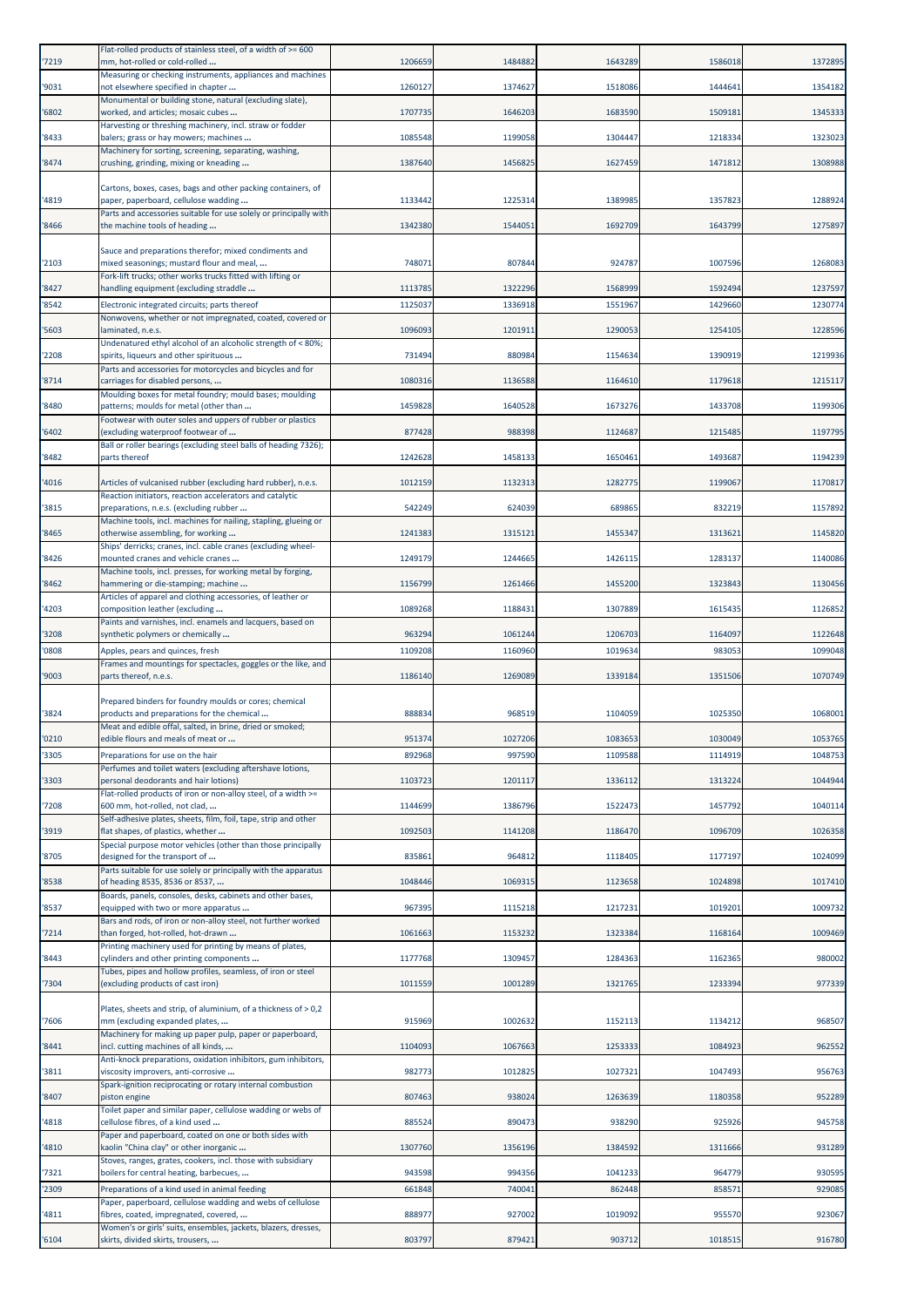| '7219          | Flat-rolled products of stainless steel, of a width of >= 600<br>mm, hot-rolled or cold-rolled                            | 1206659           | 1484882            | 1643289            | 1586018            | 1372895            |
|----------------|---------------------------------------------------------------------------------------------------------------------------|-------------------|--------------------|--------------------|--------------------|--------------------|
| '9031          | Measuring or checking instruments, appliances and machines<br>not elsewhere specified in chapter                          | 1260127           | 1374627            | 1518086            | 1444641            | 1354182            |
| '6802          | Monumental or building stone, natural (excluding slate),<br>worked, and articles; mosaic cubes                            | 1707735           | 1646203            | 1683590            | 1509181            | 1345333            |
| '8433          | Harvesting or threshing machinery, incl. straw or fodder<br>balers; grass or hay mowers; machines                         | 1085548           | 1199058            | 1304447            | 1218334            | 1323023            |
| '8474          | Machinery for sorting, screening, separating, washing,<br>crushing, grinding, mixing or kneading                          | 1387640           | 1456825            | 1627459            | 1471812            | 1308988            |
|                |                                                                                                                           |                   |                    |                    |                    |                    |
| '4819          | Cartons, boxes, cases, bags and other packing containers, of<br>paper, paperboard, cellulose wadding                      | 1133442           | 1225314            | 1389985            | 1357823            | 1288924            |
| '8466          | Parts and accessories suitable for use solely or principally with<br>the machine tools of heading                         | 1342380           | 1544051            | 1692709            | 1643799            | 1275897            |
|                | Sauce and preparations therefor; mixed condiments and                                                                     |                   |                    |                    |                    |                    |
| '2103          | mixed seasonings; mustard flour and meal,<br>Fork-lift trucks; other works trucks fitted with lifting or                  | 748071            | 807844             | 924787             | 1007596            | 1268083            |
| '8427<br>'8542 | handling equipment (excluding straddle<br>Electronic integrated circuits; parts thereof                                   | 1113785<br>112503 | 1322296<br>1336918 | 1568999<br>1551967 | 1592494<br>1429660 | 1237597<br>1230774 |
| '5603          | Nonwovens, whether or not impregnated, coated, covered or<br>laminated, n.e.s.                                            | 1096093           | 1201911            | 1290053            | 1254105            | 1228596            |
|                | Undenatured ethyl alcohol of an alcoholic strength of < 80%;                                                              |                   |                    |                    |                    | 1219936            |
| 2208           | spirits, liqueurs and other spirituous<br>Parts and accessories for motorcycles and bicycles and for                      | 731494            | 880984             | 1154634            | 1390919            |                    |
| '8714          | carriages for disabled persons,<br>Moulding boxes for metal foundry; mould bases; moulding                                | 1080316           | 1136588            | 1164610            | 1179618            | 1215117            |
| '8480          | patterns; moulds for metal (other than<br>Footwear with outer soles and uppers of rubber or plastics                      | 1459828           | 1640528            | 1673276            | 1433708            | 1199306            |
| 6402           | (excluding waterproof footwear of<br>Ball or roller bearings (excluding steel balls of heading 7326);                     | 877428            | 988398             | 1124687            | 1215485            | 1197795            |
| '8482          | parts thereof                                                                                                             | 1242628           | 1458133            | 1650461            | 1493687            | 1194239            |
| 4016           | Articles of vulcanised rubber (excluding hard rubber), n.e.s.<br>Reaction initiators, reaction accelerators and catalytic | 1012159           | 1132313            | 1282775            | 1199067            | 1170817            |
| '3815          | preparations, n.e.s. (excluding rubber                                                                                    | 542249            | 624039             | 689865             | 832219             | 1157892            |
| '8465          | Machine tools, incl. machines for nailing, stapling, glueing or<br>otherwise assembling, for working                      | 1241383           | 1315121            | 1455347            | 1313621            | 1145820            |
| '8426          | Ships' derricks; cranes, incl. cable cranes (excluding wheel-<br>mounted cranes and vehicle cranes                        | 1249179           | 1244665            | 1426115            | 1283137            | 1140086            |
| '8462          | Machine tools, incl. presses, for working metal by forging,<br>hammering or die-stamping; machine                         | 1156799           | 1261466            | 1455200            | 1323843            | 1130456            |
| '4203          | Articles of apparel and clothing accessories, of leather or<br>composition leather (excluding                             | 1089268           | 1188431            | 1307889            | 1615435            | 1126852            |
| '3208          | Paints and varnishes, incl. enamels and lacquers, based on<br>synthetic polymers or chemically                            | 963294            | 1061244            | 1206703            | 1164097            | 1122648            |
| '0808          | Apples, pears and quinces, fresh                                                                                          | 1109208           | 1160960            | 1019634            | 983053             | 1099048            |
|                |                                                                                                                           |                   |                    |                    |                    |                    |
| '9003          | Frames and mountings for spectacles, goggles or the like, and<br>parts thereof, n.e.s.                                    | 1186140           | 1269089            | 1339184            | 1351506            | 1070749            |
| '3824          | Prepared binders for foundry moulds or cores; chemical<br>products and preparations for the chemical                      | 888834            | 968519             | 1104059            | 1025350            | 1068001            |
| '0210          | Meat and edible offal, salted, in brine, dried or smoked;<br>edible flours and meals of meat or                           | 951374            | 1027206            | 1083653            | 1030049            | 1053765            |
| '3305          | Preparations for use on the hair                                                                                          | 892968            | 997590             | 1109588            | 1114919            | 1048753            |
| '3303          | Perfumes and toilet waters (excluding aftershave lotions,<br>personal deodorants and hair lotions)                        | 1103723           | 1201117            | 1336112            | 1313224            | 1044944            |
| '7208          | Flat-rolled products of iron or non-alloy steel, of a width >=<br>600 mm, hot-rolled, not clad,                           | 1144699           | 1386796            | 1522473            | 1457792            | 1040114            |
| '3919          | Self-adhesive plates, sheets, film, foil, tape, strip and other<br>flat shapes, of plastics, whether                      | 1092503           | 1141208            | 1186470            | 1096709            | 1026358            |
| '8705          | Special purpose motor vehicles (other than those principally<br>designed for the transport of                             | 835861            | 964812             | 1118405            | 1177197            | 1024099            |
| 8538           | Parts suitable for use solely or principally with the apparatus<br>of heading 8535, 8536 or 8537,                         | 1048446           | 1069315            | 1123658            | 1024898            | 1017410            |
| '8537          | Boards, panels, consoles, desks, cabinets and other bases,<br>equipped with two or more apparatus                         | 967395            | 1115218            | 1217231            | 1019201            | 1009732            |
| 7214           | Bars and rods, of iron or non-alloy steel, not further worked<br>than forged, hot-rolled, hot-drawn                       | 106166            | 1153232            | 1323384            | 1168164            | 1009469            |
| '8443          | Printing machinery used for printing by means of plates,<br>cylinders and other printing components                       | 1177768           | 1309457            | 1284363            | 1162365            | 980002             |
| '7304          | Tubes, pipes and hollow profiles, seamless, of iron or steel<br>(excluding products of cast iron)                         | 1011559           | 1001289            | 1321765            | 1233394            | 977339             |
| '7606          | Plates, sheets and strip, of aluminium, of a thickness of > 0,2<br>mm (excluding expanded plates,                         | 915969            | 1002632            | 1152113            | 1134212            | 968507             |
| '8441          | Machinery for making up paper pulp, paper or paperboard,<br>incl. cutting machines of all kinds,                          | 110409            | 1067663            | 1253333            | 1084923            | 962552             |
| '3811          | Anti-knock preparations, oxidation inhibitors, gum inhibitors,<br>viscosity improvers, anti-corrosive                     | 982773            | 1012825            | 1027321            | 1047493            | 956763             |
| '8407          | Spark-ignition reciprocating or rotary internal combustion<br>piston engine                                               | 807463            | 938024             | 1263639            | 1180358            | 952289             |
| 4818           | Toilet paper and similar paper, cellulose wadding or webs of<br>cellulose fibres, of a kind used                          | 885524            | 890473             | 938290             | 925926             | 945758             |
|                | Paper and paperboard, coated on one or both sides with                                                                    |                   |                    |                    |                    |                    |
| 4810           | kaolin "China clay" or other inorganic<br>Stoves, ranges, grates, cookers, incl. those with subsidiary                    | 1307760           | 1356196            | 1384592            | 1311666            | 931289             |
| '7321<br>2309  | boilers for central heating, barbecues,<br>Preparations of a kind used in animal feeding                                  | 943598<br>661848  | 994356<br>740041   | 1041233<br>862448  | 964779<br>858571   | 930595<br>929085   |
| 4811           | Paper, paperboard, cellulose wadding and webs of cellulose<br>fibres, coated, impregnated, covered,                       | 888977            | 927002             | 1019092            | 955570             | 923067             |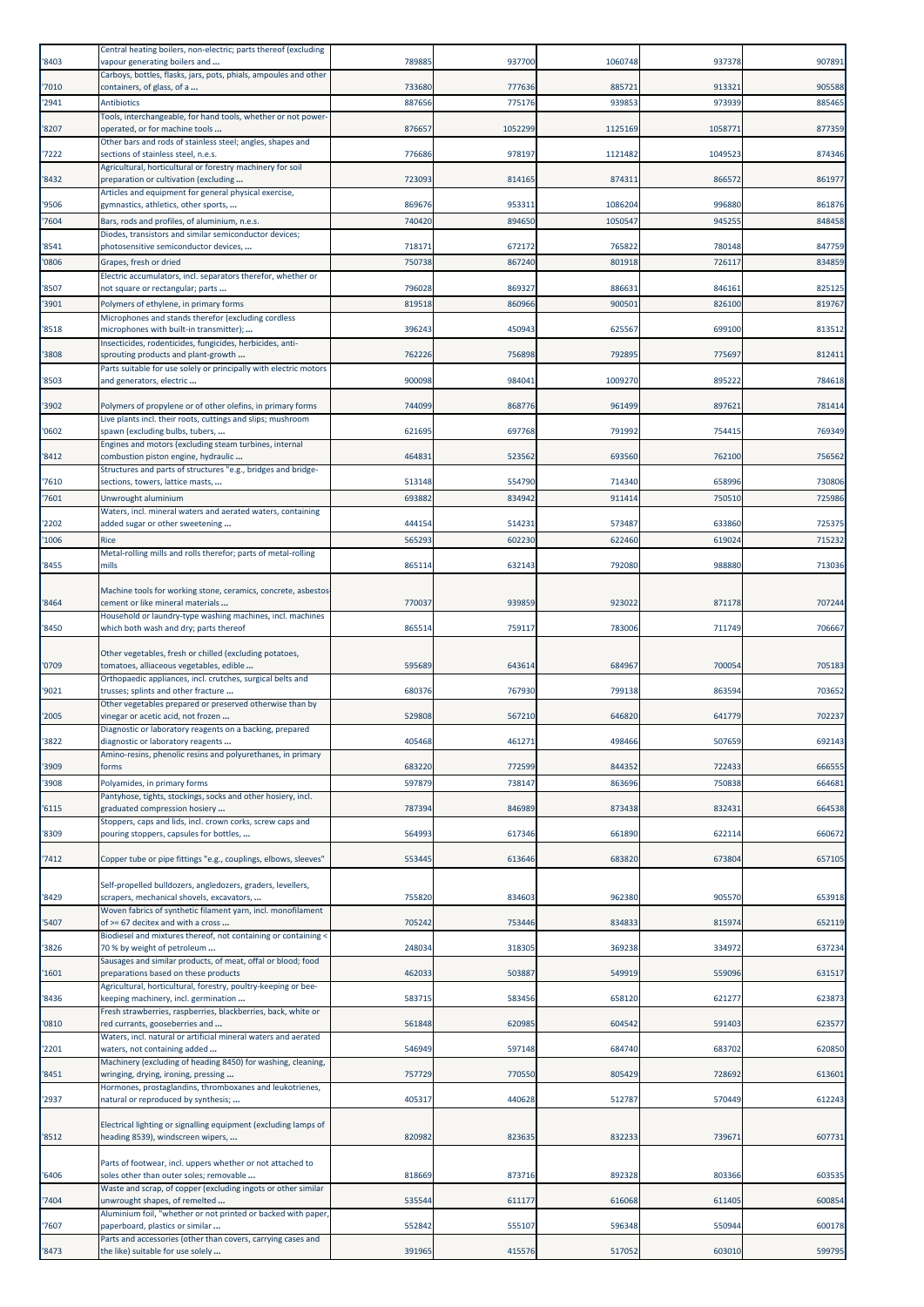| '8403          | Central heating boilers, non-electric; parts thereof (excluding<br>vapour generating boilers and         | 789885           | 937700           | 1060748          | 937378           | 907891           |
|----------------|----------------------------------------------------------------------------------------------------------|------------------|------------------|------------------|------------------|------------------|
|                | Carboys, bottles, flasks, jars, pots, phials, ampoules and other                                         |                  |                  |                  |                  |                  |
| '7010<br>'2941 | containers, of glass, of a<br><b>Antibiotics</b>                                                         | 733680<br>887656 | 777636<br>775176 | 885721<br>939853 | 913321<br>973939 | 905588<br>885465 |
|                | Tools, interchangeable, for hand tools, whether or not power-                                            |                  |                  |                  |                  |                  |
| '8207          | operated, or for machine tools<br>Other bars and rods of stainless steel; angles, shapes and             | 876657           | 1052299          | 1125169          | 1058771          | 877359           |
| '7222          | sections of stainless steel, n.e.s.<br>Agricultural, horticultural or forestry machinery for soil        | 776686           | 978197           | 1121482          | 1049523          | 874346           |
| '8432          | preparation or cultivation (excluding                                                                    | 723093           | 814165           | 874311           | 866572           | 861977           |
| '9506          | Articles and equipment for general physical exercise,<br>gymnastics, athletics, other sports,            | 869676           | 953311           | 1086204          | 996880           | 861876           |
| '7604          | Bars, rods and profiles, of aluminium, n.e.s.                                                            | 740420           | 894650           | 1050547          | 945255           | 848458           |
| '8541          | Diodes, transistors and similar semiconductor devices;<br>photosensitive semiconductor devices,          | 718171           | 672172           | 765822           | 780148           | 847759           |
| '0806          | Grapes, fresh or dried                                                                                   | 750738           | 867240           | 801918           | 726117           | 834859           |
| '8507          | Electric accumulators, incl. separators therefor, whether or<br>not square or rectangular; parts         | 796028           | 869327           | 886631           | 846161           | 825125           |
| '3901          | Polymers of ethylene, in primary forms                                                                   | 819518           | 860966           | 900501           | 826100           | 819767           |
| '8518          | Microphones and stands therefor (excluding cordless<br>microphones with built-in transmitter);           | 396243           | 450943           | 625567           | 699100           | 813512           |
|                | Insecticides, rodenticides, fungicides, herbicides, anti-                                                |                  |                  |                  |                  |                  |
| '3808          | sprouting products and plant-growth<br>Parts suitable for use solely or principally with electric motors | 762226           | 756898           | 792895           | 775697           | 812411           |
| '8503          | and generators, electric                                                                                 | 900098           | 984041           | 1009270          | 895222           | 784618           |
| '3902          | Polymers of propylene or of other olefins, in primary forms                                              | 74409            | 868776           | 961499           | 897621           | 781414           |
| '0602          | Live plants incl. their roots, cuttings and slips; mushroom<br>spawn (excluding bulbs, tubers,           | 621695           | 697768           | 791992           | 754415           | 769349           |
|                | Engines and motors (excluding steam turbines, internal                                                   |                  |                  |                  |                  |                  |
| '8412          | combustion piston engine, hydraulic<br>Structures and parts of structures "e.g., bridges and bridge-     | 46483            | 523562           | 693560           | 762100           | 756562           |
| 7610           | sections, towers, lattice masts,                                                                         | 513148           | 554790           | 714340           | 658996           | 730806           |
| '7601          | Unwrought aluminium<br>Waters, incl. mineral waters and aerated waters, containing                       | 693882           | 834942           | 911414           | 750510           | 725986           |
| '2202          | added sugar or other sweetening                                                                          | 444154           | 514231           | 573487           | 633860           | 725375           |
| '1006          | Rice<br>Metal-rolling mills and rolls therefor; parts of metal-rolling                                   | 565293           | 602230           | 622460           | 619024           | 715232           |
| '8455          | mills                                                                                                    | 865114           | 632143           | 792080           | 988880           | 713036           |
|                | Machine tools for working stone, ceramics, concrete, asbestos                                            |                  |                  |                  |                  |                  |
| '8464          | cement or like mineral materials                                                                         | 770037           | 939859           | 923022           | 871178           | 707244           |
| '8450          | Household or laundry-type washing machines, incl. machines<br>which both wash and dry; parts thereof     | 865514           | 759117           | 783006           | 711749           | 706667           |
|                | Other vegetables, fresh or chilled (excluding potatoes,                                                  |                  |                  |                  |                  |                  |
| '0709          | tomatoes, alliaceous vegetables, edible                                                                  | 595689           | 643614           | 684967           | 700054           | 705183           |
| '9021          | Orthopaedic appliances, incl. crutches, surgical belts and<br>trusses; splints and other fracture        | 680376           | 767930           | 799138           | 863594           | 703652           |
| '2005          | Other vegetables prepared or preserved otherwise than by<br>vinegar or acetic acid, not frozen           | 529808           | 567210           | 646820           | 641779           | 702237           |
|                | Diagnostic or laboratory reagents on a backing, prepared                                                 |                  |                  |                  |                  |                  |
| 3822           | diagnostic or laboratory reagents<br>Amino-resins, phenolic resins and polyurethanes, in primary         | 405468           | 461271           | 498466           | 507659           | 69214:           |
| '3909          | forms                                                                                                    | 683220           | 772599           | 844352           | 722433           | 666555           |
| '3908          | Polyamides, in primary forms<br>Pantyhose, tights, stockings, socks and other hosiery, incl.             | 597879           | 738147           | 863696           | 750838           | 664681           |
| '6115          | graduated compression hosiery                                                                            | 787394           | 846989           | 873438           | 832431           | 664538           |
| '8309          | Stoppers, caps and lids, incl. crown corks, screw caps and<br>pouring stoppers, capsules for bottles,    | 564993           | 617346           | 661890           | 622114           | 660672           |
| '7412          |                                                                                                          | 553445           | 613646           | 683820           | 673804           | 657105           |
|                | Copper tube or pipe fittings "e.g., couplings, elbows, sleeves"                                          |                  |                  |                  |                  |                  |
| '8429          | Self-propelled bulldozers, angledozers, graders, levellers,<br>scrapers, mechanical shovels, excavators, | 755820           | 834603           | 962380           | 905570           | 653918           |
|                | Woven fabrics of synthetic filament yarn, incl. monofilament                                             |                  |                  |                  |                  |                  |
| '5407          | of >= 67 decitex and with a cross<br>Biodiesel and mixtures thereof, not containing or containing <      | 705242           | 753446           | 834833           | 815974           | 652119           |
| '3826          | 70 % by weight of petroleum                                                                              | 248034           | 318305           | 369238           | 334972           | 637234           |
| '1601          | Sausages and similar products, of meat, offal or blood; food<br>preparations based on these products     | 462033           | 503887           | 549919           | 559096           | 631517           |
| '8436          | Agricultural, horticultural, forestry, poultry-keeping or bee-<br>keeping machinery, incl. germination   | 583715           | 583456           | 658120           | 621277           | 623873           |
|                | Fresh strawberries, raspberries, blackberries, back, white or                                            |                  |                  |                  |                  |                  |
| '0810          | red currants, gooseberries and<br>Waters, incl. natural or artificial mineral waters and aerated         | 561848           | 620985           | 604542           | 591403           | 623577           |
| '2201          | waters, not containing added<br>Machinery (excluding of heading 8450) for washing, cleaning,             | 546949           | 597148           | 684740           | 683702           | 620850           |
| '8451          | wringing, drying, ironing, pressing                                                                      | 757729           | 770550           | 805429           | 728692           | 613601           |
| '2937          | Hormones, prostaglandins, thromboxanes and leukotrienes,<br>natural or reproduced by synthesis;          | 405317           | 440628           | 512787           | 570449           | 612243           |
|                |                                                                                                          |                  |                  |                  |                  |                  |
| '8512          | Electrical lighting or signalling equipment (excluding lamps of<br>heading 8539), windscreen wipers,     | 820982           | 823635           | 832233           | 739671           | 607731           |
|                | Parts of footwear, incl. uppers whether or not attached to                                               |                  |                  |                  |                  |                  |
| '6406          | soles other than outer soles; removable                                                                  | 818669           | 873716           | 892328           | 803366           | 603535           |
| '7404          | Waste and scrap, of copper (excluding ingots or other similar<br>unwrought shapes, of remelted           | 535544           | 611177           | 616068           | 611405           | 600854           |
|                | Aluminium foil, "whether or not printed or backed with paper,                                            |                  |                  |                  |                  |                  |
| '7607          | paperboard, plastics or similar<br>Parts and accessories (other than covers, carrying cases and          | 552842           | 555107           | 596348           | 550944           | 600178           |
| '8473          | the like) suitable for use solely                                                                        | 391965           | 415576           | 517052           | 603010           | 599795           |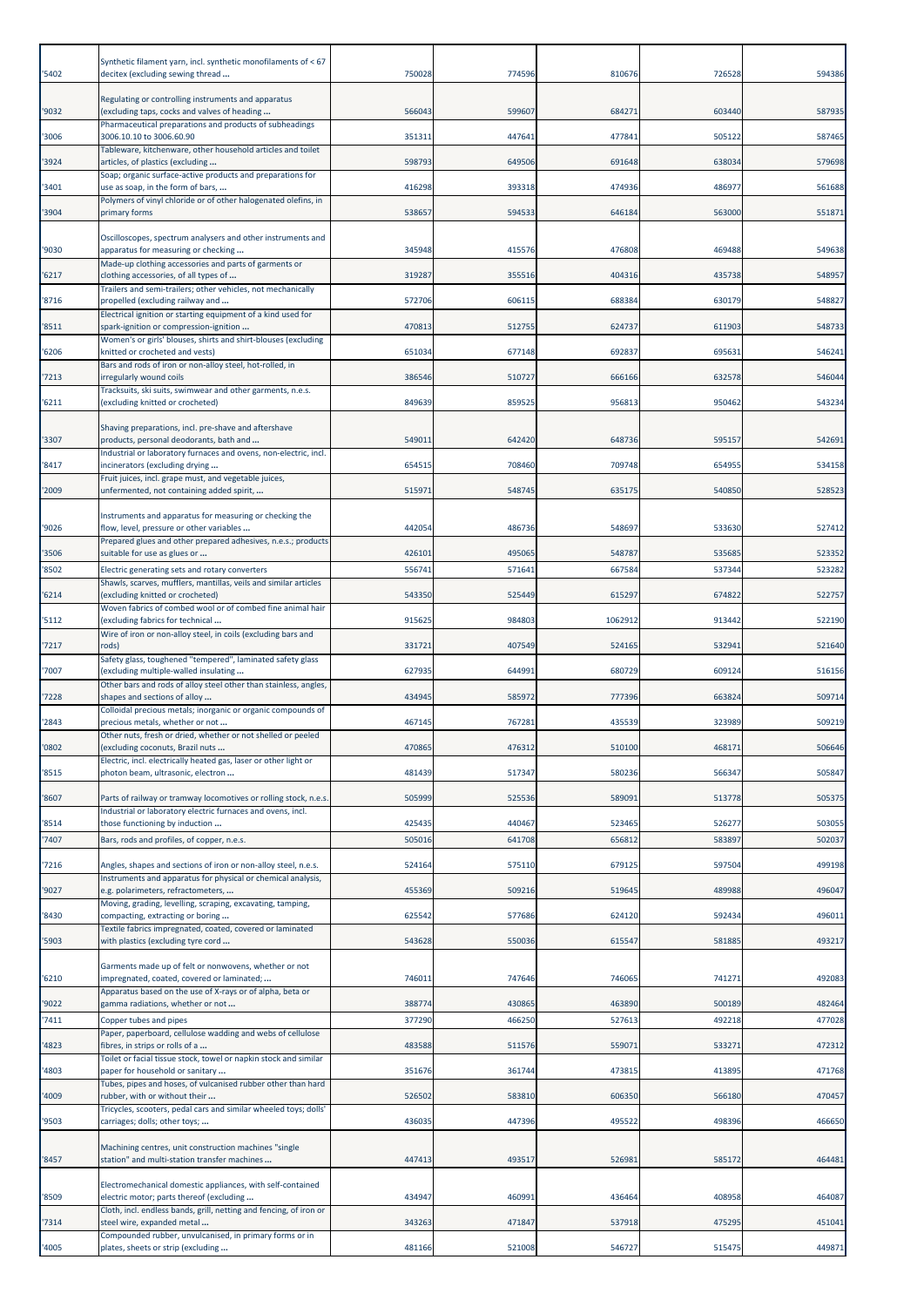| '5402 | Synthetic filament yarn, incl. synthetic monofilaments of < 67<br>decitex (excluding sewing thread                              | 750028 | 774596 | 810676  | 726528 | 594386 |
|-------|---------------------------------------------------------------------------------------------------------------------------------|--------|--------|---------|--------|--------|
| '9032 | Regulating or controlling instruments and apparatus<br>(excluding taps, cocks and valves of heading                             | 566043 | 599607 | 684271  | 603440 | 587935 |
| '3006 | Pharmaceutical preparations and products of subheadings<br>3006.10.10 to 3006.60.90                                             | 35131: | 447641 | 477841  | 505122 | 587465 |
|       | Tableware, kitchenware, other household articles and toilet                                                                     |        |        |         |        |        |
| '3924 | articles, of plastics (excluding<br>Soap; organic surface-active products and preparations for                                  | 598793 | 649506 | 691648  | 638034 | 579698 |
| '3401 | use as soap, in the form of bars,<br>Polymers of vinyl chloride or of other halogenated olefins, in                             | 416298 | 393318 | 474936  | 486977 | 561688 |
| '3904 | primary forms                                                                                                                   | 538657 | 594533 | 646184  | 563000 | 551871 |
| '9030 | Oscilloscopes, spectrum analysers and other instruments and<br>apparatus for measuring or checking                              | 345948 | 415576 | 476808  | 469488 | 549638 |
| '6217 | Made-up clothing accessories and parts of garments or<br>clothing accessories, of all types of                                  | 319287 | 355516 | 404316  | 435738 | 548957 |
| '8716 | Trailers and semi-trailers; other vehicles, not mechanically<br>propelled (excluding railway and                                | 572706 | 606115 | 688384  | 630179 | 548827 |
| '8511 | Electrical ignition or starting equipment of a kind used for                                                                    | 470813 | 512755 | 624737  | 611903 | 548733 |
|       | spark-ignition or compression-ignition<br>Women's or girls' blouses, shirts and shirt-blouses (excluding                        |        |        |         |        |        |
| '6206 | knitted or crocheted and vests)<br>Bars and rods of iron or non-alloy steel, hot-rolled, in                                     | 651034 | 677148 | 692837  | 69563: | 546241 |
| '7213 | irregularly wound coils<br>Tracksuits, ski suits, swimwear and other garments, n.e.s.                                           | 386546 | 510727 | 666166  | 632578 | 546044 |
| '6211 | (excluding knitted or crocheted)                                                                                                | 849639 | 859525 | 956813  | 950462 | 543234 |
| '3307 | Shaving preparations, incl. pre-shave and aftershave<br>products, personal deodorants, bath and                                 | 54901  | 642420 | 648736  | 595157 | 542691 |
| '8417 | Industrial or laboratory furnaces and ovens, non-electric, incl.<br>incinerators (excluding drying                              | 65451  | 708460 | 709748  | 654955 | 534158 |
| '2009 | Fruit juices, incl. grape must, and vegetable juices,<br>unfermented, not containing added spirit,                              | 515971 | 548745 | 635175  | 540850 | 528523 |
|       | Instruments and apparatus for measuring or checking the                                                                         |        |        |         |        |        |
| '9026 | flow, level, pressure or other variables                                                                                        | 442054 | 486736 | 548697  | 533630 | 527412 |
| '3506 | Prepared glues and other prepared adhesives, n.e.s.; products<br>suitable for use as glues or                                   | 426101 | 495065 | 548787  | 535685 | 523352 |
| '8502 | Electric generating sets and rotary converters                                                                                  | 55674  | 571641 | 667584  | 537344 | 523282 |
| '6214 | Shawls, scarves, mufflers, mantillas, veils and similar articles<br>(excluding knitted or crocheted)                            | 543350 | 525449 | 615297  | 674822 | 522757 |
| '5112 | Woven fabrics of combed wool or of combed fine animal hair<br>(excluding fabrics for technical                                  | 915625 | 984803 | 1062912 | 913442 | 522190 |
| '7217 | Wire of iron or non-alloy steel, in coils (excluding bars and<br>rods)                                                          | 331721 | 407549 | 524165  | 532941 | 521640 |
| '7007 | Safety glass, toughened "tempered", laminated safety glass<br>(excluding multiple-walled insulating                             | 627935 | 644991 | 680729  | 609124 | 516156 |
| 7228  | Other bars and rods of alloy steel other than stainless, angles,<br>shapes and sections of alloy                                | 434945 | 585972 | 777396  | 663824 | 509714 |
| '2843 | Colloidal precious metals; inorganic or organic compounds of<br>precious metals, whether or not                                 | 467145 | 767281 | 435539  | 323989 | 509219 |
|       | Other nuts, fresh or dried, whether or not shelled or peeled                                                                    |        |        |         |        |        |
| '0802 | (excluding coconuts, Brazil nuts<br>Electric, incl. electrically heated gas, laser or other light or                            | 470865 | 476312 | 510100  | 468171 | 506646 |
| '8515 | photon beam, ultrasonic, electron                                                                                               | 481439 | 517347 | 580236  | 566347 | 505847 |
| '8607 | Parts of railway or tramway locomotives or rolling stock, n.e.s.<br>Industrial or laboratory electric furnaces and ovens, incl. | 505999 | 525536 | 589091  | 513778 | 505375 |
| '8514 | those functioning by induction                                                                                                  | 425435 | 440467 | 523465  | 526277 | 503055 |
| '7407 | Bars, rods and profiles, of copper, n.e.s.                                                                                      | 505016 | 641708 | 656812  | 583897 | 502037 |
| '7216 | Angles, shapes and sections of iron or non-alloy steel, n.e.s.<br>Instruments and apparatus for physical or chemical analysis,  | 524164 | 575110 | 679125  | 597504 | 499198 |
| '9027 | e.g. polarimeters, refractometers,                                                                                              | 455369 | 509216 | 519645  | 489988 | 496047 |
| '8430 | Moving, grading, levelling, scraping, excavating, tamping,<br>compacting, extracting or boring                                  | 625542 | 577686 | 624120  | 592434 | 496011 |
| '5903 | Fextile fabrics impregnated, coated, covered or laminated<br>with plastics (excluding tyre cord                                 | 543628 | 550036 | 615547  | 581885 | 493217 |
| '6210 | Garments made up of felt or nonwovens, whether or not<br>impregnated, coated, covered or laminated;                             | 74601  | 747646 | 746065  | 741271 | 492083 |
| '9022 | Apparatus based on the use of X-rays or of alpha, beta or<br>gamma radiations, whether or not                                   | 388774 | 430865 | 463890  | 500189 | 482464 |
| '7411 | Copper tubes and pipes                                                                                                          | 377290 | 466250 | 527613  | 492218 | 477028 |
| 4823  | Paper, paperboard, cellulose wadding and webs of cellulose<br>fibres, in strips or rolls of a                                   | 483588 | 511576 | 559071  | 533271 | 472312 |
| 4803  | Toilet or facial tissue stock, towel or napkin stock and similar<br>paper for household or sanitary                             | 351676 | 361744 | 473815  | 413895 | 471768 |
| 4009  | Tubes, pipes and hoses, of vulcanised rubber other than hard<br>rubber, with or without their                                   | 526502 | 583810 | 606350  | 566180 | 470457 |
|       | Tricycles, scooters, pedal cars and similar wheeled toys; dolls'                                                                |        |        |         |        |        |
| '9503 | carriages; dolls; other toys;                                                                                                   | 436035 | 447396 | 495522  | 498396 | 466650 |
| '8457 | Machining centres, unit construction machines "single<br>station" and multi-station transfer machines                           | 447413 | 493517 | 526981  | 585172 | 464481 |
|       | Electromechanical domestic appliances, with self-contained                                                                      |        |        |         |        |        |
| '8509 | electric motor; parts thereof (excluding<br>Cloth, incl. endless bands, grill, netting and fencing, of iron or                  | 434947 | 460991 | 436464  | 408958 | 464087 |
| 7314  | steel wire, expanded metal<br>Compounded rubber, unvulcanised, in primary forms or in                                           | 343263 | 471847 | 537918  | 475295 | 451041 |
| 4005  | plates, sheets or strip (excluding                                                                                              | 481166 | 521008 | 546727  | 515475 | 449871 |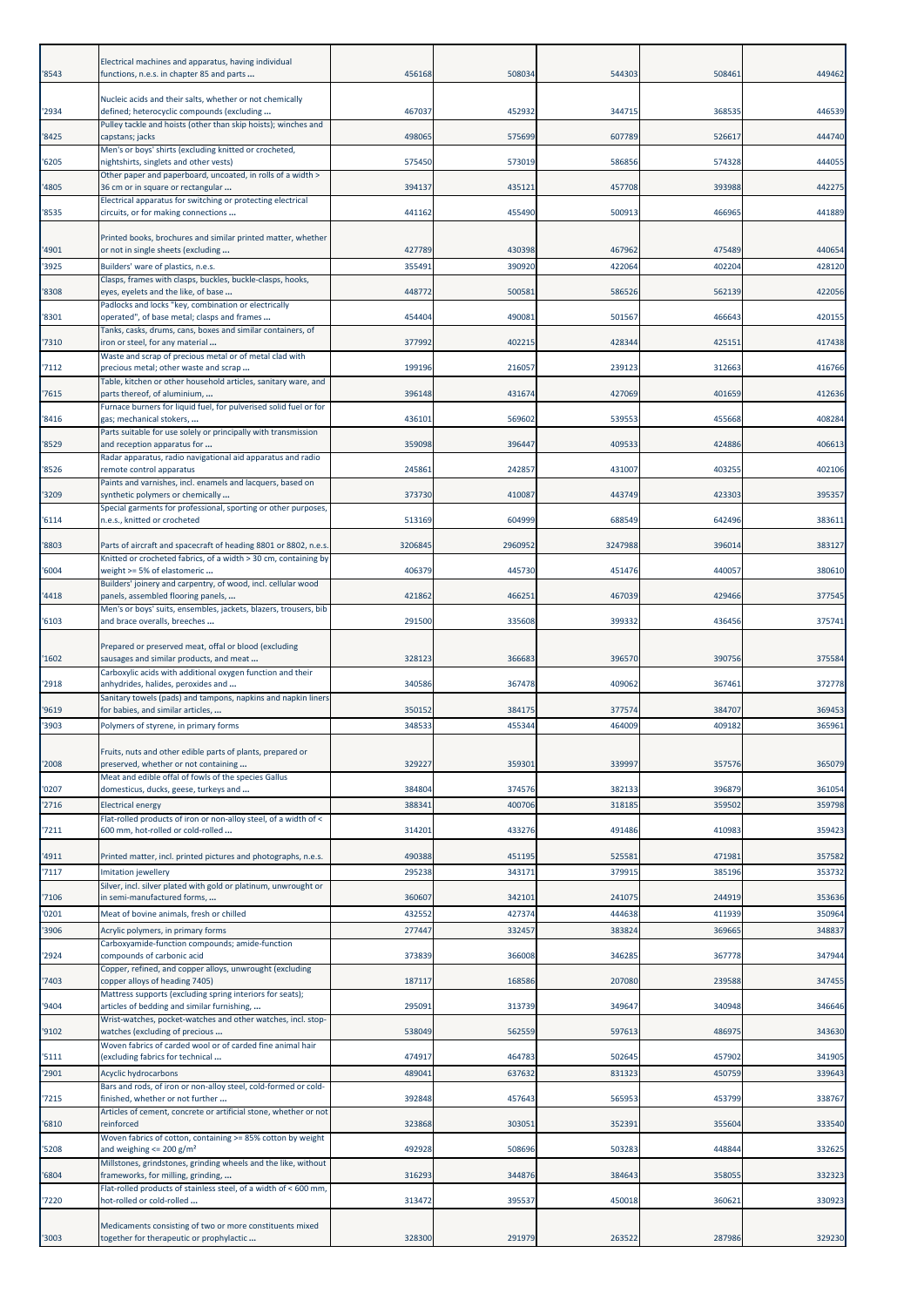| '8543          | Electrical machines and apparatus, having individual<br>functions, n.e.s. in chapter 85 and parts                                                          | 456168           | 508034           | 544303           | 508461           | 449462           |
|----------------|------------------------------------------------------------------------------------------------------------------------------------------------------------|------------------|------------------|------------------|------------------|------------------|
| '2934          | Nucleic acids and their salts, whether or not chemically<br>defined; heterocyclic compounds (excluding                                                     | 467037           | 452932           | 344715           | 368535           | 446539           |
| '8425          | Pulley tackle and hoists (other than skip hoists); winches and<br>capstans; jacks                                                                          | 498065           | 575699           | 607789           | 526617           | 444740           |
| '6205          | Men's or boys' shirts (excluding knitted or crocheted,<br>nightshirts, singlets and other vests)                                                           | 575450           | 573019           | 586856           | 574328           | 444055           |
| 4805           | Other paper and paperboard, uncoated, in rolls of a width ><br>36 cm or in square or rectangular                                                           | 394137           | 435121           | 457708           | 393988           | 442275           |
| '8535          | Electrical apparatus for switching or protecting electrical<br>circuits, or for making connections                                                         | 441162           | 455490           | 500913           | 466965           | 441889           |
|                |                                                                                                                                                            |                  |                  |                  |                  |                  |
| '4901          | Printed books, brochures and similar printed matter, whether<br>or not in single sheets (excluding                                                         | 427789           | 430398           | 467962           | 475489           | 440654           |
| '3925          | Builders' ware of plastics, n.e.s.<br>Clasps, frames with clasps, buckles, buckle-clasps, hooks,                                                           | 355491           | 390920           | 422064           | 402204           | 428120           |
| '8308          | eyes, eyelets and the like, of base                                                                                                                        | 448772           | 500581           | 586526           | 562139           | 422056           |
| '8301          | Padlocks and locks "key, combination or electrically<br>operated", of base metal; clasps and frames                                                        | 454404           | 490081           | 501567           | 466643           | 420155           |
| '7310          | Tanks, casks, drums, cans, boxes and similar containers, of<br>iron or steel, for any material                                                             | 377992           | 402215           | 428344           | 425151           | 417438           |
| '7112          | Waste and scrap of precious metal or of metal clad with<br>precious metal; other waste and scrap                                                           | 199196           | 216057           | 239123           | 312663           | 416766           |
| 7615           | Table, kitchen or other household articles, sanitary ware, and<br>parts thereof, of aluminium,                                                             | 396148           | 431674           | 427069           | 401659           | 412636           |
| '8416          | Furnace burners for liquid fuel, for pulverised solid fuel or for                                                                                          | 436101           | 569602           | 539553           | 455668           | 408284           |
|                | gas; mechanical stokers,<br>Parts suitable for use solely or principally with transmission                                                                 |                  |                  |                  |                  |                  |
| '8529          | and reception apparatus for<br>Radar apparatus, radio navigational aid apparatus and radio                                                                 | 359098           | 396447           | 409533           | 424886           | 406613           |
| '8526          | remote control apparatus<br>Paints and varnishes, incl. enamels and lacquers, based on                                                                     | 245861           | 242857           | 431007           | 403255           | 402106           |
| '3209          | synthetic polymers or chemically<br>Special garments for professional, sporting or other purposes,                                                         | 373730           | 410087           | 443749           | 423303           | 395357           |
| '6114          | n.e.s., knitted or crocheted                                                                                                                               | 513169           | 604999           | 688549           | 642496           | 383611           |
| '8803          | Parts of aircraft and spacecraft of heading 8801 or 8802, n.e.s.                                                                                           | 3206845          | 2960952          | 3247988          | 396014           | 383127           |
| '6004          | Knitted or crocheted fabrics, of a width > 30 cm, containing by<br>weight >= 5% of elastomeric                                                             | 406379           | 445730           | 451476           | 440057           | 380610           |
| '4418          | Builders' joinery and carpentry, of wood, incl. cellular wood<br>panels, assembled flooring panels,                                                        | 421862           | 466251           | 467039           | 429466           | 377545           |
| '6103          | Men's or boys' suits, ensembles, jackets, blazers, trousers, bib<br>and brace overalls, breeches                                                           | 291500           | 335608           | 399332           | 436456           | 375741           |
|                | Prepared or preserved meat, offal or blood (excluding                                                                                                      |                  |                  |                  |                  |                  |
| '1602          | sausages and similar products, and meat                                                                                                                    | 328123           | 366683           | 396570           | 390756           | 375584           |
| '2918          | Carboxylic acids with additional oxygen function and their<br>anhydrides, halides, peroxides and                                                           | 340586           | 367478           | 409062           | 367461           | 372778           |
| '9619          | Sanitary towels (pads) and tampons, napkins and napkin liners<br>for babies, and similar articles,                                                         | 350152           | 384175           | 377574           | 384707           | 369453           |
| '3903          | Polymers of styrene, in primary forms                                                                                                                      | 348533           | 455344           | 464009           | 409182           | 365961           |
| '2008          | Fruits, nuts and other edible parts of plants, prepared or<br>preserved, whether or not containing<br>Meat and edible offal of fowls of the species Gallus | 329227           | 359301           | 339997           | 357576           | 365079           |
| '0207          | domesticus, ducks, geese, turkeys and                                                                                                                      | 384804           | 374576           | 382133           | 396879           | 361054           |
| '2716          | <b>Electrical energy</b><br>Flat-rolled products of iron or non-alloy steel, of a width of <                                                               | 38834            | 400706           | 318185           | 359502           | 359798           |
| 7211           | 600 mm, hot-rolled or cold-rolled                                                                                                                          | 314201           | 433276           | 491486           | 410983           | 359423           |
| '4911          | Printed matter, incl. printed pictures and photographs, n.e.s.                                                                                             | 490388           | 451195           | 525581           | 47198            | 357582           |
| '7117          | Imitation jewellery<br>Silver, incl. silver plated with gold or platinum, unwrought or                                                                     | 295238           | 343171           | 379915           | 385196           | 353732           |
| '7106<br>'0201 | in semi-manufactured forms,<br>Meat of bovine animals, fresh or chilled                                                                                    | 360607<br>432552 | 342101<br>427374 | 241075<br>444638 | 244919<br>411939 | 353636<br>350964 |
| '3906          | Acrylic polymers, in primary forms                                                                                                                         | 277447           | 332457           | 383824           | 369665           | 348837           |
| '2924          | Carboxyamide-function compounds; amide-function<br>compounds of carbonic acid                                                                              | 373839           | 366008           | 346285           | 367778           | 347944           |
| '7403          | Copper, refined, and copper alloys, unwrought (excluding<br>copper alloys of heading 7405)                                                                 | 187117           | 168586           | 207080           | 239588           | 347455           |
|                | Mattress supports (excluding spring interiors for seats);                                                                                                  |                  |                  |                  |                  |                  |
| '9404          | articles of bedding and similar furnishing,<br>Wrist-watches, pocket-watches and other watches, incl. stop-                                                | 295091           | 313739           | 349647           | 340948           | 346646           |
| '9102          | watches (excluding of precious<br>Woven fabrics of carded wool or of carded fine animal hair                                                               | 538049           | 562559           | 597613           | 486975           | 343630           |
| '5111<br>'2901 | (excluding fabrics for technical<br>Acyclic hydrocarbons                                                                                                   | 474917<br>48904  | 464783<br>637632 | 502645<br>831323 | 457902<br>450759 | 341905<br>339643 |
|                | Bars and rods, of iron or non-alloy steel, cold-formed or cold-                                                                                            |                  |                  |                  |                  |                  |
| '7215          | finished, whether or not further<br>Articles of cement, concrete or artificial stone, whether or not                                                       | 392848           | 457643           | 565953           | 453799           | 338767           |
| '6810          | reinforced<br>Woven fabrics of cotton, containing >= 85% cotton by weight                                                                                  | 323868           | 303051           | 352391           | 355604           | 333540           |
| '5208          | and weighing $\leq$ 200 g/m <sup>2</sup><br>Millstones, grindstones, grinding wheels and the like, without                                                 | 492928           | 508696           | 503283           | 448844           | 332625           |
| 6804           | frameworks, for milling, grinding,<br>Flat-rolled products of stainless steel, of a width of < 600 mm,                                                     | 316293           | 344876           | 384643           | 358055           | 332323           |
| '7220          | hot-rolled or cold-rolled                                                                                                                                  | 313472           | 395537           | 450018           | 360621           | 330923           |
| '3003          | Medicaments consisting of two or more constituents mixed<br>together for therapeutic or prophylactic                                                       | 328300           | 291979           | 263522           | 287986           | 329230           |
|                |                                                                                                                                                            |                  |                  |                  |                  |                  |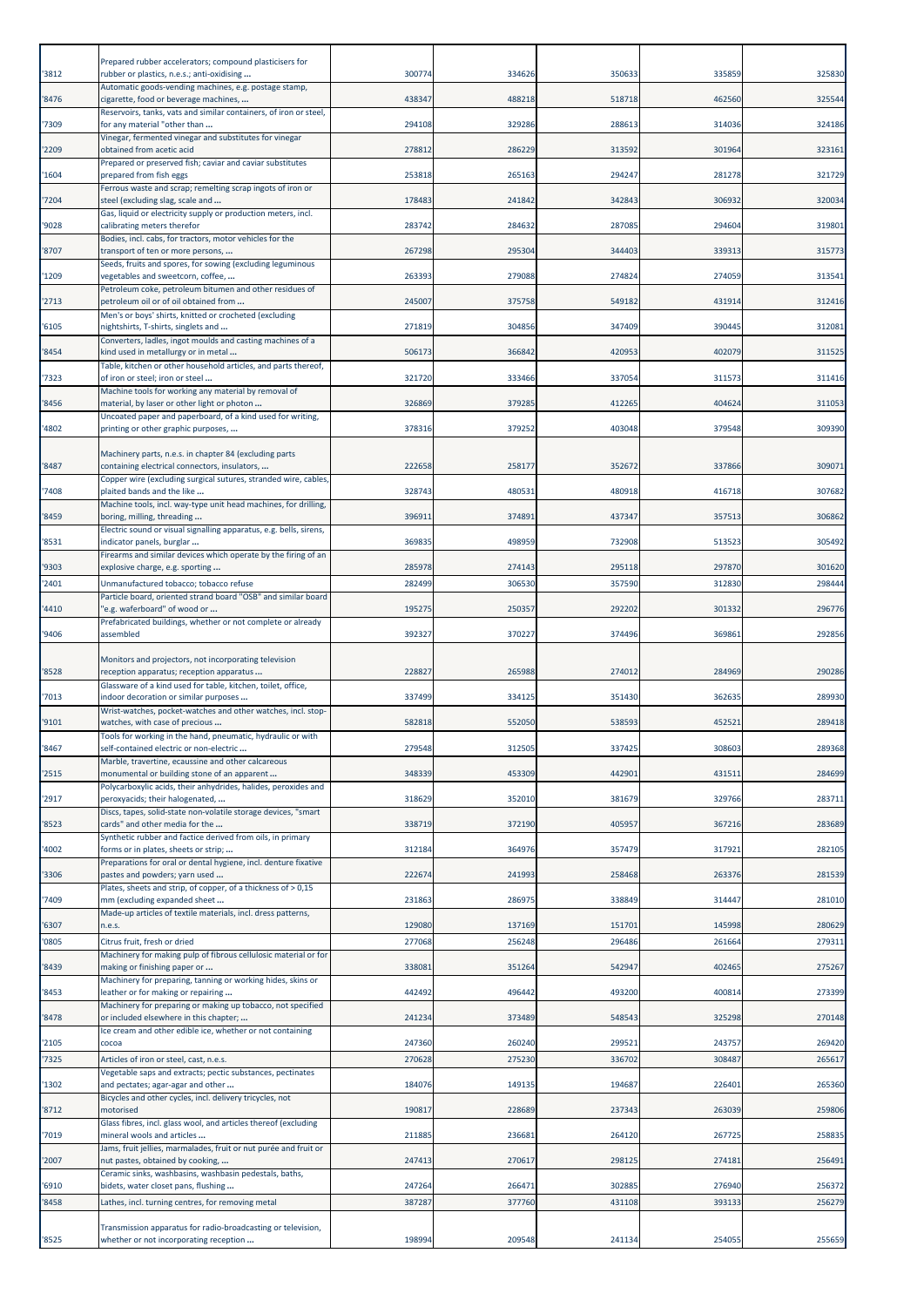| '3812 | Prepared rubber accelerators; compound plasticisers for<br>rubber or plastics, n.e.s.; anti-oxidising         | 300774 | 334626 | 350633 | 335859 | 325830 |
|-------|---------------------------------------------------------------------------------------------------------------|--------|--------|--------|--------|--------|
| '8476 | Automatic goods-vending machines, e.g. postage stamp,<br>cigarette, food or beverage machines,                | 438347 | 488218 | 518718 | 462560 | 325544 |
| '7309 | Reservoirs, tanks, vats and similar containers, of iron or steel,<br>for any material "other than             | 294108 | 329286 | 288613 | 314036 | 324186 |
|       | Vinegar, fermented vinegar and substitutes for vinegar                                                        |        |        |        |        |        |
| '2209 | obtained from acetic acid<br>Prepared or preserved fish; caviar and caviar substitutes                        | 278812 | 286229 | 313592 | 301964 | 323161 |
| '1604 | prepared from fish eggs<br>Ferrous waste and scrap; remelting scrap ingots of iron or                         | 253818 | 265163 | 294247 | 281278 | 321729 |
| '7204 | steel (excluding slag, scale and<br>Gas, liquid or electricity supply or production meters, incl.             | 178483 | 241842 | 342843 | 306932 | 320034 |
| '9028 | calibrating meters therefor<br>Bodies, incl. cabs, for tractors, motor vehicles for the                       | 283742 | 284632 | 287085 | 294604 | 319801 |
| '8707 | transport of ten or more persons,                                                                             | 267298 | 295304 | 344403 | 339313 | 315773 |
| '1209 | Seeds, fruits and spores, for sowing (excluding leguminous<br>vegetables and sweetcorn, coffee,               | 263393 | 279088 | 274824 | 274059 | 313541 |
| '2713 | Petroleum coke, petroleum bitumen and other residues of<br>petroleum oil or of oil obtained from              | 245007 | 375758 | 549182 | 431914 | 312416 |
| '6105 | Men's or boys' shirts, knitted or crocheted (excluding<br>nightshirts, T-shirts, singlets and                 | 271819 | 304856 | 347409 | 390445 | 312081 |
| '8454 | Converters, ladles, ingot moulds and casting machines of a<br>kind used in metallurgy or in metal             | 506173 | 366842 | 420953 | 402079 | 311525 |
|       | Table, kitchen or other household articles, and parts thereof,                                                |        |        |        |        |        |
| '7323 | of iron or steel; iron or steel<br>Machine tools for working any material by removal of                       | 321720 | 333466 | 337054 | 311573 | 311416 |
| '8456 | material, by laser or other light or photon<br>Uncoated paper and paperboard, of a kind used for writing,     | 326869 | 379285 | 412265 | 404624 | 311053 |
| '4802 | printing or other graphic purposes,                                                                           | 378316 | 379252 | 403048 | 379548 | 309390 |
| '8487 | Machinery parts, n.e.s. in chapter 84 (excluding parts<br>containing electrical connectors, insulators,       | 222658 | 258177 | 352672 | 337866 | 309071 |
| '7408 | Copper wire (excluding surgical sutures, stranded wire, cables,<br>plaited bands and the like                 | 328743 | 480531 | 480918 | 416718 | 307682 |
| '8459 | Machine tools, incl. way-type unit head machines, for drilling,<br>boring, milling, threading                 | 39691: | 374891 | 437347 | 357513 | 306862 |
| '8531 | Electric sound or visual signalling apparatus, e.g. bells, sirens,<br>indicator panels, burglar               | 369835 | 498959 | 732908 | 513523 | 305492 |
| '9303 | Firearms and similar devices which operate by the firing of an<br>explosive charge, e.g. sporting             | 285978 | 274143 | 295118 | 297870 | 301620 |
| '2401 | Unmanufactured tobacco; tobacco refuse                                                                        | 282499 | 306530 | 357590 | 312830 | 298444 |
| '4410 | Particle board, oriented strand board "OSB" and similar board<br>'e.g. waferboard" of wood or                 | 195275 | 250357 | 292202 | 301332 | 296776 |
| '9406 | Prefabricated buildings, whether or not complete or already<br>assembled                                      | 392327 | 370227 | 374496 | 369861 | 292856 |
| '8528 | Monitors and projectors, not incorporating television<br>reception apparatus; reception apparatus             | 228827 | 265988 | 274012 | 284969 | 290286 |
|       |                                                                                                               |        |        |        |        |        |
|       | Glassware of a kind used for table, kitchen, toilet, office,                                                  |        |        |        |        |        |
| '7013 | indoor decoration or similar purposes<br>Wrist-watches, pocket-watches and other watches, incl. stop-         | 337499 | 334125 | 351430 | 362635 | 289930 |
| '9101 | watches, with case of precious<br>Tools for working in the hand, pneumatic, hydraulic or with                 | 582818 | 552050 | 538593 | 452521 | 289418 |
| '8467 | self-contained electric or non-electric<br>Marble, travertine, ecaussine and other calcareous                 | 279548 | 312505 | 337425 | 308603 | 289368 |
| '2515 | monumental or building stone of an apparent<br>Polycarboxylic acids, their anhydrides, halides, peroxides and | 348339 | 453309 | 442901 | 431511 | 284699 |
| '2917 | peroxyacids; their halogenated,<br>Discs, tapes, solid-state non-volatile storage devices, "smart             | 318629 | 352010 | 381679 | 329766 | 283711 |
| '8523 | cards" and other media for the                                                                                | 338719 | 372190 | 405957 | 367216 | 283689 |
| 4002  | Synthetic rubber and factice derived from oils, in primary<br>forms or in plates, sheets or strip;            | 312184 | 364976 | 357479 | 317921 | 282105 |
| '3306 | Preparations for oral or dental hygiene, incl. denture fixative<br>pastes and powders; yarn used              | 222674 | 241993 | 258468 | 263376 | 281539 |
| '7409 | Plates, sheets and strip, of copper, of a thickness of > 0,15<br>mm (excluding expanded sheet                 | 231863 | 286975 | 338849 | 314447 | 281010 |
| '6307 | Made-up articles of textile materials, incl. dress patterns,<br>n.e.s.                                        | 129080 | 137169 | 151701 | 145998 | 280629 |
| '0805 | Citrus fruit, fresh or dried                                                                                  | 277068 | 256248 | 296486 | 261664 | 279311 |
| '8439 | Machinery for making pulp of fibrous cellulosic material or for<br>making or finishing paper or               | 33808  | 351264 | 542947 | 402465 | 275267 |
| '8453 | Machinery for preparing, tanning or working hides, skins or<br>leather or for making or repairing             | 442492 | 496442 | 493200 | 400814 | 273399 |
| '8478 | Machinery for preparing or making up tobacco, not specified<br>or included elsewhere in this chapter;         | 241234 | 373489 | 548543 | 325298 | 270148 |
| '2105 | Ice cream and other edible ice, whether or not containing<br>cocoa                                            | 247360 | 260240 | 299521 | 243757 | 269420 |
| '7325 | Articles of iron or steel, cast, n.e.s.<br>Vegetable saps and extracts; pectic substances, pectinates         | 270628 | 275230 | 336702 | 308487 | 265617 |
| '1302 | and pectates; agar-agar and other                                                                             | 184076 | 149135 | 194687 | 226401 | 265360 |
| '8712 | Bicycles and other cycles, incl. delivery tricycles, not<br>motorised                                         | 190817 | 228689 | 237343 | 263039 | 259806 |
| '7019 | Glass fibres, incl. glass wool, and articles thereof (excluding<br>mineral wools and articles                 | 211885 | 236681 | 264120 | 267725 | 258835 |
| '2007 | Jams, fruit jellies, marmalades, fruit or nut purée and fruit or<br>nut pastes, obtained by cooking,          | 247413 | 270617 | 298125 | 274181 | 256491 |
| '6910 | Ceramic sinks, washbasins, washbasin pedestals, baths,<br>bidets, water closet pans, flushing                 | 247264 | 266471 | 302885 | 276940 | 256372 |
| '8458 | Lathes, incl. turning centres, for removing metal                                                             | 387287 | 377760 | 431108 | 393133 | 256279 |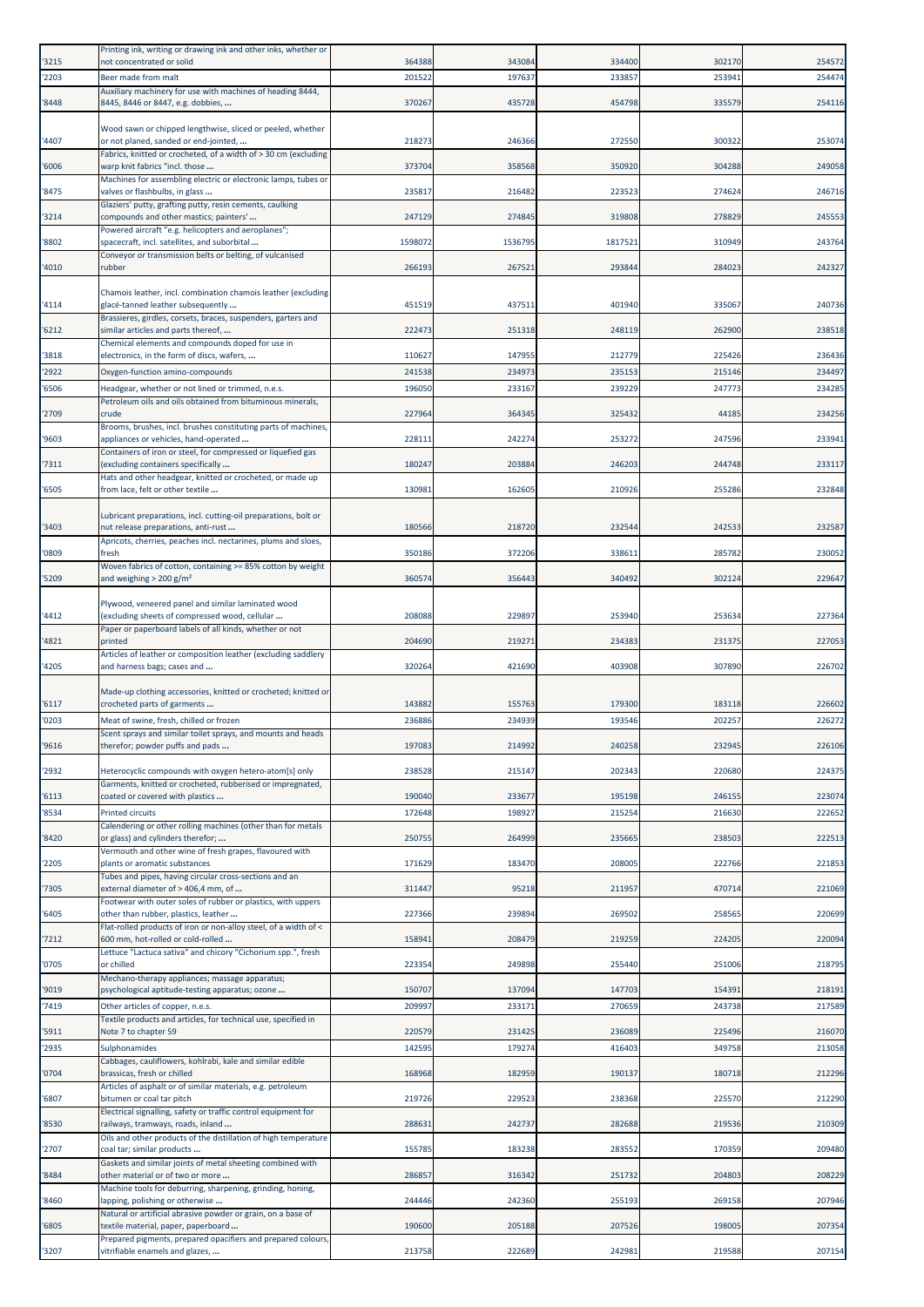| '3215          | Printing ink, writing or drawing ink and other inks, whether or<br>not concentrated or solid                         | 364388          | 343084           | 334400           | 302170           | 254572           |
|----------------|----------------------------------------------------------------------------------------------------------------------|-----------------|------------------|------------------|------------------|------------------|
| '2203          | Beer made from malt                                                                                                  | 20152           | 197637           | 233857           | 253941           | 254474           |
|                | Auxiliary machinery for use with machines of heading 8444,                                                           |                 |                  |                  |                  |                  |
| '8448          | 8445, 8446 or 8447, e.g. dobbies,                                                                                    | 370267          | 435728           | 454798           | 335579           | 254116           |
|                | Wood sawn or chipped lengthwise, sliced or peeled, whether                                                           |                 |                  |                  |                  |                  |
| '4407          | or not planed, sanded or end-jointed,                                                                                | 218273          | 246366           | 272550           | 300322           | 253074           |
| '6006          | Fabrics, knitted or crocheted, of a width of > 30 cm (excluding<br>warp knit fabrics "incl. those                    | 373704          | 358568           | 350920           | 304288           | 249058           |
| '8475          | Machines for assembling electric or electronic lamps, tubes or                                                       | 235817          |                  | 223523           | 274624           |                  |
|                | valves or flashbulbs, in glass<br>Glaziers' putty, grafting putty, resin cements, caulking                           |                 | 216482           |                  |                  | 246716           |
| '3214          | compounds and other mastics; painters'                                                                               | 247129          | 274845           | 319808           | 278829           | 245553           |
| '8802          | Powered aircraft "e.g. helicopters and aeroplanes";<br>spacecraft, incl. satellites, and suborbital                  | 1598072         | 1536795          | 1817521          | 310949           | 243764           |
|                | Conveyor or transmission belts or belting, of vulcanised                                                             |                 |                  |                  |                  |                  |
| '4010          | rubber                                                                                                               | 266193          | 267521           | 293844           | 284023           | 242327           |
|                | Chamois leather, incl. combination chamois leather (excluding                                                        |                 |                  |                  |                  |                  |
| '4114          | glacé-tanned leather subsequently<br>Brassieres, girdles, corsets, braces, suspenders, garters and                   | 451519          | 437511           | 401940           | 335067           | 240736           |
| '6212          | similar articles and parts thereof,                                                                                  | 222473          | 251318           | 248119           | 262900           | 238518           |
| '3818          | Chemical elements and compounds doped for use in<br>electronics, in the form of discs, wafers,                       | 110627          | 147955           | 212779           | 225426           | 236436           |
| '2922          | Oxygen-function amino-compounds                                                                                      | 241538          | 234973           | 235153           | 215146           | 234497           |
| '6506          | Headgear, whether or not lined or trimmed, n.e.s.                                                                    | 196050          | 233167           | 239229           | 247773           | 234285           |
| '2709          | Petroleum oils and oils obtained from bituminous minerals,<br>crude                                                  | 227964          | 364345           | 325432           | 44185            | 234256           |
|                | Brooms, brushes, incl. brushes constituting parts of machines,                                                       |                 |                  |                  |                  |                  |
| '9603          | appliances or vehicles, hand-operated                                                                                | 22811           | 242274           | 253272           | 247596           | 233941           |
| '7311          | Containers of iron or steel, for compressed or liquefied gas<br>(excluding containers specifically                   | 180247          | 203884           | 246203           | 244748           | 233117           |
| '6505          | Hats and other headgear, knitted or crocheted, or made up<br>from lace, felt or other textile                        | 130981          | 162605           | 210926           | 255286           | 232848           |
|                |                                                                                                                      |                 |                  |                  |                  |                  |
|                | Lubricant preparations, incl. cutting-oil preparations, bolt or                                                      | 180566          | 218720           | 232544           |                  | 232587           |
| '3403          | nut release preparations, anti-rust<br>Apricots, cherries, peaches incl. nectarines, plums and sloes,                |                 |                  |                  | 242533           |                  |
| '0809          | fresh                                                                                                                | 350186          | 372206           | 338611           | 285782           | 230052           |
| '5209          | Woven fabrics of cotton, containing >= 85% cotton by weight<br>and weighing $>$ 200 g/m <sup>2</sup>                 | 360574          | 356443           | 340492           | 302124           | 229647           |
|                |                                                                                                                      |                 |                  |                  |                  |                  |
| '4412          | Plywood, veneered panel and similar laminated wood<br>(excluding sheets of compressed wood, cellular                 | 20808           | 229897           | 253940           | 253634           | 227364           |
|                | Paper or paperboard labels of all kinds, whether or not                                                              |                 |                  |                  |                  |                  |
| '4821          | printed<br>Articles of leather or composition leather (excluding saddlery                                            | 204690          | 219271           | 234383           | 231375           | 227053           |
| '4205          | and harness bags; cases and                                                                                          | 320264          | 421690           | 403908           | 307890           | 226702           |
|                | Made-up clothing accessories, knitted or crocheted; knitted or                                                       |                 |                  |                  |                  |                  |
| '6117          | crocheted parts of garments                                                                                          | 143882          | 155763           | 179300           | 183118           | 226602           |
| '0203          | Meat of swine, fresh, chilled or frozen                                                                              | 236886          | 234939           | 193546           | 202257           | 226272           |
| '9616          | Scent sprays and similar toilet sprays, and mounts and heads                                                         |                 | 214992           | 240258           |                  |                  |
|                | therefor; powder puffs and pads                                                                                      | 197083          |                  |                  | 232945           | 226106           |
|                |                                                                                                                      |                 |                  |                  |                  |                  |
| '2932          | Heterocyclic compounds with oxygen hetero-atom[s] only<br>Garments, knitted or crocheted, rubberised or impregnated, | 238528          | 215147           | 202343           | 220680           | 224375           |
| '6113          | coated or covered with plastics                                                                                      | 190040          | 233677           | 195198           | 246155           | 223074           |
| '8534          | <b>Printed circuits</b>                                                                                              | 172648          | 198927           | 215254           | 216630           | 222652           |
| '8420          | Calendering or other rolling machines (other than for metals<br>or glass) and cylinders therefor;                    | 250755          | 264999           | 235665           | 238503           | 222513           |
|                | Vermouth and other wine of fresh grapes, flavoured with                                                              |                 |                  |                  |                  |                  |
| '2205          | plants or aromatic substances<br>Tubes and pipes, having circular cross-sections and an                              | 171629          | 183470           | 208005           | 222766           | 221853           |
| '7305          | external diameter of > 406,4 mm, of                                                                                  | 311447          | 95218            | 211957           | 470714           | 221069           |
| '6405          | Footwear with outer soles of rubber or plastics, with uppers<br>other than rubber, plastics, leather                 | 227366          | 239894           | 269502           | 258565           | 220699           |
|                | Flat-rolled products of iron or non-alloy steel, of a width of <                                                     |                 |                  |                  |                  |                  |
| '7212          | 600 mm, hot-rolled or cold-rolled<br>Lettuce "Lactuca sativa" and chicory "Cichorium spp.", fresh                    | 158941          | 208479           | 219259           | 224205           | 220094           |
| '0705          | or chilled                                                                                                           | 223354          | 249898           | 255440           | 251006           | 218795           |
| '9019          | Mechano-therapy appliances; massage apparatus;<br>psychological aptitude-testing apparatus; ozone                    | 150707          | 137094           | 147703           | 154391           | 218191           |
| '7419          | Other articles of copper, n.e.s.                                                                                     | 20999           | 233171           | 270659           | 243738           | 217589           |
|                | Textile products and articles, for technical use, specified in                                                       |                 |                  |                  |                  |                  |
| '5911<br>'2935 | Note 7 to chapter 59<br>Sulphonamides                                                                                | 220579<br>14259 | 231425<br>179274 | 236089<br>416403 | 225496<br>349758 | 216070<br>213058 |
|                | Cabbages, cauliflowers, kohlrabi, kale and similar edible                                                            |                 |                  |                  |                  |                  |
| '0704          | brassicas, fresh or chilled<br>Articles of asphalt or of similar materials, e.g. petroleum                           | 168968          | 182959           | 190137           | 180718           | 212296           |
| '6807          | bitumen or coal tar pitch                                                                                            | 219726          | 229523           | 238368           | 225570           | 212290           |
| '8530          | Electrical signalling, safety or traffic control equipment for<br>railways, tramways, roads, inland                  | 28863           | 242737           | 282688           | 219536           | 210309           |
|                | Oils and other products of the distillation of high temperature                                                      |                 |                  |                  |                  |                  |
| '2707          | coal tar; similar products                                                                                           | 155785          | 183238           | 283552           | 170359           | 209480           |
| '8484          | Gaskets and similar joints of metal sheeting combined with<br>other material or of two or more                       | 28685           | 316342           | 251732           | 204803           | 208229           |
|                | Machine tools for deburring, sharpening, grinding, honing,                                                           | 244446          | 242360           | 255193           | 269158           |                  |
| '8460          | lapping, polishing or otherwise<br>Natural or artificial abrasive powder or grain, on a base of                      |                 |                  |                  |                  | 207946           |
| '6805          | textile material, paper, paperboard<br>Prepared pigments, prepared opacifiers and prepared colours,                  | 190600          | 205188           | 207526           | 198005           | 207354           |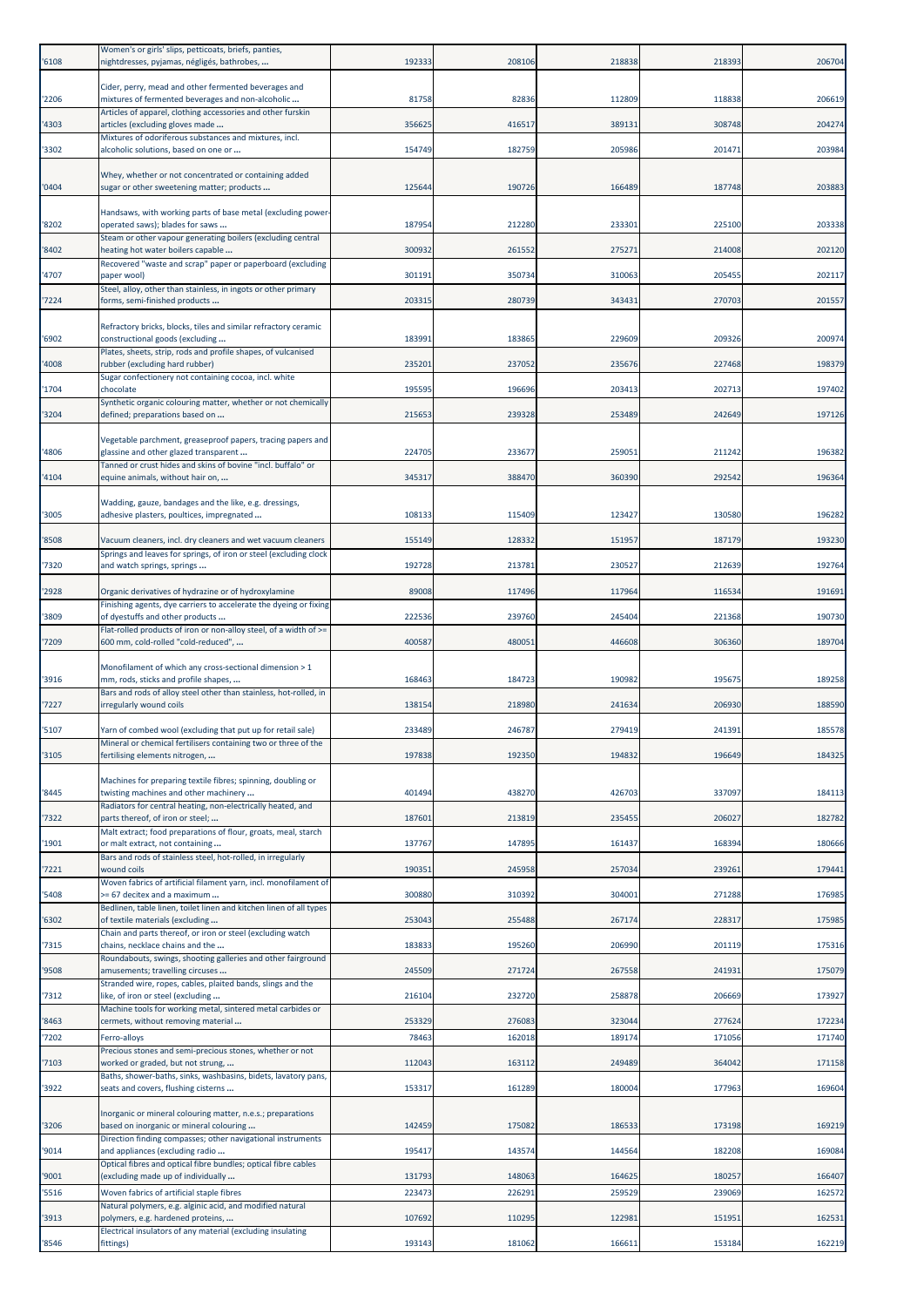| '6108 | Women's or girls' slips, petticoats, briefs, panties,<br>nightdresses, pyjamas, négligés, bathrobes,      | 192333 | 208106 | 218838 | 218393 | 206704 |
|-------|-----------------------------------------------------------------------------------------------------------|--------|--------|--------|--------|--------|
| '2206 | Cider, perry, mead and other fermented beverages and<br>mixtures of fermented beverages and non-alcoholic | 81758  | 82836  | 112809 | 118838 | 206619 |
| '4303 | Articles of apparel, clothing accessories and other furskin<br>articles (excluding gloves made            | 356625 | 416517 | 389131 | 308748 | 204274 |
| '3302 | Mixtures of odoriferous substances and mixtures, incl.<br>alcoholic solutions, based on one or            | 154749 | 182759 | 205986 | 201471 | 203984 |
| '0404 | Whey, whether or not concentrated or containing added<br>sugar or other sweetening matter; products       | 12564  | 190726 | 166489 | 187748 | 203883 |
| '8202 | Handsaws, with working parts of base metal (excluding power<br>operated saws); blades for saws            | 187954 | 212280 | 233301 | 225100 | 203338 |
| '8402 | Steam or other vapour generating boilers (excluding central<br>heating hot water boilers capable          | 300932 | 261552 | 275271 | 214008 | 202120 |
| '4707 | Recovered "waste and scrap" paper or paperboard (excluding<br>paper wool)                                 | 301191 | 350734 | 310063 | 205455 | 202117 |
| '7224 | Steel, alloy, other than stainless, in ingots or other primary<br>forms, semi-finished products           | 203315 | 280739 | 343431 | 270703 | 201557 |
|       | Refractory bricks, blocks, tiles and similar refractory ceramic                                           |        |        |        |        |        |
| '6902 | constructional goods (excluding<br>Plates, sheets, strip, rods and profile shapes, of vulcanised          | 18399  | 183865 | 229609 | 209326 | 200974 |
| '4008 | rubber (excluding hard rubber)<br>Sugar confectionery not containing cocoa, incl. white                   | 235201 | 237052 | 235676 | 227468 | 198379 |
| '1704 | chocolate                                                                                                 | 195595 | 196696 | 203413 | 202713 | 197402 |
| '3204 | Synthetic organic colouring matter, whether or not chemically<br>defined; preparations based on           | 215653 | 239328 | 253489 | 242649 | 197126 |
| '4806 | Vegetable parchment, greaseproof papers, tracing papers and<br>glassine and other glazed transparent      | 224705 | 233677 | 259051 | 211242 | 196382 |
| '4104 | Tanned or crust hides and skins of bovine "incl. buffalo" or<br>equine animals, without hair on,          | 34531  | 388470 | 360390 | 292542 | 196364 |
| '3005 | Wadding, gauze, bandages and the like, e.g. dressings,<br>adhesive plasters, poultices, impregnated       | 108133 | 115409 | 123427 | 130580 | 196282 |
| '8508 | Vacuum cleaners, incl. dry cleaners and wet vacuum cleaners                                               | 155149 | 128332 | 151957 | 187179 | 193230 |
| '7320 | Springs and leaves for springs, of iron or steel (excluding clock<br>and watch springs, springs           | 192728 | 213781 | 230527 | 212639 | 192764 |
| '2928 | Organic derivatives of hydrazine or of hydroxylamine                                                      | 89008  | 117496 | 117964 | 116534 | 191691 |
| '3809 | Finishing agents, dye carriers to accelerate the dyeing or fixing<br>of dyestuffs and other products      | 222536 | 239760 | 245404 | 221368 | 190730 |
| '7209 | Flat-rolled products of iron or non-alloy steel, of a width of >=<br>600 mm, cold-rolled "cold-reduced",  | 400587 | 480051 | 446608 | 306360 | 189704 |
|       | Monofilament of which any cross-sectional dimension > 1                                                   |        |        |        |        |        |
| '3916 | mm, rods, sticks and profile shapes,                                                                      | 168463 | 184723 | 190982 | 195675 | 189258 |
| '7227 | Bars and rods of alloy steel other than stainless, hot-rolled, in<br>irregularly wound coils              | 138154 | 218980 | 241634 | 206930 | 188590 |
| '5107 | Yarn of combed wool (excluding that put up for retail sale)                                               | 233489 | 246787 | 279419 | 241391 | 185578 |
| '3105 | Mineral or chemical fertilisers containing two or three of the<br>fertilising elements nitrogen,          | 197838 | 192350 | 194832 | 196649 | 184325 |
| '8445 | Machines for preparing textile fibres; spinning, doubling or<br>twisting machines and other machinery     | 401494 | 438270 | 426703 | 337097 | 184113 |
| '7322 | Radiators for central heating, non-electrically heated, and<br>parts thereof, of iron or steel;           | 187601 | 213819 | 235455 | 206027 | 182782 |
| '1901 | Malt extract; food preparations of flour, groats, meal, starch<br>or malt extract, not containing         | 137767 | 147895 | 161437 | 168394 | 180666 |
| 7221  | Bars and rods of stainless steel, hot-rolled, in irregularly<br>wound coils                               | 19035: | 245958 | 257034 | 239261 | 179441 |
| '5408 | Woven fabrics of artificial filament yarn, incl. monofilament of<br>>= 67 decitex and a maximum           | 300880 | 310392 | 304001 | 271288 | 176985 |
| '6302 | Bedlinen, table linen, toilet linen and kitchen linen of all types<br>of textile materials (excluding     | 253043 | 255488 | 267174 | 228317 | 175985 |
| '7315 | Chain and parts thereof, or iron or steel (excluding watch<br>chains, necklace chains and the             | 183833 | 195260 | 206990 | 201119 | 175316 |
| '9508 | Roundabouts, swings, shooting galleries and other fairground<br>amusements; travelling circuses           | 245509 | 271724 | 267558 | 241931 | 175079 |
| 7312  | Stranded wire, ropes, cables, plaited bands, slings and the<br>like, of iron or steel (excluding          | 216104 | 232720 | 258878 | 206669 | 173927 |
| '8463 | Machine tools for working metal, sintered metal carbides or<br>cermets, without removing material         | 253329 | 276083 | 323044 | 277624 | 172234 |
| '7202 | Ferro-alloys                                                                                              | 78463  | 162018 | 189174 | 171056 | 171740 |
| '7103 | Precious stones and semi-precious stones, whether or not<br>worked or graded, but not strung,             | 112043 | 163112 | 249489 | 364042 | 171158 |
| '3922 | Baths, shower-baths, sinks, washbasins, bidets, lavatory pans,<br>seats and covers, flushing cisterns     | 153317 | 161289 | 180004 | 177963 | 169604 |
| '3206 | Inorganic or mineral colouring matter, n.e.s.; preparations<br>based on inorganic or mineral colouring    | 142459 | 175082 | 186533 | 173198 | 169219 |
| '9014 | Direction finding compasses; other navigational instruments<br>and appliances (excluding radio            | 195417 | 143574 | 144564 | 182208 | 169084 |
| '9001 | Optical fibres and optical fibre bundles; optical fibre cables<br>(excluding made up of individually      | 131793 | 148063 | 164625 | 180257 | 166407 |
| '5516 | Woven fabrics of artificial staple fibres                                                                 | 223473 | 226291 | 259529 | 239069 | 162572 |
| '3913 | Natural polymers, e.g. alginic acid, and modified natural<br>polymers, e.g. hardened proteins,            | 107692 | 110295 | 122981 | 151951 | 162531 |
| '8546 | Electrical insulators of any material (excluding insulating<br>fittings)                                  | 193143 | 181062 | 166611 | 153184 | 162219 |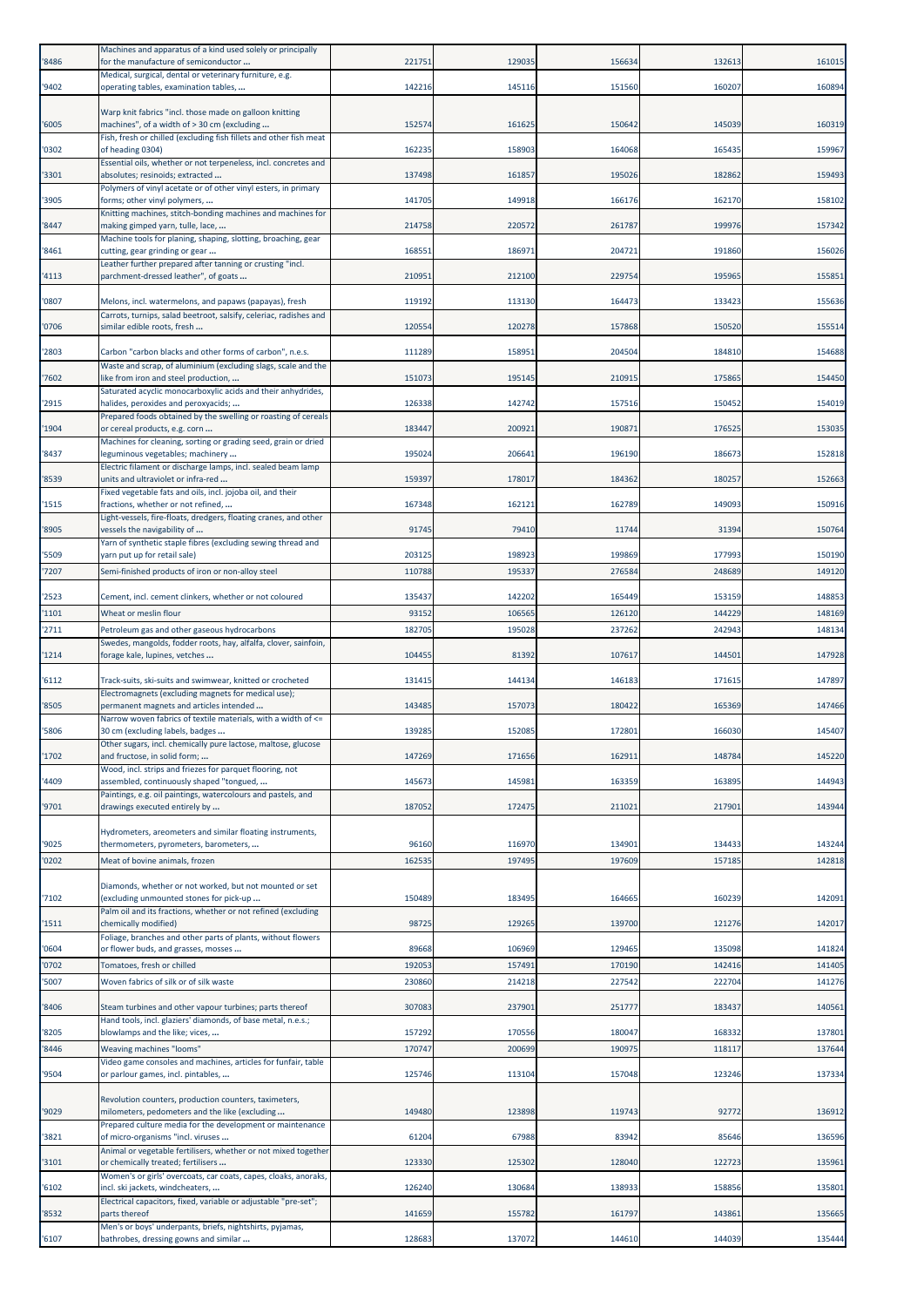| '8486          | Machines and apparatus of a kind used solely or principally<br>for the manufacture of semiconductor                         | 221751          | 129035           | 156634           | 132613           | 161015           |
|----------------|-----------------------------------------------------------------------------------------------------------------------------|-----------------|------------------|------------------|------------------|------------------|
| '9402          | Medical, surgical, dental or veterinary furniture, e.g.<br>operating tables, examination tables,                            | 142216          | 145116           | 151560           | 160207           | 160894           |
|                | Warp knit fabrics "incl. those made on galloon knitting                                                                     |                 |                  |                  |                  |                  |
| '6005          | machines", of a width of > 30 cm (excluding                                                                                 | 152574          | 161625           | 150642           | 145039           | 160319           |
| '0302          | Fish, fresh or chilled (excluding fish fillets and other fish meat<br>of heading 0304)                                      | 162235          | 158903           | 164068           | 165435           | 159967           |
| '3301          | Essential oils, whether or not terpeneless, incl. concretes and<br>absolutes; resinoids; extracted                          | 137498          | 161857           | 195026           | 182862           | 159493           |
| '3905          | Polymers of vinyl acetate or of other vinyl esters, in primary<br>forms; other vinyl polymers,                              | 141705          | 149918           | 166176           | 162170           | 158102           |
| '8447          | Knitting machines, stitch-bonding machines and machines for<br>making gimped yarn, tulle, lace,                             | 214758          | 220572           | 261787           | 199976           | 157342           |
|                | Machine tools for planing, shaping, slotting, broaching, gear                                                               |                 |                  |                  |                  |                  |
| '8461          | cutting, gear grinding or gear<br>Leather further prepared after tanning or crusting "incl.                                 | 168551          | 186971           | 204721           | 191860           | 156026           |
| '4113          | parchment-dressed leather", of goats                                                                                        | 21095           | 212100           | 229754           | 195965           | 155851           |
| '0807          | Melons, incl. watermelons, and papaws (papayas), fresh<br>Carrots, turnips, salad beetroot, salsify, celeriac, radishes and | 119192          | 113130           | 164473           | 133423           | 155636           |
| '0706          | similar edible roots, fresh                                                                                                 | 120554          | 120278           | 157868           | 150520           | 155514           |
| '2803          | Carbon "carbon blacks and other forms of carbon", n.e.s.                                                                    | 111289          | 158951           | 204504           | 184810           | 154688           |
| '7602          | Waste and scrap, of aluminium (excluding slags, scale and the<br>like from iron and steel production,                       | 151073          | 195145           | 210915           | 175865           | 154450           |
| '2915          | Saturated acyclic monocarboxylic acids and their anhydrides,<br>halides, peroxides and peroxyacids;                         | 126338          | 142742           | 157516           | 150452           | 154019           |
| '1904          | Prepared foods obtained by the swelling or roasting of cereals<br>or cereal products, e.g. corn                             | 183447          | 200921           | 190871           | 176525           | 153035           |
| '8437          | Machines for cleaning, sorting or grading seed, grain or dried<br>leguminous vegetables; machinery                          | 195024          | 206641           | 196190           | 186673           | 152818           |
|                | Electric filament or discharge lamps, incl. sealed beam lamp                                                                |                 |                  |                  |                  |                  |
| '8539          | units and ultraviolet or infra-red<br>Fixed vegetable fats and oils, incl. jojoba oil, and their                            | 159397          | 178017           | 184362           | 180257           | 152663           |
| '1515          | fractions, whether or not refined,<br>Light-vessels, fire-floats, dredgers, floating cranes, and other                      | 167348          | 162121           | 162789           | 149093           | 150916           |
| '8905          | vessels the navigability of<br>Yarn of synthetic staple fibres (excluding sewing thread and                                 | 91745           | 79410            | 11744            | 31394            | 150764           |
| '5509          | yarn put up for retail sale)                                                                                                | 203125          | 198923           | 199869           | 177993           | 150190           |
| '7207          | Semi-finished products of iron or non-alloy steel                                                                           | 110788          | 195337           | 276584           | 248689           | 149120           |
| '2523<br>'1101 | Cement, incl. cement clinkers, whether or not coloured<br>Wheat or meslin flour                                             | 135437<br>93152 | 142202<br>106565 | 165449<br>126120 | 153159<br>144229 | 148853<br>148169 |
| '2711          | Petroleum gas and other gaseous hydrocarbons                                                                                | 182705          | 195028           | 237262           | 242943           | 148134           |
| '1214          | Swedes, mangolds, fodder roots, hay, alfalfa, clover, sainfoin,<br>forage kale, lupines, vetches                            | 104455          | 81392            | 107617           | 144501           | 147928           |
| '6112          | Track-suits, ski-suits and swimwear, knitted or crocheted                                                                   | 131415          | 144134           | 146183           | 171615           | 147897           |
|                | Electromagnets (excluding magnets for medical use);                                                                         |                 |                  |                  |                  |                  |
| '8505          | permanent magnets and articles intended<br>Narrow woven fabrics of textile materials, with a width of <=                    | 143485          | 157073           | 180422           | 165369           | 147466           |
| '5806          | 30 cm (excluding labels, badges<br>Other sugars, incl. chemically pure lactose, maltose, glucose                            | 139285          | 152085           | 172801           | 166030           | 145407           |
| '1702          | and fructose, in solid form;<br>Wood, incl. strips and friezes for parquet flooring, not                                    | 147269          | 171656           | 162911           | 148784           | 145220           |
| '4409          | assembled, continuously shaped "tongued,<br>Paintings, e.g. oil paintings, watercolours and pastels, and                    | 145673          | 145981           | 163359           | 163895           | 144943           |
| '9701          | drawings executed entirely by                                                                                               | 187052          | 172475           | 211021           | 217901           | 143944           |
|                | Hydrometers, areometers and similar floating instruments,                                                                   |                 |                  |                  |                  |                  |
| '9025<br>'0202 | thermometers, pyrometers, barometers,<br>Meat of bovine animals, frozen                                                     | 96160<br>162535 | 116970<br>197495 | 134901<br>197609 | 134433<br>157185 | 143244<br>142818 |
|                | Diamonds, whether or not worked, but not mounted or set                                                                     |                 |                  |                  |                  |                  |
| '7102          | (excluding unmounted stones for pick-up<br>Palm oil and its fractions, whether or not refined (excluding                    | 150489          | 183495           | 164665           | 160239           | 142091           |
| '1511          | chemically modified)                                                                                                        | 98725           | 129265           | 139700           | 121276           | 142017           |
| '0604          | Foliage, branches and other parts of plants, without flowers<br>or flower buds, and grasses, mosses                         | 89668           | 106969           | 129465           | 135098           | 141824           |
| '0702          | Tomatoes, fresh or chilled                                                                                                  | 192053          | 157491           | 170190           | 142416           | 141405           |
| '5007          | Woven fabrics of silk or of silk waste                                                                                      | 230860          | 214218           | 227542           | 222704           | 141276           |
| '8406          | Steam turbines and other vapour turbines; parts thereof<br>Hand tools, incl. glaziers' diamonds, of base metal, n.e.s.;     | 307083          | 237901           | 251777           | 183437           | 140561           |
| '8205          | blowlamps and the like; vices,                                                                                              | 157292          | 170556           | 180047           | 168332           | 137801           |
| '8446          | Weaving machines "looms"<br>Video game consoles and machines, articles for funfair, table                                   | 170747          | 200699           | 190975           | 118117           | 137644           |
| '9504          | or parlour games, incl. pintables,                                                                                          | 125746          | 113104           | 157048           | 123246           | 137334           |
| '9029          | Revolution counters, production counters, taximeters,<br>milometers, pedometers and the like (excluding                     | 149480          | 123898           | 119743           | 92772            | 136912           |
| '3821          | Prepared culture media for the development or maintenance<br>of micro-organisms "incl. viruses                              | 61204           | 67988            | 83942            | 85646            | 136596           |
|                | Animal or vegetable fertilisers, whether or not mixed together                                                              | 123330          |                  | 128040           | 122723           |                  |
| '3101          | or chemically treated; fertilisers<br>Women's or girls' overcoats, car coats, capes, cloaks, anoraks,                       |                 | 125302           |                  |                  | 135961           |
| '6102          | incl. ski jackets, windcheaters,<br>Electrical capacitors, fixed, variable or adjustable "pre-set";                         | 126240          | 130684           | 138933           | 158856           | 135801           |
| '8532          | parts thereof<br>Men's or boys' underpants, briefs, nightshirts, pyjamas,                                                   | 141659          | 155782           | 161797           | 143861           | 135665           |
| '6107          | bathrobes, dressing gowns and similar                                                                                       | 128683          | 137072           | 144610           | 144039           | 135444           |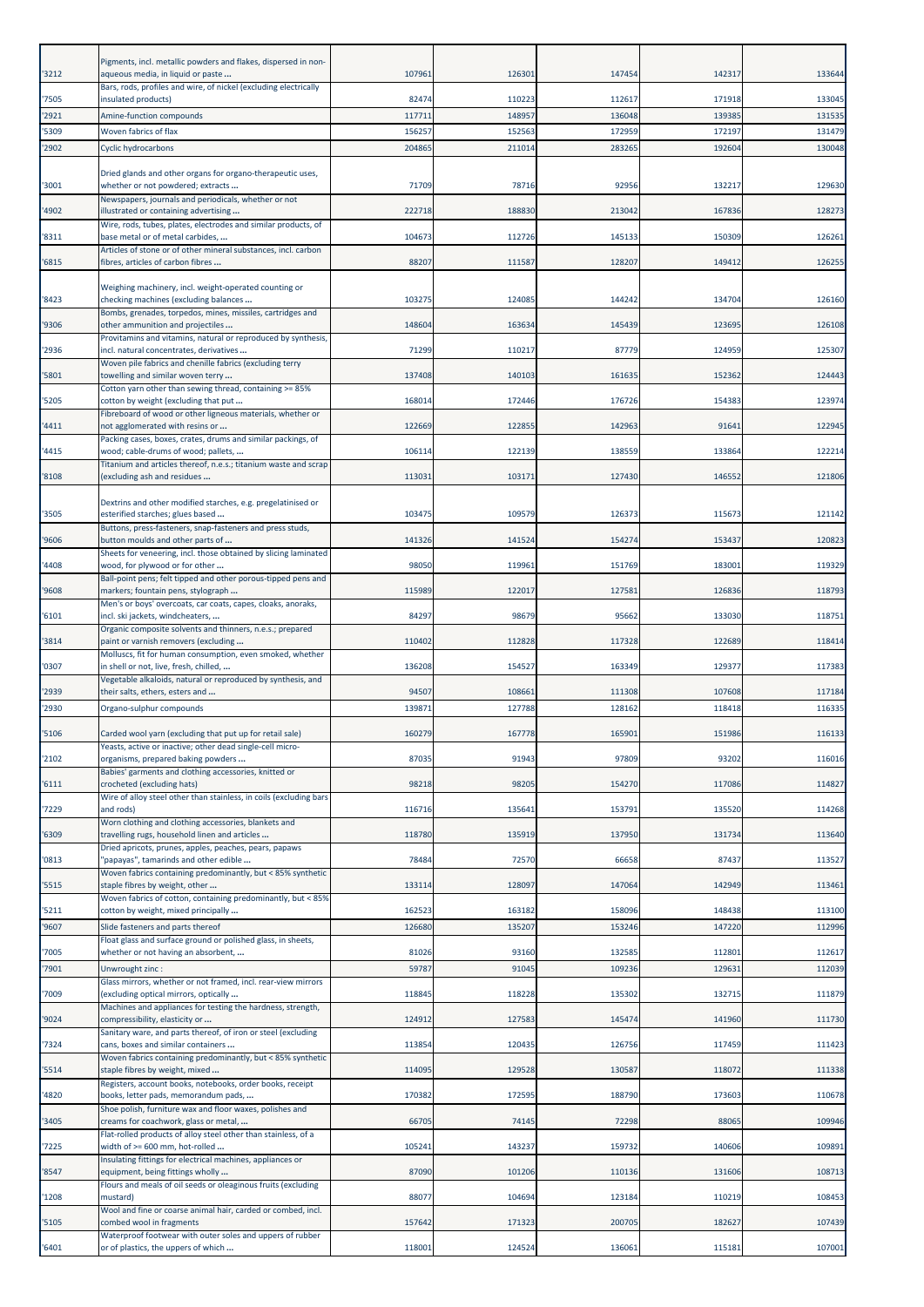| '3212          | Pigments, incl. metallic powders and flakes, dispersed in non-<br>aqueous media, in liquid or paste                   | 107961          | 126301           | 147454           | 142317           | 133644           |
|----------------|-----------------------------------------------------------------------------------------------------------------------|-----------------|------------------|------------------|------------------|------------------|
|                | Bars, rods, profiles and wire, of nickel (excluding electrically                                                      |                 |                  |                  |                  |                  |
| '7505          | insulated products)                                                                                                   | 82474           | 110223           | 112617           | 171918           | 133045<br>131535 |
| '2921<br>'5309 | Amine-function compounds<br>Woven fabrics of flax                                                                     | 11771<br>15625  | 148957<br>152563 | 136048<br>172959 | 139385<br>172197 | 131479           |
| '2902          | Cyclic hydrocarbons                                                                                                   | 204865          | 211014           | 283265           | 192604           | 130048           |
| '3001          | Dried glands and other organs for organo-therapeutic uses,<br>whether or not powdered; extracts                       | 71709           | 78716            | 92956            | 132217           | 129630           |
|                | Newspapers, journals and periodicals, whether or not                                                                  |                 |                  |                  |                  |                  |
| '4902          | illustrated or containing advertising<br>Wire, rods, tubes, plates, electrodes and similar products, of               | 222718          | 188830           | 213042           | 167836           | 128273           |
| '8311          | base metal or of metal carbides,<br>Articles of stone or of other mineral substances, incl. carbon                    | 104673          | 112726           | 145133           | 150309           | 12626            |
| '6815          | fibres, articles of carbon fibres                                                                                     | 88207           | 111587           | 128207           | 149412           | 126255           |
| '8423          | Weighing machinery, incl. weight-operated counting or<br>checking machines (excluding balances                        | 103275          | 124085           | 144242           | 134704           | 126160           |
|                | Bombs, grenades, torpedos, mines, missiles, cartridges and                                                            |                 |                  |                  |                  |                  |
| '9306          | other ammunition and projectiles<br>Provitamins and vitamins, natural or reproduced by synthesis,                     | 148604          | 163634           | 145439           | 123695           | 126108           |
| '2936          | incl. natural concentrates, derivatives<br>Woven pile fabrics and chenille fabrics (excluding terry                   | 71299           | 110217           | 87779            | 124959           | 125307           |
| '5801          | towelling and similar woven terry                                                                                     | 137408          | 140103           | 161635           | 152362           | 124443           |
| '5205          | Cotton yarn other than sewing thread, containing >= 85%<br>cotton by weight (excluding that put                       | 168014          | 172446           | 176726           | 154383           | 123974           |
| '4411          | Fibreboard of wood or other ligneous materials, whether or<br>not agglomerated with resins or                         | 122669          | 122855           | 142963           | 91641            | 122945           |
|                | Packing cases, boxes, crates, drums and similar packings, of                                                          |                 |                  |                  |                  |                  |
| '4415          | wood; cable-drums of wood; pallets,<br>Titanium and articles thereof, n.e.s.; titanium waste and scrap                | 106114          | 122139           | 138559           | 133864           | 122214           |
| '8108          | (excluding ash and residues                                                                                           | 113031          | 103171           | 127430           | 146552           | 121806           |
| '3505          | Dextrins and other modified starches, e.g. pregelatinised or<br>esterified starches; glues based                      | 103475          | 109579           | 126373           | 115673           | 121142           |
| '9606          | Buttons, press-fasteners, snap-fasteners and press studs,<br>button moulds and other parts of                         | 141326          | 141524           | 154274           | 153437           | 120823           |
|                | Sheets for veneering, incl. those obtained by slicing laminated                                                       |                 |                  |                  |                  |                  |
| '4408          | wood, for plywood or for other<br>Ball-point pens; felt tipped and other porous-tipped pens and                       | 98050           | 119961           | 151769           | 183001           | 119329           |
| '9608          | markers; fountain pens, stylograph<br>Men's or boys' overcoats, car coats, capes, cloaks, anoraks,                    | 115989          | 122017           | 127581           | 126836           | 118793           |
| '6101          | incl. ski jackets, windcheaters,                                                                                      | 84297           | 98679            | 95662            | 133030           | 118751           |
| '3814          | Organic composite solvents and thinners, n.e.s.; prepared<br>paint or varnish removers (excluding                     | 110402          | 112828           | 117328           | 122689           | 118414           |
| '0307          | Molluscs, fit for human consumption, even smoked, whether<br>in shell or not, live, fresh, chilled,                   | 136208          | 154527           | 163349           | 129377           | 117383           |
|                | Vegetable alkaloids, natural or reproduced by synthesis, and                                                          |                 |                  |                  |                  |                  |
| '2939<br>'2930 | their salts, ethers, esters and<br>Organo-sulphur compounds                                                           | 94507<br>139871 | 108661<br>127788 | 111308<br>128162 | 107608<br>118418 | 117184<br>116335 |
|                |                                                                                                                       |                 |                  |                  |                  |                  |
| '5106          | Carded wool yarn (excluding that put up for retail sale)<br>Yeasts, active or inactive; other dead single-cell micro- | 160279          | 167778           | 165901           | 151986           | 116133           |
| '2102          | organisms, prepared baking powders<br>Babies' garments and clothing accessories, knitted or                           | 87035           | 91943            | 97809            | 93202            | 116016           |
| '6111          | crocheted (excluding hats)                                                                                            | 98218           | 98205            | 154270           | 117086           | 114827           |
| '7229          | Wire of alloy steel other than stainless, in coils (excluding bars<br>and rods)                                       | 116716          | 135641           | 153791           | 135520           | 114268           |
| '6309          | Worn clothing and clothing accessories, blankets and<br>travelling rugs, household linen and articles                 | 118780          | 135919           | 137950           | 131734           | 113640           |
|                | Dried apricots, prunes, apples, peaches, pears, papaws                                                                |                 |                  |                  |                  |                  |
| '0813          | 'papayas", tamarinds and other edible<br>Woven fabrics containing predominantly, but < 85% synthetic                  | 78484           | 72570            | 66658            | 87437            | 113527           |
| '5515          | staple fibres by weight, other                                                                                        | 13311           | 128097           | 147064           | 142949           | 113461           |
| '5211          | Woven fabrics of cotton, containing predominantly, but < 85%<br>cotton by weight, mixed principally                   | 162523          | 163182           | 158096           | 148438           | 113100           |
| '9607          | Slide fasteners and parts thereof<br>Float glass and surface ground or polished glass, in sheets,                     | 126680          | 135207           | 153246           | 147220           | 112996           |
| '7005          | whether or not having an absorbent,                                                                                   | 81026           | 93160            | 132585           | 112801           | 112617           |
| '7901          | Unwrought zinc:                                                                                                       | 5978            | 91045            | 109236           | 129631           | 112039           |
| '7009          | Glass mirrors, whether or not framed, incl. rear-view mirrors<br>(excluding optical mirrors, optically                | 118845          | 118228           | 135302           | 132715           | 111879           |
| '9024          | Machines and appliances for testing the hardness, strength,<br>compressibility, elasticity or                         | 124912          | 127583           | 145474           | 141960           | 111730           |
|                | Sanitary ware, and parts thereof, of iron or steel (excluding                                                         |                 |                  |                  |                  |                  |
| '7324          | cans, boxes and similar containers<br>Woven fabrics containing predominantly, but < 85% synthetic                     | 11385           | 120435           | 126756           | 117459           | 111423           |
| '5514          | staple fibres by weight, mixed<br>Registers, account books, notebooks, order books, receipt                           | 114095          | 129528           | 130587           | 118072           | 111338           |
| '4820          | books, letter pads, memorandum pads,                                                                                  | 170382          | 172595           | 188790           | 173603           | 110678           |
| '3405          | Shoe polish, furniture wax and floor waxes, polishes and<br>creams for coachwork, glass or metal,                     | 66705           | 74145            | 72298            | 88065            | 109946           |
| '7225          | Flat-rolled products of alloy steel other than stainless, of a<br>width of >= 600 mm, hot-rolled                      | 105241          | 143237           | 159732           | 140606           | 109891           |
|                | Insulating fittings for electrical machines, appliances or                                                            |                 |                  |                  |                  |                  |
| '8547          | equipment, being fittings wholly<br>Flours and meals of oil seeds or oleaginous fruits (excluding                     | 87090           | 101206           | 110136           | 131606           | 108713           |
| '1208          | mustard)<br>Wool and fine or coarse animal hair, carded or combed, incl.                                              | 88077           | 104694           | 123184           | 110219           | 108453           |
| '5105          | combed wool in fragments<br>Waterproof footwear with outer soles and uppers of rubber                                 | 157642          | 171323           | 200705           | 182627           | 107439           |
| '6401          | or of plastics, the uppers of which                                                                                   | 118001          | 124524           | 136061           | 115181           | 107001           |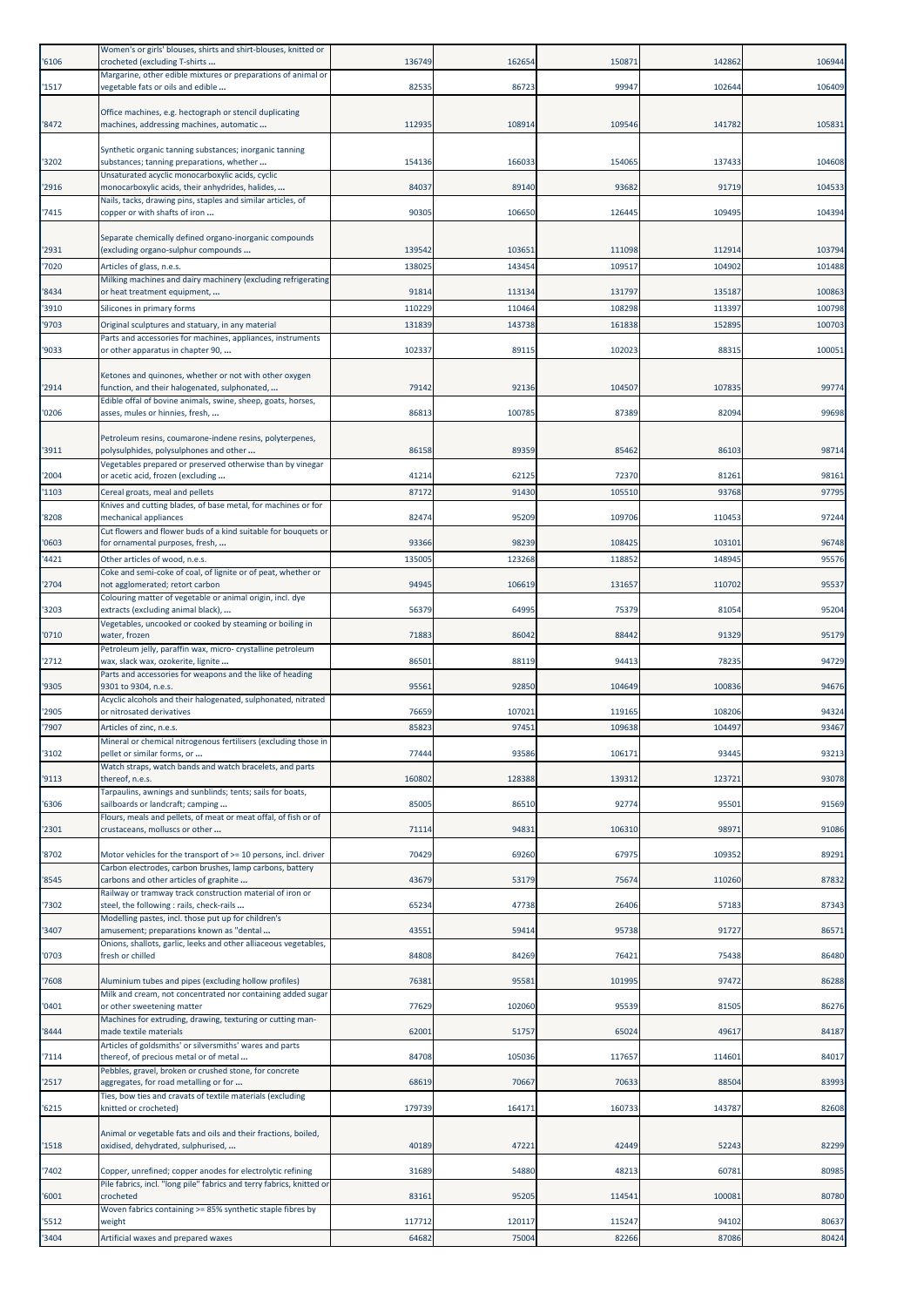| '6106 | Women's or girls' blouses, shirts and shirt-blouses, knitted or<br>crocheted (excluding T-shirts             | 136749 | 162654          | 150871           | 142862           | 106944         |
|-------|--------------------------------------------------------------------------------------------------------------|--------|-----------------|------------------|------------------|----------------|
| '1517 | Margarine, other edible mixtures or preparations of animal or<br>vegetable fats or oils and edible           | 82535  | 86723           | 99947            | 102644           | 106409         |
|       |                                                                                                              |        |                 |                  |                  |                |
| '8472 | Office machines, e.g. hectograph or stencil duplicating<br>machines, addressing machines, automatic          | 112935 | 108914          | 109546           | 141782           | 105831         |
|       | Synthetic organic tanning substances; inorganic tanning                                                      |        |                 |                  |                  |                |
| '3202 | substances; tanning preparations, whether                                                                    | 154136 | 166033          | 154065           | 137433           | 104608         |
| '2916 | Unsaturated acyclic monocarboxylic acids, cyclic<br>monocarboxylic acids, their anhydrides, halides,         | 84037  | 89140           | 93682            | 91719            | 104533         |
| '7415 | Nails, tacks, drawing pins, staples and similar articles, of<br>copper or with shafts of iron                | 90305  | 106650          | 126445           | 109495           | 104394         |
|       |                                                                                                              |        |                 |                  |                  |                |
| '2931 | Separate chemically defined organo-inorganic compounds<br>(excluding organo-sulphur compounds                | 139542 | 103651          | 111098           | 112914           | 103794         |
| '7020 | Articles of glass, n.e.s.                                                                                    | 13802  | 143454          | 109517           | 104902           | 101488         |
| '8434 | Milking machines and dairy machinery (excluding refrigerating<br>or heat treatment equipment,                | 91814  | 113134          | 131797           | 135187           | 100863         |
| '3910 | Silicones in primary forms                                                                                   | 110229 | 110464          | 108298           | 113397           | 100798         |
| '9703 | Original sculptures and statuary, in any material                                                            | 131839 | 143738          | 161838           | 152895           | 100703         |
| '9033 | Parts and accessories for machines, appliances, instruments<br>or other apparatus in chapter 90,             | 102337 | 89115           | 102023           | 88315            | 100051         |
|       | Ketones and quinones, whether or not with other oxygen                                                       |        |                 |                  |                  |                |
| '2914 | function, and their halogenated, sulphonated,                                                                | 79142  | 92136           | 104507           | 107835           | 99774          |
| '0206 | Edible offal of bovine animals, swine, sheep, goats, horses,<br>asses, mules or hinnies, fresh,              | 86813  | 100785          | 87389            | 82094            | 99698          |
|       |                                                                                                              |        |                 |                  |                  |                |
| '3911 | Petroleum resins, coumarone-indene resins, polyterpenes,<br>polysulphides, polysulphones and other           | 86158  | 89359           | 85462            | 86103            | 98714          |
| '2004 | Vegetables prepared or preserved otherwise than by vinegar<br>or acetic acid, frozen (excluding              | 41214  | 62125           | 72370            | 81261            | 98161          |
| '1103 | Cereal groats, meal and pellets                                                                              | 87172  | 91430           | 105510           | 93768            | 97795          |
| '8208 | Knives and cutting blades, of base metal, for machines or for<br>mechanical appliances                       | 82474  | 95209           | 109706           | 110453           | 97244          |
|       | Cut flowers and flower buds of a kind suitable for bouquets or                                               |        |                 |                  |                  |                |
| '0603 | for ornamental purposes, fresh,                                                                              | 93366  | 98239<br>123268 | 108425<br>118852 | 103101<br>148945 | 96748<br>95576 |
| '4421 | Other articles of wood, n.e.s.<br>Coke and semi-coke of coal, of lignite or of peat, whether or              | 135005 |                 |                  |                  |                |
| '2704 | not agglomerated; retort carbon<br>Colouring matter of vegetable or animal origin, incl. dye                 | 94945  | 106619          | 131657           | 110702           | 95537          |
| '3203 | extracts (excluding animal black),                                                                           | 56379  | 64995           | 75379            | 81054            | 95204          |
| '0710 | Vegetables, uncooked or cooked by steaming or boiling in<br>water, frozen                                    | 71883  | 86042           | 88442            | 91329            | 95179          |
| '2712 | Petroleum jelly, paraffin wax, micro- crystalline petroleum<br>wax, slack wax, ozokerite, lignite            | 86501  | 88119           | 94413            | 78235            | 94729          |
|       | Parts and accessories for weapons and the like of heading                                                    |        |                 |                  |                  |                |
| '9305 | 9301 to 9304, n.e.s.<br>Acyclic alcohols and their halogenated, sulphonated, nitrated                        | 95561  | 92850           | 104649           | 100836           | 94676          |
| '2905 | or nitrosated derivatives                                                                                    | 76659  | 107021          | 119165           | 108206           | 94324          |
| '7907 | Articles of zinc, n.e.s.<br>Mineral or chemical nitrogenous fertilisers (excluding those ir                  | 85823  | 97451           | 109638           | 104497           | 93467          |
| '3102 | pellet or similar forms, or                                                                                  | 77444  | 93586           | 106171           | 93445            | 93213          |
| '9113 | Watch straps, watch bands and watch bracelets, and parts<br>thereof, n.e.s.                                  | 160802 | 128388          | 139312           | 123721           | 93078          |
| '6306 | Tarpaulins, awnings and sunblinds; tents; sails for boats,<br>sailboards or landcraft; camping               | 85005  | 86510           | 92774            | 95501            | 91569          |
|       | Flours, meals and pellets, of meat or meat offal, of fish or of                                              |        |                 |                  |                  |                |
| '2301 | crustaceans, molluscs or other                                                                               | 71114  | 94831           | 106310           | 98971            | 91086          |
| '8702 | Motor vehicles for the transport of >= 10 persons, incl. driver                                              | 70429  | 69260           | 67975            | 109352           | 89291          |
| '8545 | Carbon electrodes, carbon brushes, lamp carbons, battery<br>carbons and other articles of graphite           | 43679  | 53179           | 75674            | 110260           | 87832          |
| '7302 | Railway or tramway track construction material of iron or<br>steel, the following : rails, check-rails       | 65234  | 47738           | 26406            | 57183            | 87343          |
|       | Modelling pastes, incl. those put up for children's                                                          |        |                 |                  |                  |                |
| '3407 | amusement; preparations known as "dental<br>Onions, shallots, garlic, leeks and other alliaceous vegetables, | 4355   | 59414           | 95738            | 91727            | 86571          |
| '0703 | fresh or chilled                                                                                             | 84808  | 84269           | 76421            | 75438            | 86480          |
| '7608 | Aluminium tubes and pipes (excluding hollow profiles)                                                        | 76381  | 95581           | 101995           | 97472            | 86288          |
| '0401 | Milk and cream, not concentrated nor containing added sugar<br>or other sweetening matter                    | 77629  | 102060          | 95539            | 81505            | 86276          |
|       | Machines for extruding, drawing, texturing or cutting man-                                                   |        |                 |                  |                  |                |
| '8444 | made textile materials<br>Articles of goldsmiths' or silversmiths' wares and parts                           | 62001  | 51757           | 65024            | 49617            | 84187          |
| '7114 | thereof, of precious metal or of metal<br>Pebbles, gravel, broken or crushed stone, for concrete             | 84708  | 105036          | 117657           | 114601           | 84017          |
| '2517 | aggregates, for road metalling or for                                                                        | 68619  | 70667           | 70633            | 88504            | 83993          |
| '6215 | Ties, bow ties and cravats of textile materials (excluding<br>knitted or crocheted)                          | 179739 | 164171          | 160733           | 143787           | 82608          |
|       | Animal or vegetable fats and oils and their fractions, boiled,                                               |        |                 |                  |                  |                |
| '1518 | oxidised, dehydrated, sulphurised,                                                                           | 40189  | 47221           | 42449            | 52243            | 82299          |
| '7402 | Copper, unrefined; copper anodes for electrolytic refining                                                   | 31689  | 54880           | 48213            | 60781            | 80985          |
| '6001 | Pile fabrics, incl. "long pile" fabrics and terry fabrics, knitted or<br>crocheted                           | 83161  | 95205           | 114541           | 100081           | 80780          |
|       | Woven fabrics containing >= 85% synthetic staple fibres by                                                   |        |                 |                  |                  |                |
| '5512 | weight                                                                                                       | 117712 | 120117          | 115247           | 94102            | 80637          |
| '3404 | Artificial waxes and prepared waxes                                                                          | 64682  | 75004           | 82266            | 87086            | 80424          |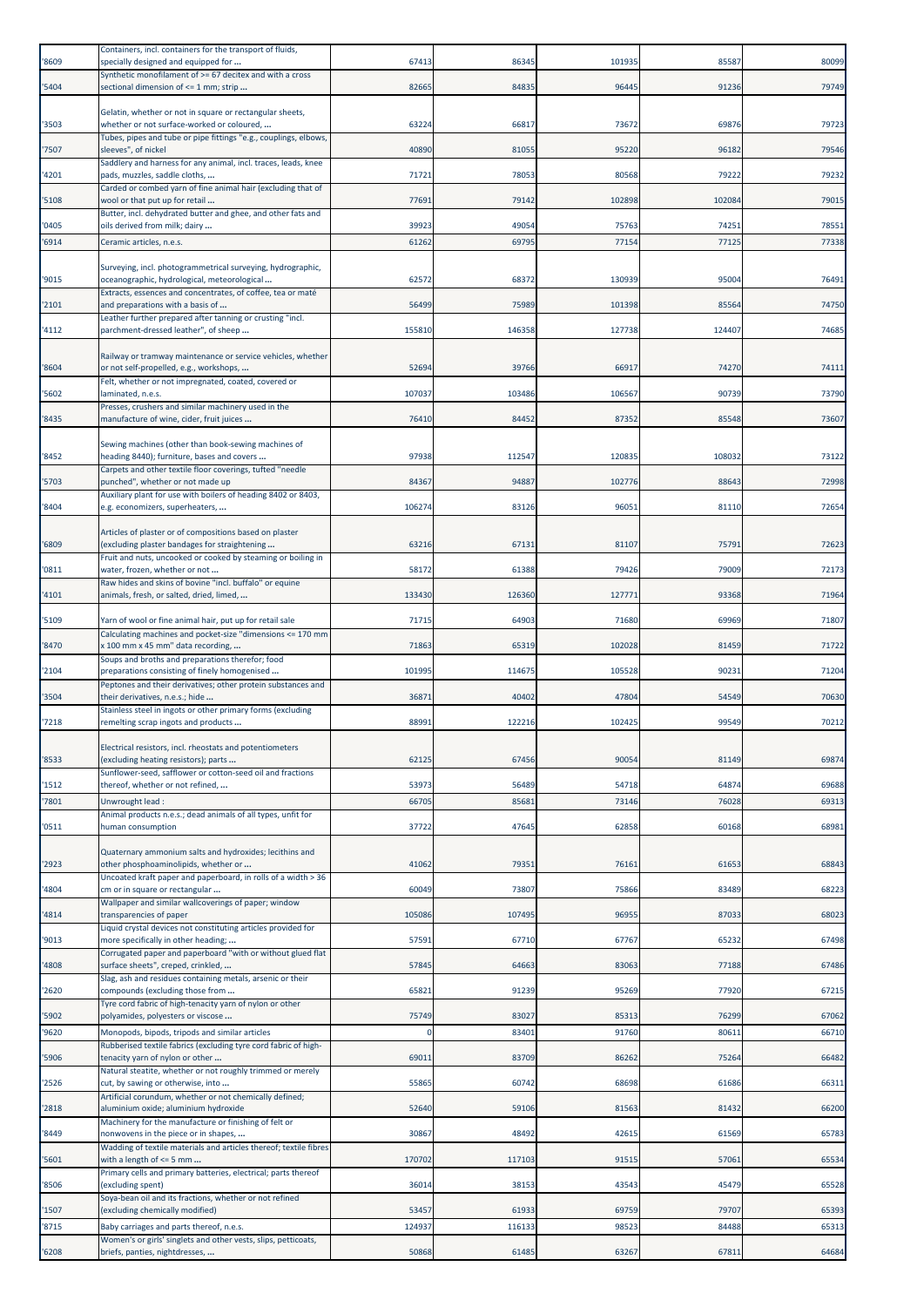| '8609          | Containers, incl. containers for the transport of fluids,<br>specially designed and equipped for              | 67413           | 86345           | 101935         | 85587          | 80099          |
|----------------|---------------------------------------------------------------------------------------------------------------|-----------------|-----------------|----------------|----------------|----------------|
| '5404          | Synthetic monofilament of >= 67 decitex and with a cross<br>sectional dimension of <= 1 mm; strip             | 82665           | 84835           | 96445          | 91236          | 79749          |
|                |                                                                                                               |                 |                 |                |                |                |
| '3503          | Gelatin, whether or not in square or rectangular sheets,<br>whether or not surface-worked or coloured,        | 63224           | 66817           | 73672          | 69876          | 79723          |
| '7507          | Tubes, pipes and tube or pipe fittings "e.g., couplings, elbows,<br>sleeves", of nickel                       | 40890           | 81055           | 95220          | 96182          | 79546          |
| '4201          | Saddlery and harness for any animal, incl. traces, leads, knee<br>pads, muzzles, saddle cloths,               | 71721           | 78053           | 80568          | 79222          | 79232          |
| '5108          | Carded or combed yarn of fine animal hair (excluding that of<br>wool or that put up for retail                | 77691           | 79142           | 102898         | 102084         | 79015          |
| '0405          | Butter, incl. dehydrated butter and ghee, and other fats and<br>oils derived from milk; dairy                 | 39923           | 49054           | 75763          | 74251          | 78551          |
| '6914          | Ceramic articles, n.e.s.                                                                                      | 61262           | 69795           | 77154          | 77125          | 77338          |
|                | Surveying, incl. photogrammetrical surveying, hydrographic,                                                   |                 |                 |                |                |                |
| '9015          | oceanographic, hydrological, meteorological<br>Extracts, essences and concentrates, of coffee, tea or maté    | 62572           | 68372           | 130939         | 95004          | 76491          |
| '2101          | and preparations with a basis of<br>Leather further prepared after tanning or crusting "incl.                 | 56499           | 75989           | 101398         | 85564          | 74750          |
| '4112          | parchment-dressed leather", of sheep                                                                          | 155810          | 146358          | 127738         | 124407         | 74685          |
|                | Railway or tramway maintenance or service vehicles, whether                                                   |                 |                 |                |                |                |
| '8604          | or not self-propelled, e.g., workshops,<br>Felt, whether or not impregnated, coated, covered or               | 52694           | 39766           | 66917          | 74270          | 74111          |
| '5602          | laminated, n.e.s.<br>Presses, crushers and similar machinery used in the                                      | 107037          | 103486          | 106567         | 90739          | 73790          |
| '8435          | manufacture of wine, cider, fruit juices                                                                      | 76410           | 84452           | 87352          | 85548          | 73607          |
| '8452          | Sewing machines (other than book-sewing machines of<br>heading 8440); furniture, bases and covers             | 97938           | 112547          | 120835         | 108032         | 73122          |
|                | Carpets and other textile floor coverings, tufted "needle                                                     |                 |                 |                |                |                |
| '5703          | punched", whether or not made up<br>Auxiliary plant for use with boilers of heading 8402 or 8403,             | 84367           | 94887           | 102776         | 88643          | 72998          |
| '8404          | e.g. economizers, superheaters,                                                                               | 106274          | 83126           | 96051          | 81110          | 72654          |
| '6809          | Articles of plaster or of compositions based on plaster<br>(excluding plaster bandages for straightening      | 63216           | 67131           | 81107          | 75791          | 72623          |
| '0811          | Fruit and nuts, uncooked or cooked by steaming or boiling in<br>water, frozen, whether or not                 | 58172           | 61388           | 79426          | 79009          | 72173          |
| '4101          | Raw hides and skins of bovine "incl. buffalo" or equine<br>animals, fresh, or salted, dried, limed,           | 133430          | 126360          | 127771         | 93368          | 71964          |
| '5109          | Yarn of wool or fine animal hair, put up for retail sale                                                      | 71715           | 64903           | 71680          | 69969          | 71807          |
| '8470          | Calculating machines and pocket-size "dimensions <= 170 mm<br>x 100 mm x 45 mm" data recording,               | 71863           | 65319           | 102028         | 81459          | 71722          |
|                | Soups and broths and preparations therefor; food                                                              |                 |                 |                |                |                |
| '2104          | preparations consisting of finely homogenised<br>Peptones and their derivatives; other protein substances and | 101995          | 114675          | 105528         | 90231          | 71204          |
| '3504          | their derivatives, n.e.s.; hide<br>Stainless steel in ingots or other primary forms (excluding                | 36871           | 40402           | 47804          | 54549          | 70630          |
| '7218          | remelting scrap ingots and products                                                                           | 88991           | 122216          | 102425         | 99549          | 70212          |
| '8533          | Electrical resistors, incl. rheostats and potentiometers<br>(excluding heating resistors); parts              | 62125           | 67456           | 90054          | 81149          | 69874          |
| '1512          | Sunflower-seed, safflower or cotton-seed oil and fractions<br>thereof, whether or not refined,                | 53973           | 56489           | 54718          | 64874          | 69688          |
| '7801          | Unwrought lead:                                                                                               | 6670            | 85681           | 73146          | 76028          | 69313          |
| '0511          | Animal products n.e.s.; dead animals of all types, unfit for<br>human consumption                             | 37722           | 47645           | 62858          | 60168          | 68981          |
|                | Quaternary ammonium salts and hydroxides; lecithins and                                                       |                 |                 |                |                |                |
| '2923          | other phosphoaminolipids, whether or<br>Uncoated kraft paper and paperboard, in rolls of a width > 36         | 41062           | 79351           | 76161          | 61653          | 68843          |
| '4804          | cm or in square or rectangular                                                                                | 60049           | 73807           | 75866          | 83489          | 68223          |
| '4814          | Wallpaper and similar wallcoverings of paper; window<br>transparencies of paper                               | 105086          | 107495          | 96955          | 87033          | 68023          |
| '9013          | Liquid crystal devices not constituting articles provided for<br>more specifically in other heading;          | 57591           | 67710           | 67767          | 65232          | 67498          |
| '4808          | Corrugated paper and paperboard "with or without glued flat<br>surface sheets", creped, crinkled,             | 57845           | 64663           | 83063          | 77188          | 67486          |
| '2620          | Slag, ash and residues containing metals, arsenic or their<br>compounds (excluding those from                 | 65821           | 91239           | 95269          | 77920          | 67215          |
| '5902          | Tyre cord fabric of high-tenacity yarn of nylon or other<br>polyamides, polyesters or viscose                 | 75749           | 83027           | 85313          | 76299          | 67062          |
| '9620          | Monopods, bipods, tripods and similar articles                                                                |                 | 83401           | 91760          | 80611          | 66710          |
| '5906          | Rubberised textile fabrics (excluding tyre cord fabric of high-<br>tenacity yarn of nylon or other            | 6901:           | 83709           | 86262          | 75264          | 66482          |
| '2526          | Natural steatite, whether or not roughly trimmed or merely<br>cut, by sawing or otherwise, into               | 55865           | 60742           | 68698          | 61686          | 66311          |
| '2818          | Artificial corundum, whether or not chemically defined;<br>aluminium oxide; aluminium hydroxide               | 52640           | 59106           | 81563          | 81432          | 66200          |
|                | Machinery for the manufacture or finishing of felt or                                                         | 30867           |                 |                |                |                |
| '8449          | nonwovens in the piece or in shapes,<br>Wadding of textile materials and articles thereof; textile fibres     |                 | 48492           | 42615          | 61569          | 65783          |
| '5601          | with a length of $\leq$ 5 mm<br>Primary cells and primary batteries, electrical; parts thereof                | 170702          | 117103          | 91515          | 57061          | 65534          |
| '8506          | (excluding spent)<br>Soya-bean oil and its fractions, whether or not refined                                  | 36014           | 38153           | 43543          | 45479          | 65528          |
| '1507<br>'8715 | (excluding chemically modified)<br>Baby carriages and parts thereof, n.e.s.                                   | 53457<br>124937 | 61933<br>116133 | 69759<br>98523 | 79707<br>84488 | 65393<br>65313 |
|                | Women's or girls' singlets and other vests, slips, petticoats,                                                |                 |                 |                |                |                |
| '6208          | briefs, panties, nightdresses,                                                                                | 50868           | 61485           | 63267          | 67811          | 64684          |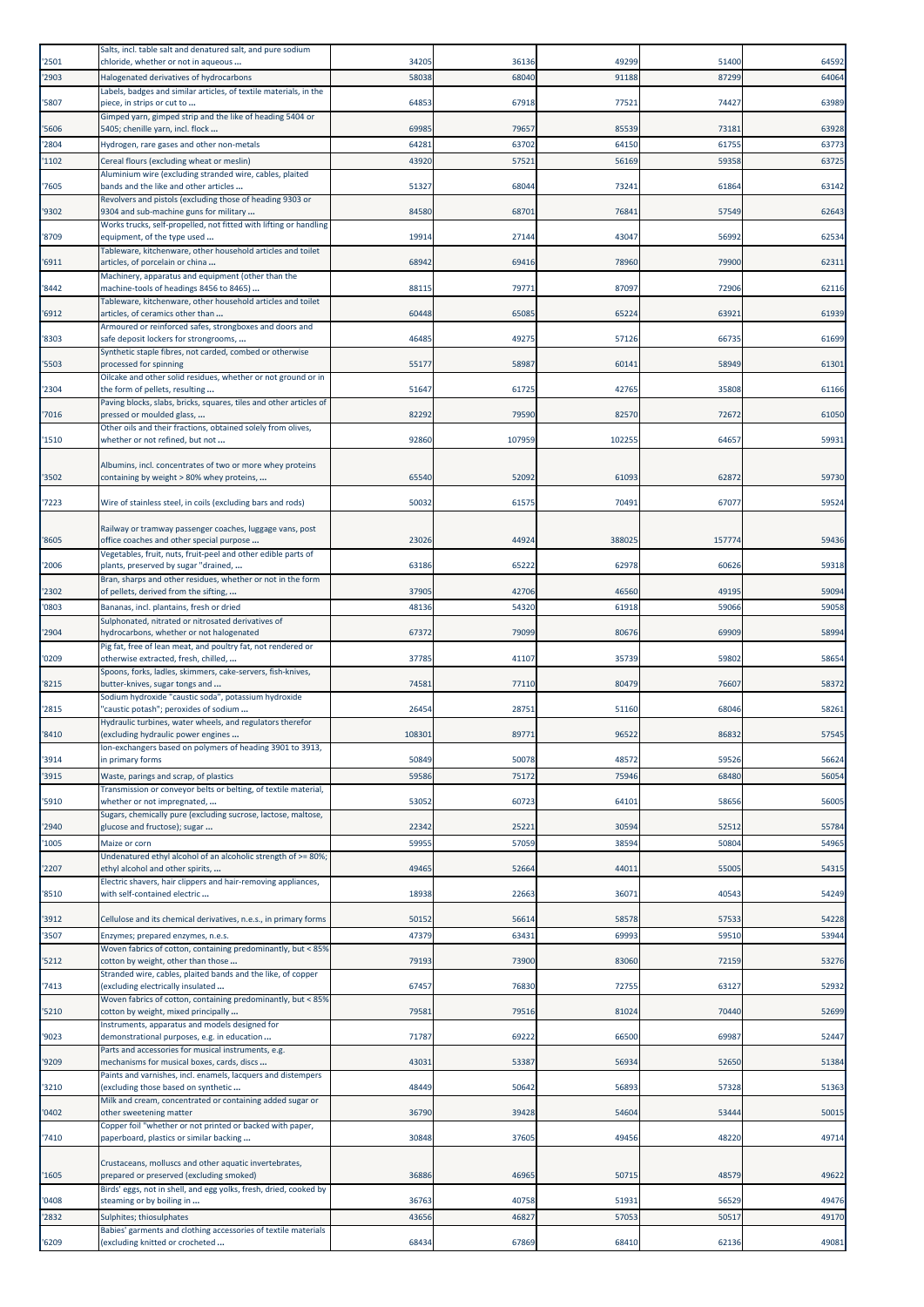|       | Salts, incl. table salt and denatured salt, and pure sodium                                               |        |        |        |        |       |
|-------|-----------------------------------------------------------------------------------------------------------|--------|--------|--------|--------|-------|
| '2501 | chloride, whether or not in aqueous                                                                       | 34205  | 36136  | 49299  | 51400  | 64592 |
| '2903 | Halogenated derivatives of hydrocarbons                                                                   | 58038  | 68040  | 91188  | 87299  | 64064 |
|       | Labels, badges and similar articles, of textile materials, in the                                         |        |        |        |        |       |
| 5807  | piece, in strips or cut to                                                                                | 64853  | 67918  | 77521  | 74427  | 63989 |
| '5606 | Gimped yarn, gimped strip and the like of heading 5404 or<br>5405; chenille yarn, incl. flock             | 69985  | 79657  | 85539  | 73181  | 63928 |
| 2804  | Hydrogen, rare gases and other non-metals                                                                 | 64281  | 63702  | 64150  | 61755  | 63773 |
| '1102 | Cereal flours (excluding wheat or meslin)                                                                 | 4392   | 57521  | 56169  | 59358  | 63725 |
|       | Aluminium wire (excluding stranded wire, cables, plaited                                                  |        |        |        |        |       |
| 7605  | bands and the like and other articles                                                                     | 51327  | 68044  | 73241  | 61864  | 63142 |
|       | Revolvers and pistols (excluding those of heading 9303 or                                                 |        |        |        |        |       |
| '9302 | 9304 and sub-machine guns for military                                                                    | 84580  | 68701  | 76841  | 57549  | 62643 |
| '8709 | Works trucks, self-propelled, not fitted with lifting or handling<br>equipment, of the type used          | 19914  | 27144  | 43047  | 56992  | 62534 |
|       | Tableware, kitchenware, other household articles and toilet                                               |        |        |        |        |       |
| '6911 | articles, of porcelain or china                                                                           | 68942  | 69416  | 78960  | 79900  | 62311 |
|       | Machinery, apparatus and equipment (other than the                                                        |        | 79771  | 87097  | 72906  | 62116 |
| '8442 | machine-tools of headings 8456 to 8465)<br>Tableware, kitchenware, other household articles and toilet    | 8811   |        |        |        |       |
| '6912 | articles, of ceramics other than                                                                          | 60448  | 65085  | 65224  | 63921  | 61939 |
|       | Armoured or reinforced safes, strongboxes and doors and                                                   |        |        |        |        |       |
| '8303 | safe deposit lockers for strongrooms,                                                                     | 46485  | 49275  | 57126  | 66735  | 61699 |
| '5503 | Synthetic staple fibres, not carded, combed or otherwise<br>processed for spinning                        | 55177  | 58987  | 60141  | 58949  | 61301 |
|       | Oilcake and other solid residues, whether or not ground or in                                             |        |        |        |        |       |
| '2304 | the form of pellets, resulting                                                                            | 51647  | 61725  | 42765  | 35808  | 61166 |
|       | Paving blocks, slabs, bricks, squares, tiles and other articles of                                        |        |        |        |        |       |
| '7016 | pressed or moulded glass,<br>Other oils and their fractions, obtained solely from olives,                 | 82292  | 79590  | 82570  | 72672  | 61050 |
| '1510 | whether or not refined, but not                                                                           | 92860  | 107959 | 102255 | 64657  | 59931 |
|       |                                                                                                           |        |        |        |        |       |
|       | Albumins, incl. concentrates of two or more whey proteins                                                 |        |        |        |        |       |
| '3502 | containing by weight > 80% whey proteins,                                                                 | 65540  | 52092  | 61093  | 62872  | 59730 |
| '7223 | Wire of stainless steel, in coils (excluding bars and rods)                                               | 50032  | 61575  | 70491  | 67077  | 59524 |
|       |                                                                                                           |        |        |        |        |       |
|       | Railway or tramway passenger coaches, luggage vans, post                                                  |        |        |        |        |       |
| '8605 | office coaches and other special purpose<br>Vegetables, fruit, nuts, fruit-peel and other edible parts of | 23026  | 44924  | 388025 | 157774 | 59436 |
| '2006 | plants, preserved by sugar "drained,                                                                      | 63186  | 65222  | 62978  | 60626  | 59318 |
|       | Bran, sharps and other residues, whether or not in the form                                               |        |        |        |        |       |
| '2302 | of pellets, derived from the sifting,                                                                     | 37905  | 42706  | 46560  | 49195  | 59094 |
| '0803 | Bananas, incl. plantains, fresh or dried                                                                  | 48136  | 54320  | 61918  | 59066  | 59058 |
| '2904 | Sulphonated, nitrated or nitrosated derivatives of<br>hydrocarbons, whether or not halogenated            | 67372  | 79099  | 80676  | 69909  | 58994 |
|       | Pig fat, free of lean meat, and poultry fat, not rendered or                                              |        |        |        |        |       |
| '0209 | otherwise extracted, fresh, chilled,                                                                      | 37785  | 41107  | 35739  | 59802  | 58654 |
|       | Spoons, forks, ladles, skimmers, cake-servers, fish-knives,                                               |        |        |        |        |       |
| '8215 | butter-knives, sugar tongs and                                                                            | 74581  | 77110  | 80479  | 76607  | 58372 |
| '2815 | Sodium hydroxide "caustic soda", potassium hydroxide<br>'caustic potash"; peroxides of sodium             | 26454  | 28751  | 51160  | 68046  | 58261 |
|       | Hydraulic turbines, water wheels, and regulators therefor                                                 |        |        |        |        |       |
| '8410 | (excluding hydraulic power engines                                                                        | 108301 | 89771  | 96522  | 86832  | 57545 |
|       | Ion-exchangers based on polymers of heading 3901 to 3913,                                                 |        |        | 48572  |        |       |
| '3914 | in primary forms                                                                                          | 50849  | 50078  |        | 59526  | 56624 |
| '3915 | Waste, parings and scrap, of plastics<br>Transmission or conveyor belts or belting, of textile material,  | 59586  | 75172  | 75946  | 68480  | 56054 |
| 5910  | whether or not impregnated,                                                                               | 53052  | 60723  | 64101  | 58656  | 56005 |
|       | Sugars, chemically pure (excluding sucrose, lactose, maltose,                                             |        |        |        |        |       |
| '2940 | glucose and fructose); sugar                                                                              | 22342  | 25221  | 30594  | 52512  | 55784 |
| '1005 | Maize or corn                                                                                             | 59955  | 57059  | 38594  | 50804  | 54965 |
| '2207 | Undenatured ethyl alcohol of an alcoholic strength of >= 80%;<br>ethyl alcohol and other spirits,         | 49465  | 52664  | 44011  | 55005  | 54315 |
|       | Electric shavers, hair clippers and hair-removing appliances,                                             |        |        |        |        |       |
| '8510 | with self-contained electric                                                                              | 18938  | 22663  | 36071  | 40543  | 54249 |
|       |                                                                                                           |        |        |        |        |       |
| '3912 | Cellulose and its chemical derivatives, n.e.s., in primary forms                                          | 50152  | 56614  | 58578  | 57533  | 54228 |
| '3507 | Enzymes; prepared enzymes, n.e.s.                                                                         | 47379  | 63431  | 69993  | 59510  | 53944 |
| '5212 | Woven fabrics of cotton, containing predominantly, but < 85%<br>cotton by weight, other than those        | 79193  | 73900  | 83060  | 72159  | 53276 |
|       | Stranded wire, cables, plaited bands and the like, of copper                                              |        |        |        |        |       |
| '7413 | (excluding electrically insulated                                                                         | 67457  | 76830  | 72755  | 63127  | 52932 |
|       | Woven fabrics of cotton, containing predominantly, but < 85%                                              |        |        |        |        |       |
| '5210 | cotton by weight, mixed principally<br>Instruments, apparatus and models designed for                     | 79581  | 79516  | 81024  | 70440  | 52699 |
| '9023 | demonstrational purposes, e.g. in education                                                               | 71787  | 69222  | 66500  | 69987  | 52447 |
|       | Parts and accessories for musical instruments, e.g.                                                       |        |        |        |        |       |
| '9209 | mechanisms for musical boxes, cards, discs                                                                | 43031  | 53387  | 56934  | 52650  | 51384 |
| '3210 | Paints and varnishes, incl. enamels, lacquers and distempers<br>(excluding those based on synthetic       | 48449  | 50642  | 56893  | 57328  | 51363 |
|       | Milk and cream, concentrated or containing added sugar or                                                 |        |        |        |        |       |
| '0402 | other sweetening matter                                                                                   | 36790  | 39428  | 54604  | 53444  | 50015 |
|       | Copper foil "whether or not printed or backed with paper,                                                 |        |        |        |        |       |
| '7410 | paperboard, plastics or similar backing                                                                   | 30848  | 37605  | 49456  | 48220  | 49714 |
|       | Crustaceans, molluscs and other aquatic invertebrates,                                                    |        |        |        |        |       |
| '1605 | prepared or preserved (excluding smoked)                                                                  | 36886  | 46965  | 50715  | 48579  | 49622 |
|       | Birds' eggs, not in shell, and egg yolks, fresh, dried, cooked by                                         |        |        |        |        |       |
| '0408 | steaming or by boiling in                                                                                 | 36763  | 40758  | 51931  | 56529  | 49476 |
| '2832 | Sulphites; thiosulphates<br>Babies' garments and clothing accessories of textile materials                | 43656  | 46827  | 57053  | 50517  | 49170 |
| '6209 | (excluding knitted or crocheted                                                                           | 68434  | 67869  | 68410  | 62136  | 49081 |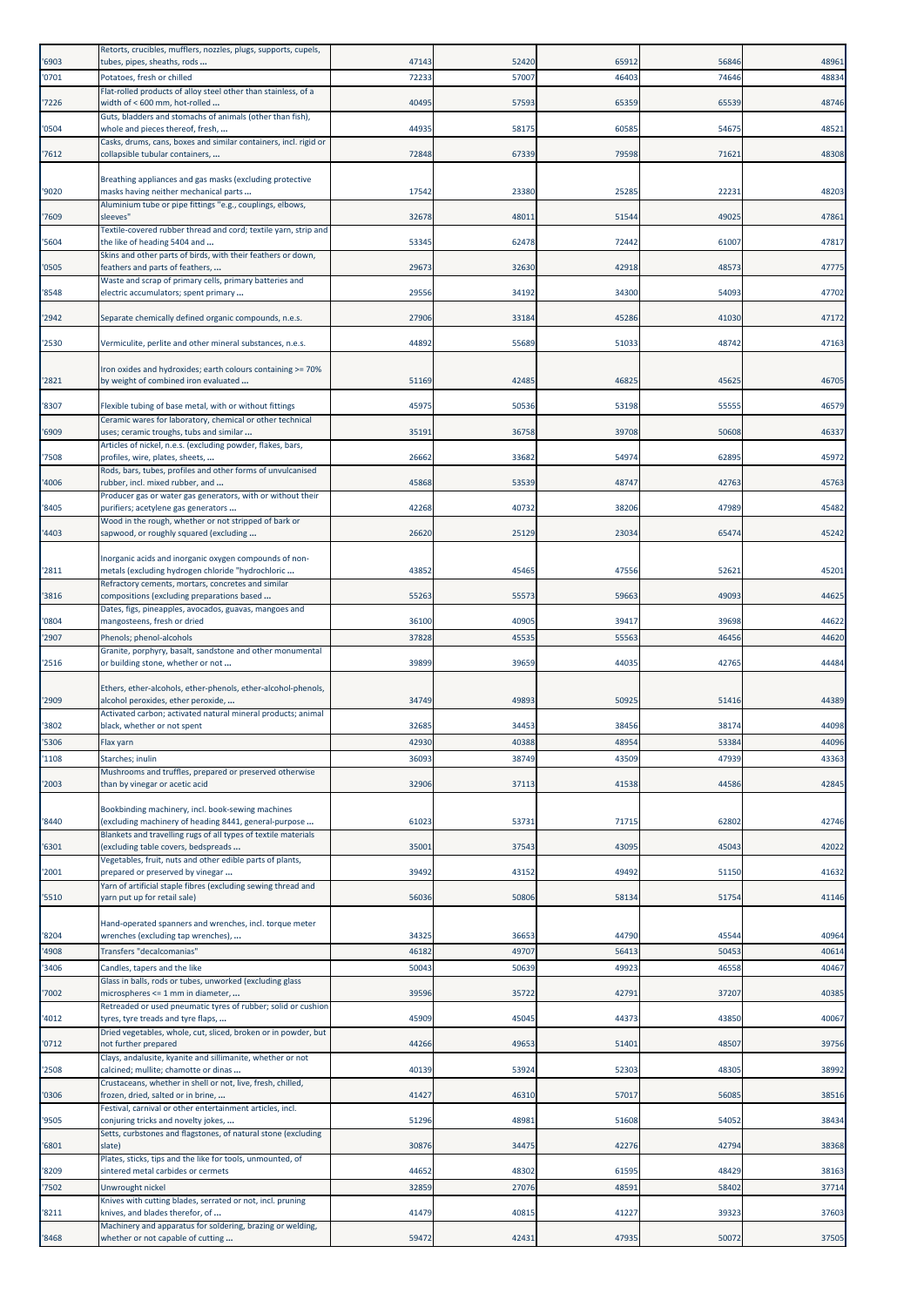|       | Retorts, crucibles, mufflers, nozzles, plugs, supports, cupels,                                            |       |       |       |       |       |
|-------|------------------------------------------------------------------------------------------------------------|-------|-------|-------|-------|-------|
| '6903 | tubes, pipes, sheaths, rods                                                                                | 47143 | 52420 | 65912 | 56846 | 48961 |
| '0701 | Potatoes, fresh or chilled                                                                                 | 72233 | 57007 | 46403 | 74646 | 48834 |
|       | Flat-rolled products of alloy steel other than stainless, of a                                             |       |       |       |       |       |
| '7226 | width of < 600 mm, hot-rolled                                                                              | 40495 | 57593 | 65359 | 65539 | 48746 |
| '0504 | Guts, bladders and stomachs of animals (other than fish),<br>whole and pieces thereof, fresh,              | 44935 | 58175 | 60585 | 54675 | 48521 |
|       | Casks, drums, cans, boxes and similar containers, incl. rigid or                                           |       |       |       |       |       |
| '7612 | collapsible tubular containers,                                                                            | 72848 | 67339 | 79598 | 71621 | 48308 |
|       |                                                                                                            |       |       |       |       |       |
|       | Breathing appliances and gas masks (excluding protective                                                   |       |       |       |       |       |
| '9020 | masks having neither mechanical parts                                                                      | 17542 | 23380 | 25285 | 22231 | 48203 |
|       | Aluminium tube or pipe fittings "e.g., couplings, elbows,                                                  |       |       |       |       |       |
| '7609 | sleeves"                                                                                                   | 32678 | 48011 | 51544 | 49025 | 47861 |
| '5604 | Textile-covered rubber thread and cord; textile yarn, strip and<br>the like of heading 5404 and            | 53345 | 62478 | 72442 | 61007 | 47817 |
|       | Skins and other parts of birds, with their feathers or down,                                               |       |       |       |       |       |
| '0505 | feathers and parts of feathers,                                                                            | 29673 | 32630 | 42918 | 48573 | 47775 |
|       | Waste and scrap of primary cells, primary batteries and                                                    |       |       |       |       |       |
| '8548 | electric accumulators; spent primary                                                                       | 29556 | 34192 | 34300 | 54093 | 47702 |
|       |                                                                                                            |       |       |       |       |       |
| '2942 | Separate chemically defined organic compounds, n.e.s.                                                      | 27906 | 33184 | 45286 | 41030 | 47172 |
|       |                                                                                                            |       |       |       |       |       |
| '2530 | Vermiculite, perlite and other mineral substances, n.e.s.                                                  | 44892 | 55689 | 51033 | 48742 | 47163 |
|       | Iron oxides and hydroxides; earth colours containing >= 70%                                                |       |       |       |       |       |
| '2821 | by weight of combined iron evaluated                                                                       | 51169 | 42485 | 46825 | 45625 | 46705 |
|       |                                                                                                            |       |       |       |       |       |
| '8307 | Flexible tubing of base metal, with or without fittings                                                    | 45975 | 50536 | 53198 | 55555 | 46579 |
|       | Ceramic wares for laboratory, chemical or other technical                                                  |       |       |       |       |       |
| '6909 | uses; ceramic troughs, tubs and similar                                                                    | 35191 | 36758 | 39708 | 50608 | 46337 |
|       | Articles of nickel, n.e.s. (excluding powder, flakes, bars,                                                |       |       |       |       |       |
| '7508 | profiles, wire, plates, sheets,                                                                            | 26662 | 33682 | 54974 | 62895 | 45972 |
| '4006 | Rods, bars, tubes, profiles and other forms of unvulcanised<br>rubber, incl. mixed rubber, and             | 45868 | 53539 | 48747 | 42763 | 45763 |
|       | Producer gas or water gas generators, with or without their                                                |       |       |       |       |       |
| '8405 | purifiers; acetylene gas generators                                                                        | 42268 | 40732 | 38206 | 47989 | 45482 |
|       | Wood in the rough, whether or not stripped of bark or                                                      |       |       |       |       |       |
| '4403 | sapwood, or roughly squared (excluding                                                                     | 26620 | 25129 | 23034 | 65474 | 45242 |
|       |                                                                                                            |       |       |       |       |       |
|       | Inorganic acids and inorganic oxygen compounds of non-                                                     |       |       |       |       |       |
| '2811 | metals (excluding hydrogen chloride "hydrochloric                                                          | 4385  | 45465 | 47556 | 52621 | 45201 |
| '3816 | Refractory cements, mortars, concretes and similar<br>compositions (excluding preparations based           | 55263 | 55573 | 59663 | 49093 | 44625 |
|       | Dates, figs, pineapples, avocados, guavas, mangoes and                                                     |       |       |       |       |       |
| '0804 | mangosteens, fresh or dried                                                                                | 36100 | 40905 | 39417 | 39698 | 44622 |
| '2907 | Phenols; phenol-alcohols                                                                                   | 3782  | 45535 | 55563 | 46456 | 44620 |
|       | Granite, porphyry, basalt, sandstone and other monumental                                                  |       |       |       |       |       |
| '2516 | or building stone, whether or not                                                                          | 39899 | 39659 | 44035 | 42765 | 44484 |
|       |                                                                                                            |       |       |       |       |       |
|       | Ethers, ether-alcohols, ether-phenols, ether-alcohol-phenols,                                              |       |       |       |       |       |
| '2909 | alcohol peroxides, ether peroxide,                                                                         | 34749 | 49893 | 50925 | 51416 | 44389 |
|       | Activated carbon; activated natural mineral products; animal                                               |       |       |       |       |       |
| '3802 | black, whether or not spent                                                                                | 32685 | 34453 | 38456 | 38174 | 44098 |
| '5306 | Flax yarn                                                                                                  | 42930 | 40388 | 48954 | 53384 | 44096 |
| '1108 | Starches; inulin                                                                                           | 36093 | 38749 | 43509 | 47939 | 43363 |
|       | Mushrooms and truffles, prepared or preserved otherwise                                                    |       |       |       |       |       |
| '2003 | than by vinegar or acetic acid                                                                             | 32906 | 37113 | 41538 | 44586 | 42845 |
|       |                                                                                                            |       |       |       |       |       |
| '8440 | Bookbinding machinery, incl. book-sewing machines<br>(excluding machinery of heading 8441, general-purpose | 61023 | 53731 | 71715 | 62802 | 42746 |
|       | Blankets and travelling rugs of all types of textile materials                                             |       |       |       |       |       |
| '6301 | (excluding table covers, bedspreads                                                                        | 35001 | 37543 | 43095 | 45043 | 42022 |
|       | Vegetables, fruit, nuts and other edible parts of plants,                                                  |       |       |       |       |       |
| '2001 | prepared or preserved by vinegar                                                                           | 39492 | 43152 | 49492 | 51150 | 41632 |
|       | Yarn of artificial staple fibres (excluding sewing thread and                                              |       |       |       |       |       |
| '5510 | yarn put up for retail sale)                                                                               | 56036 | 50806 | 58134 | 51754 | 41146 |
|       |                                                                                                            |       |       |       |       |       |
| '8204 | Hand-operated spanners and wrenches, incl. torque meter<br>wrenches (excluding tap wrenches),              | 34325 | 36653 | 44790 | 45544 | 40964 |
|       |                                                                                                            |       |       |       |       |       |
| '4908 | Transfers "decalcomanias"                                                                                  | 46182 | 49707 | 56413 | 50453 | 40614 |
| '3406 | Candles, tapers and the like                                                                               | 50043 | 50639 | 49923 | 46558 | 40467 |
|       | Glass in balls, rods or tubes, unworked (excluding glass                                                   |       |       |       |       |       |
| '7002 | microspheres <= 1 mm in diameter,<br>Retreaded or used pneumatic tyres of rubber; solid or cushion         | 39596 | 35722 | 42791 | 37207 | 40385 |
| '4012 | tyres, tyre treads and tyre flaps,                                                                         | 45909 | 45045 | 44373 | 43850 | 40067 |
|       | Dried vegetables, whole, cut, sliced, broken or in powder, but                                             |       |       |       |       |       |
| '0712 | not further prepared                                                                                       | 44266 | 49653 | 51401 | 48507 | 39756 |
|       | Clays, andalusite, kyanite and sillimanite, whether or not                                                 |       |       |       |       |       |
| '2508 | calcined; mullite; chamotte or dinas                                                                       | 40139 | 53924 | 52303 | 48305 | 38992 |
|       | Crustaceans, whether in shell or not, live, fresh, chilled,                                                |       |       |       |       |       |
| '0306 | frozen, dried, salted or in brine,                                                                         | 41427 | 46310 | 57017 | 56085 | 38516 |
|       | Festival, carnival or other entertainment articles, incl.                                                  |       |       |       |       |       |
| '9505 | conjuring tricks and novelty jokes,<br>Setts, curbstones and flagstones, of natural stone (excluding       | 51296 | 48981 | 51608 | 54052 | 38434 |
| '6801 | slate)                                                                                                     | 30876 | 34475 | 42276 | 42794 | 38368 |
|       | Plates, sticks, tips and the like for tools, unmounted, of                                                 |       |       |       |       |       |
| '8209 | sintered metal carbides or cermets                                                                         | 44652 | 48302 | 61595 | 48429 | 38163 |
| '7502 | Unwrought nickel                                                                                           | 3285  | 27076 | 48591 | 58402 | 37714 |
|       | Knives with cutting blades, serrated or not, incl. pruning                                                 |       |       |       |       |       |
| '8211 | knives, and blades therefor, of                                                                            | 41479 | 40815 | 41227 | 39323 | 37603 |
|       | Machinery and apparatus for soldering, brazing or welding,                                                 |       |       |       |       |       |
| '8468 | whether or not capable of cutting                                                                          | 59472 | 42431 | 47935 | 50072 | 37505 |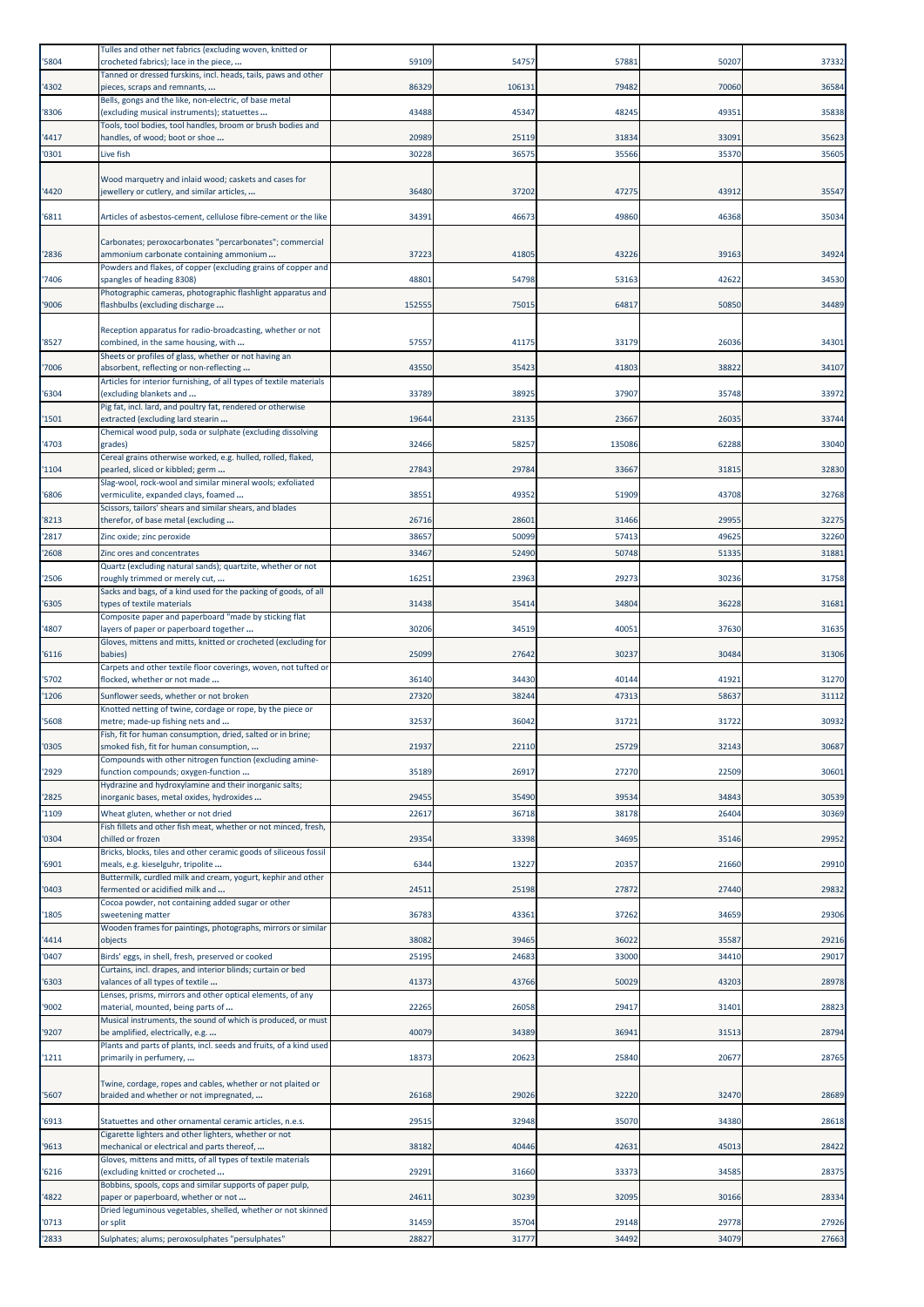| '5804          | Tulles and other net fabrics (excluding woven, knitted or<br>crocheted fabrics); lace in the piece,              | 59109          | 54757          | 57881          | 50207          | 37332          |
|----------------|------------------------------------------------------------------------------------------------------------------|----------------|----------------|----------------|----------------|----------------|
| '4302          | Tanned or dressed furskins, incl. heads, tails, paws and other<br>pieces, scraps and remnants,                   | 86329          | 106131         | 79482          | 70060          | 36584          |
| '8306          | Bells, gongs and the like, non-electric, of base metal<br>(excluding musical instruments); statuettes            | 43488          | 45347          | 48245          | 49351          | 35838          |
| '4417          | Tools, tool bodies, tool handles, broom or brush bodies and<br>handles, of wood; boot or shoe                    | 20989          | 25119          | 31834          | 33091          | 35623          |
| '0301          | Live fish                                                                                                        | 30228          | 36575          | 35566          | 35370          | 35605          |
|                | Wood marquetry and inlaid wood; caskets and cases for                                                            |                |                |                |                |                |
| '4420          | jewellery or cutlery, and similar articles,                                                                      | 36480          | 37202          | 47275          | 43912          | 35547          |
| '6811          | Articles of asbestos-cement, cellulose fibre-cement or the like                                                  | 34391          | 46673          | 49860          | 46368          | 35034          |
| '2836          | Carbonates; peroxocarbonates "percarbonates"; commercial<br>ammonium carbonate containing ammonium               | 3722           | 41805          | 43226          | 39163          | 34924          |
| '7406          | Powders and flakes, of copper (excluding grains of copper and                                                    | 48801          | 54798          | 53163          | 42622          | 34530          |
|                | spangles of heading 8308)<br>Photographic cameras, photographic flashlight apparatus and                         |                |                |                |                |                |
| '9006          | flashbulbs (excluding discharge                                                                                  | 152555         | 75015          | 64817          | 50850          | 34489          |
| '8527          | Reception apparatus for radio-broadcasting, whether or not<br>combined, in the same housing, with                | 57557          | 41175          | 33179          | 26036          | 34301          |
| '7006          | Sheets or profiles of glass, whether or not having an<br>absorbent, reflecting or non-reflecting                 | 43550          | 35423          | 41803          | 38822          | 34107          |
| '6304          | Articles for interior furnishing, of all types of textile materials<br>(excluding blankets and                   | 33789          | 38925          | 37907          | 35748          | 33972          |
| '1501          | Pig fat, incl. lard, and poultry fat, rendered or otherwise<br>extracted (excluding lard stearin                 | 19644          | 23135          | 23667          | 26035          | 33744          |
| '4703          | Chemical wood pulp, soda or sulphate (excluding dissolving<br>grades)                                            | 32466          | 58257          | 135086         | 62288          | 33040          |
| '1104          | Cereal grains otherwise worked, e.g. hulled, rolled, flaked,<br>pearled, sliced or kibbled; germ                 | 27843          | 29784          | 33667          | 31815          | 32830          |
|                | Slag-wool, rock-wool and similar mineral wools; exfoliated                                                       |                |                |                |                |                |
| '6806          | vermiculite, expanded clays, foamed<br>Scissors, tailors' shears and similar shears, and blades                  | 38551          | 49352          | 51909          | 43708          | 32768          |
| '8213<br>'2817 | therefor, of base metal (excluding<br>Zinc oxide; zinc peroxide                                                  | 26716<br>38657 | 28601<br>50099 | 31466<br>57413 | 29955<br>49625 | 32275<br>32260 |
| '2608          | Zinc ores and concentrates                                                                                       | 3346           | 52490          | 50748          | 51335          | 31881          |
| '2506          | Quartz (excluding natural sands); quartzite, whether or not<br>roughly trimmed or merely cut,                    | 16251          | 23963          | 29273          | 30236          | 31758          |
| '6305          | Sacks and bags, of a kind used for the packing of goods, of all<br>types of textile materials                    | 31438          | 35414          | 34804          | 36228          | 31681          |
| '4807          | Composite paper and paperboard "made by sticking flat                                                            | 30206          | 34519          | 40051          | 37630          | 31635          |
|                | layers of paper or paperboard together<br>Gloves, mittens and mitts, knitted or crocheted (excluding for         |                |                |                |                |                |
| '6116          | babies)<br>Carpets and other textile floor coverings, woven, not tufted or                                       | 25099          | 27642          | 30237          | 30484          | 31306          |
| '5702<br>'1206 | flocked, whether or not made<br>Sunflower seeds, whether or not broken                                           | 36140<br>27320 | 34430<br>38244 | 40144<br>47313 | 41921<br>58637 | 31270<br>31112 |
|                | Knotted netting of twine, cordage or rope, by the piece or                                                       |                |                |                |                |                |
| '5608          | metre; made-up fishing nets and<br>Fish, fit for human consumption, dried, salted or in brine;                   | 32537          | 36042          | 31721          | 31722          | 30932          |
| '0305          | smoked fish, fit for human consumption,                                                                          | 21937          | 22110          | 25729          |                |                |
| '2929          | Compounds with other nitrogen function (excluding amine-                                                         |                |                |                | 32143          | 30687          |
|                | function compounds; oxygen-function<br>Hydrazine and hydroxylamine and their inorganic salts;                    | 35189          | 26917          | 27270          | 22509          | 30601          |
| '2825          | inorganic bases, metal oxides, hydroxides                                                                        | 29455          | 35490          | 39534          | 34843          | 30539          |
| '1109          | Wheat gluten, whether or not dried<br>Fish fillets and other fish meat, whether or not minced, fresh,            | 2261           | 36718          | 38178          | 26404          | 30369          |
| '0304          | chilled or frozen<br>Bricks, blocks, tiles and other ceramic goods of siliceous fossil                           | 2935           | 33398          | 34695          | 35146          | 29952          |
| '6901          | meals, e.g. kieselguhr, tripolite<br>Buttermilk, curdled milk and cream, yogurt, kephir and other                | 6344           | 13227          | 20357          | 21660          | 29910          |
| '0403          | fermented or acidified milk and                                                                                  | 24511          | 25198          | 27872          | 27440          | 29832          |
| '1805          | Cocoa powder, not containing added sugar or other<br>sweetening matter                                           | 36783          | 43361          | 37262          | 34659          | 29306          |
| '4414          | Wooden frames for paintings, photographs, mirrors or similar<br>objects                                          | 38082          | 39465          | 36022          | 35587          | 29216          |
| '0407          | Birds' eggs, in shell, fresh, preserved or cooked<br>Curtains, incl. drapes, and interior blinds; curtain or bed | 25195          | 24683          | 33000          | 34410          | 29017          |
| '6303          | valances of all types of textile                                                                                 | 41373          | 43766          | 50029          | 43203          | 28978          |
| '9002          | Lenses, prisms, mirrors and other optical elements, of any<br>material, mounted, being parts of                  | 22265          | 26058          | 29417          | 31401          | 28823          |
| '9207          | Musical instruments, the sound of which is produced, or must<br>be amplified, electrically, e.g.                 | 4007           | 34389          | 36941          | 31513          | 28794          |
| '1211          | Plants and parts of plants, incl. seeds and fruits, of a kind used<br>primarily in perfumery,                    | 18373          | 20623          | 25840          | 20677          | 28765          |
| '5607          | Twine, cordage, ropes and cables, whether or not plaited or<br>braided and whether or not impregnated,           | 26168          | 29026          | 32220          | 32470          | 28689          |
| '6913          | Statuettes and other ornamental ceramic articles, n.e.s.                                                         | 29515          | 32948          | 35070          | 34380          | 28618          |
| '9613          | Cigarette lighters and other lighters, whether or not<br>mechanical or electrical and parts thereof,             | 38182          | 40446          | 42631          | 45013          | 28422          |
| '6216          | Gloves, mittens and mitts, of all types of textile materials<br>(excluding knitted or crocheted                  | 29291          | 31660          | 33373          | 34585          | 28375          |
| '4822          | Bobbins, spools, cops and similar supports of paper pulp,<br>paper or paperboard, whether or not                 | 24611          | 30239          | 32095          | 30166          | 28334          |
| '0713          | Dried leguminous vegetables, shelled, whether or not skinned<br>or split                                         | 31459          | 35704          | 29148          | 29778          | 27926          |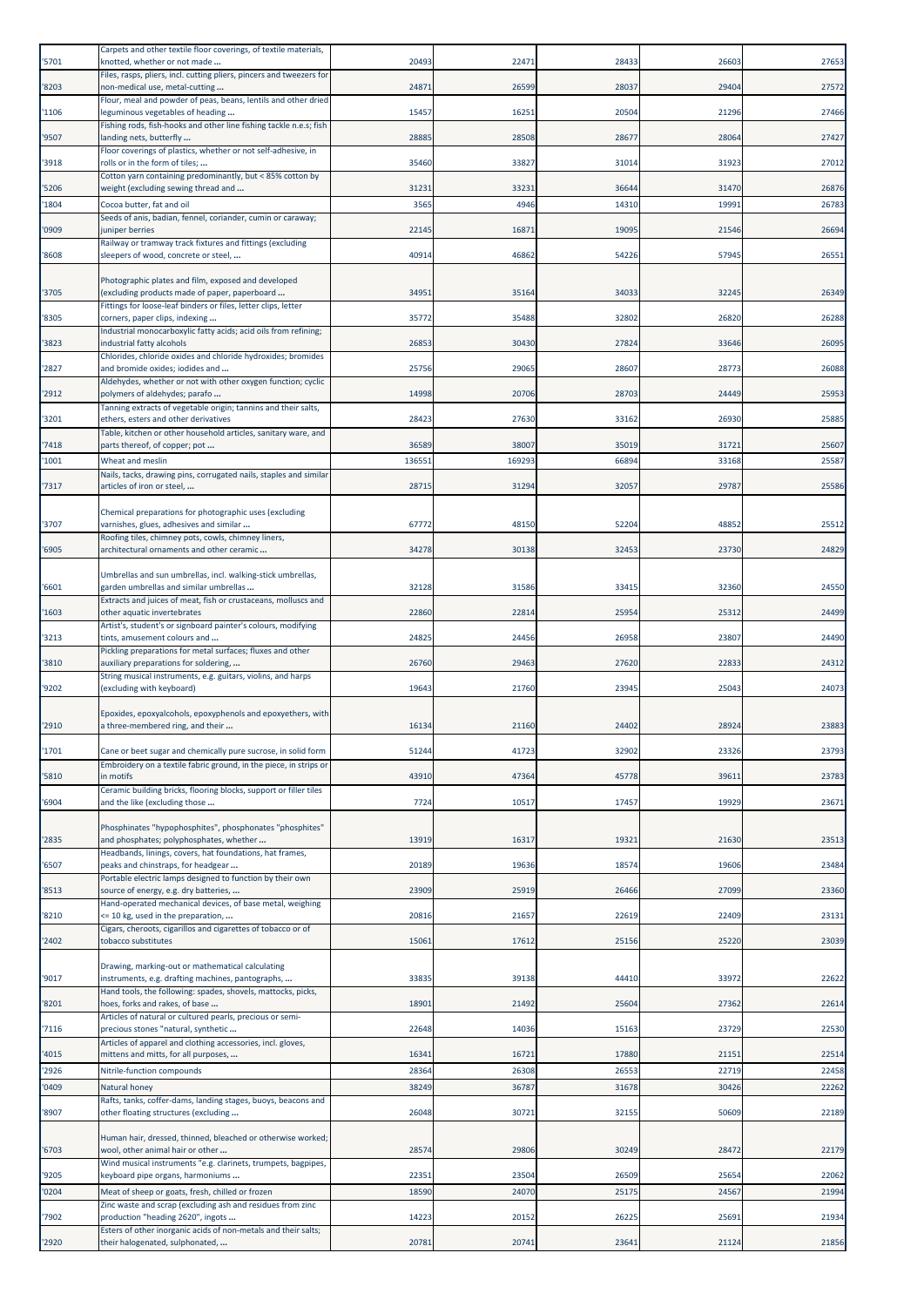| '5701        | Carpets and other textile floor coverings, of textile materials,<br>knotted, whether or not made       | 20493         | 22471         | 28433          | 26603          | 27653          |
|--------------|--------------------------------------------------------------------------------------------------------|---------------|---------------|----------------|----------------|----------------|
| 8203         | Files, rasps, pliers, incl. cutting pliers, pincers and tweezers for<br>non-medical use, metal-cutting | 24871         | 26599         | 28037          | 29404          | 27572          |
| '1106        | Flour, meal and powder of peas, beans, lentils and other dried<br>leguminous vegetables of heading     | 15457         | 16251         | 20504          | 21296          | 27466          |
| '9507        | Fishing rods, fish-hooks and other line fishing tackle n.e.s; fish<br>landing nets, butterfly          | 28885         | 28508         | 28677          | 28064          | 27427          |
| '3918        | Floor coverings of plastics, whether or not self-adhesive, in<br>rolls or in the form of tiles;        | 35460         | 33827         | 31014          | 31923          | 27012          |
|              | Cotton yarn containing predominantly, but < 85% cotton by                                              |               |               |                |                |                |
| 5206<br>1804 | weight (excluding sewing thread and<br>Cocoa butter, fat and oil                                       | 31231<br>3565 | 33231<br>4946 | 36644<br>14310 | 31470<br>19991 | 26876<br>26783 |
|              | Seeds of anis, badian, fennel, coriander, cumin or caraway;                                            |               |               |                |                |                |
| 0909         | uniper berries<br>Railway or tramway track fixtures and fittings (excluding                            | 22145         | 16871         | 19095          | 21546          | 26694          |
| '8608        | sleepers of wood, concrete or steel,                                                                   | 40914         | 46862         | 54226          | 57945          | 26551          |
| '3705        | Photographic plates and film, exposed and developed<br>(excluding products made of paper, paperboard   | 34951         | 35164         | 34033          | 32245          | 26349          |
| '8305        | Fittings for loose-leaf binders or files, letter clips, letter<br>corners, paper clips, indexing       | 35772         | 35488         | 32802          | 26820          | 26288          |
| '3823        | Industrial monocarboxylic fatty acids; acid oils from refining;<br>industrial fatty alcohols           | 26853         | 30430         | 27824          | 33646          | 26095          |
| '2827        | Chlorides, chloride oxides and chloride hydroxides; bromides<br>and bromide oxides; iodides and        | 25756         | 29065         | 28607          | 28773          | 26088          |
| '2912        | Aldehydes, whether or not with other oxygen function; cyclic<br>polymers of aldehydes; parafo          | 14998         | 20706         | 28703          | 24449          | 25953          |
| '3201        | Tanning extracts of vegetable origin; tannins and their salts,<br>ethers, esters and other derivatives | 28423         | 27630         | 33162          | 26930          | 25885          |
| 7418         | Table, kitchen or other household articles, sanitary ware, and<br>parts thereof, of copper; pot        | 36589         | 38007         | 35019          | 31721          | 25607          |
| 1001         | Wheat and meslin                                                                                       | 136551        | 169293        | 66894          | 33168          | 25587          |
|              | Nails, tacks, drawing pins, corrugated nails, staples and similar                                      |               |               |                |                |                |
| 7317         | articles of iron or steel,                                                                             | 28715         | 31294         | 32057          | 29787          | 25586          |
| '3707        | Chemical preparations for photographic uses (excluding<br>varnishes, glues, adhesives and similar      | 67772         | 48150         | 52204          | 48852          | 25512          |
| '6905        | Roofing tiles, chimney pots, cowls, chimney liners,<br>architectural ornaments and other ceramic       | 34278         | 30138         | 32453          | 23730          | 24829          |
|              |                                                                                                        |               |               |                |                |                |
| '6601        | Umbrellas and sun umbrellas, incl. walking-stick umbrellas,<br>garden umbrellas and similar umbrellas  | 32128         | 31586         | 33415          | 32360          | 24550          |
| 1603         | Extracts and juices of meat, fish or crustaceans, molluscs and<br>other aquatic invertebrates          | 22860         | 22814         | 25954          | 25312          | 24499          |
| '3213        | Artist's, student's or signboard painter's colours, modifying<br>tints, amusement colours and          | 24825         | 24456         | 26958          | 23807          | 24490          |
| 3810         | Pickling preparations for metal surfaces; fluxes and other<br>auxiliary preparations for soldering,    | 26760         | 29463         | 27620          | 22833          | 24312          |
| '9202        | String musical instruments, e.g. guitars, violins, and harps<br>(excluding with keyboard)              | 19643         | 21760         | 23945          | 25043          | 24073          |
|              | Epoxides, epoxyalcohols, epoxyphenols and epoxyethers, with                                            |               |               |                |                |                |
| '2910        | a three-membered ring, and their                                                                       | 16134         | 21160         | 24402          | 28924          | 23883          |
| 1701         | Cane or beet sugar and chemically pure sucrose, in solid form                                          | 51244         | 41723         | 32902          | 23326          | 23793          |
| 5810         | Embroidery on a textile fabric ground, in the piece, in strips or<br>in motifs                         | 43910         | 47364         | 45778          | 39611          | 23783          |
| 6904         | Ceramic building bricks, flooring blocks, support or filler tiles<br>and the like (excluding those     | 7724          | 10517         | 17457          | 19929          | 23671          |
|              | Phosphinates "hypophosphites", phosphonates "phosphites"                                               |               |               |                |                |                |
| 2835         | and phosphates; polyphosphates, whether<br>Headbands, linings, covers, hat foundations, hat frames,    | 13919         | 16317         | 19321          | 21630          | 23513          |
| '6507        | peaks and chinstraps, for headgear<br>Portable electric lamps designed to function by their own        | 20189         | 19636         | 18574          | 19606          | 23484          |
| '8513        | source of energy, e.g. dry batteries,<br>Hand-operated mechanical devices, of base metal, weighing     | 23909         | 25919         | 26466          | 27099          | 23360          |
| 8210         | <= 10 kg, used in the preparation,                                                                     | 20816         | 21657         | 22619          | 22409          | 23131          |
| '2402        | Cigars, cheroots, cigarillos and cigarettes of tobacco or of<br>tobacco substitutes                    | 15061         | 17612         | 25156          | 25220          | 23039          |
| '9017        | Drawing, marking-out or mathematical calculating<br>instruments, e.g. drafting machines, pantographs,  | 3383          | 39138         | 44410          | 33972          | 22622          |
|              | Hand tools, the following: spades, shovels, mattocks, picks,                                           |               |               |                |                |                |
| '8201        | hoes, forks and rakes, of base<br>Articles of natural or cultured pearls, precious or semi-            | 18901         | 21492         | 25604          | 27362          | 22614          |
| '7116        | precious stones "natural, synthetic<br>Articles of apparel and clothing accessories, incl. gloves,     | 22648         | 14036         | 15163          | 23729          | 22530          |
| 4015         | mittens and mitts, for all purposes,                                                                   | 16341         | 16721         | 17880          | 21151          | 22514          |
| '2926        | Nitrile-function compounds                                                                             | 28364         | 26308         | 26553          | 22719          | 22458          |
| 0409         | Natural honey<br>Rafts, tanks, coffer-dams, landing stages, buoys, beacons and                         | 38249         | 36787         | 31678          | 30426          | 22262          |
| '8907        | other floating structures (excluding                                                                   | 26048         | 30721         | 32155          | 50609          | 22189          |
| '6703        | Human hair, dressed, thinned, bleached or otherwise worked;<br>wool, other animal hair or other        | 28574         | 29806         | 30249          | 28472          | 22179          |
| '9205        | Wind musical instruments "e.g. clarinets, trumpets, bagpipes,<br>keyboard pipe organs, harmoniums      | 22351         | 23504         | 26509          | 25654          | 22062          |
| '0204        | Meat of sheep or goats, fresh, chilled or frozen                                                       | 18590         | 24070         | 25175          | 24567          | 21994          |
| 7902         | Zinc waste and scrap (excluding ash and residues from zinc<br>production "heading 2620", ingots        | 14223         | 20152         | 26225          | 25691          | 21934          |
| '2920        | Esters of other inorganic acids of non-metals and their salts;<br>their halogenated, sulphonated,      | 20781         | 20741         | 23641          | 21124          | 21856          |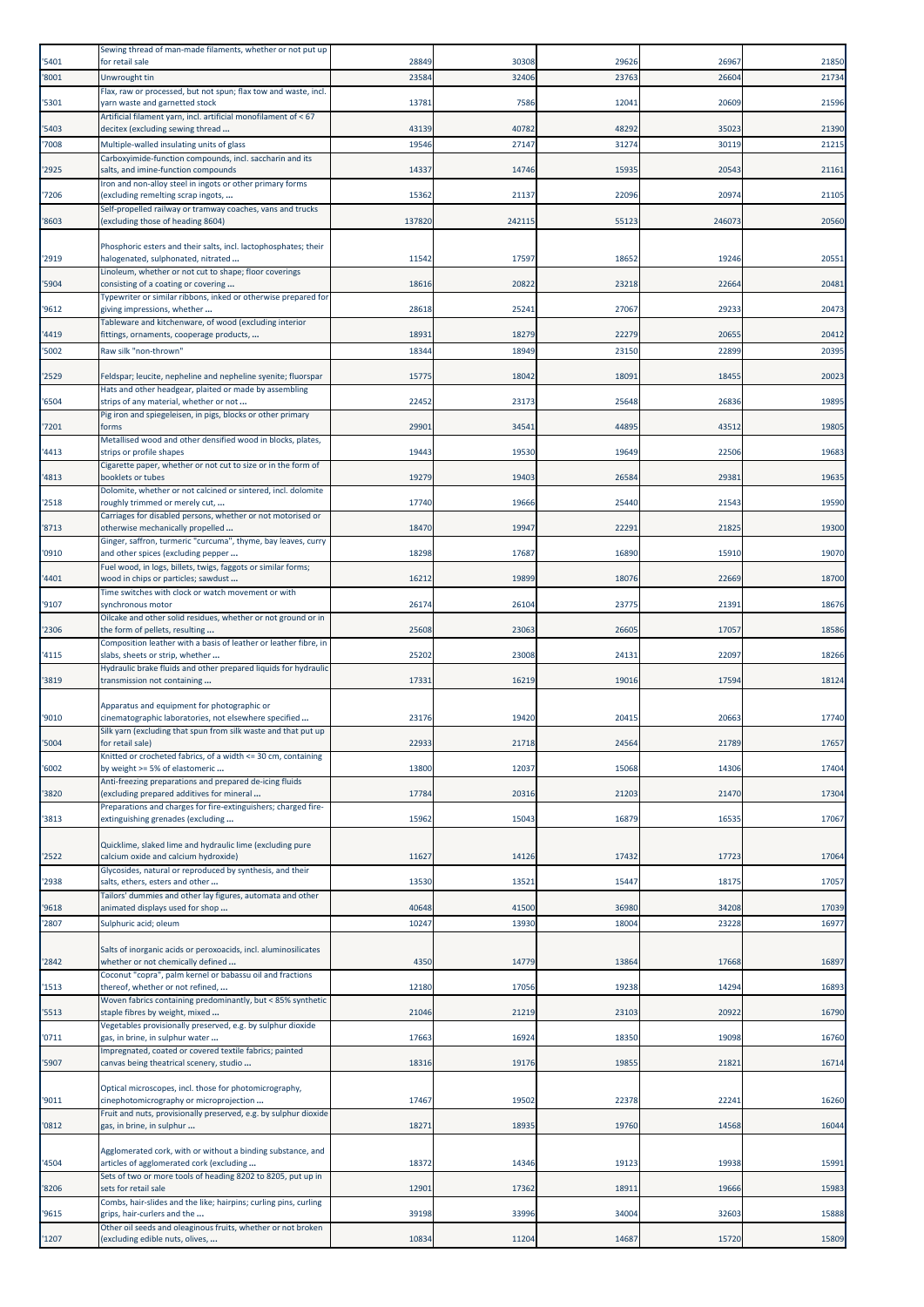| '5401          | Sewing thread of man-made filaments, whether or not put up<br>for retail sale                           | 28849          | 30308          | 29626          | 26967          | 21850          |
|----------------|---------------------------------------------------------------------------------------------------------|----------------|----------------|----------------|----------------|----------------|
| '8001          | Unwrought tin                                                                                           | 23584          | 32406          | 23763          | 26604          | 21734          |
| '5301          | Flax, raw or processed, but not spun; flax tow and waste, incl.<br>yarn waste and garnetted stock       | 1378           | 7586           | 12041          | 20609          | 21596          |
|                | Artificial filament yarn, incl. artificial monofilament of < 67                                         |                |                |                |                |                |
| '5403<br>'7008 | decitex (excluding sewing thread<br>Multiple-walled insulating units of glass                           | 43139<br>19546 | 40782<br>27147 | 48292<br>31274 | 35023<br>30119 | 21390<br>21215 |
|                | Carboxyimide-function compounds, incl. saccharin and its                                                |                |                |                |                |                |
| '2925          | salts, and imine-function compounds<br>Iron and non-alloy steel in ingots or other primary forms        | 14337          | 14746          | 15935          | 20543          | 21161          |
| '7206          | (excluding remelting scrap ingots,                                                                      | 15362          | 21137          | 22096          | 20974          | 21105          |
| '8603          | Self-propelled railway or tramway coaches, vans and trucks<br>(excluding those of heading 8604)         | 137820         | 242115         | 55123          | 246073         | 20560          |
|                |                                                                                                         |                |                |                |                |                |
| '2919          | Phosphoric esters and their salts, incl. lactophosphates; their<br>halogenated, sulphonated, nitrated   | 11542          | 17597          | 18652          | 19246          | 20551          |
| '5904          | Linoleum, whether or not cut to shape; floor coverings<br>consisting of a coating or covering           | 18616          | 20822          | 23218          | 22664          | 20481          |
|                | Typewriter or similar ribbons, inked or otherwise prepared for                                          |                |                |                |                |                |
| '9612          | giving impressions, whether<br>Tableware and kitchenware, of wood (excluding interior                   | 28618          | 25241          | 27067          | 29233          | 20473          |
| '4419          | fittings, ornaments, cooperage products,                                                                | 18931          | 18279          | 22279          | 20655          | 20412          |
| 5002           | Raw silk "non-thrown"                                                                                   | 18344          | 18949          | 23150          | 22899          | 20395          |
| '2529          | Feldspar; leucite, nepheline and nepheline syenite; fluorspar                                           | 15775          | 18042          | 18091          | 18455          | 20023          |
| '6504          | Hats and other headgear, plaited or made by assembling<br>strips of any material, whether or not        | 22452          | 23173          | 25648          | 26836          | 19895          |
|                | Pig iron and spiegeleisen, in pigs, blocks or other primary                                             |                |                |                |                |                |
| '7201          | forms<br>Metallised wood and other densified wood in blocks, plates,                                    | 2990:          | 34541          | 44895          | 43512          | 19805          |
| '4413          | strips or profile shapes<br>Cigarette paper, whether or not cut to size or in the form of               | 19443          | 19530          | 19649          | 22506          | 19683          |
| '4813          | booklets or tubes                                                                                       | 19279          | 19403          | 26584          | 29381          | 19635          |
| '2518          | Dolomite, whether or not calcined or sintered, incl. dolomite<br>roughly trimmed or merely cut,         | 17740          | 19666          | 25440          | 21543          | 19590          |
|                | Carriages for disabled persons, whether or not motorised or                                             |                |                |                |                |                |
| '8713          | otherwise mechanically propelled<br>Ginger, saffron, turmeric "curcuma", thyme, bay leaves, curry       | 18470          | 19947          | 22291          | 21825          | 19300          |
| '0910          | and other spices (excluding pepper                                                                      | 18298          | 17687          | 16890          | 15910          | 19070          |
| 4401           | Fuel wood, in logs, billets, twigs, faggots or similar forms;<br>wood in chips or particles; sawdust    | 16212          | 19899          | 18076          | 22669          | 18700          |
| '9107          | Time switches with clock or watch movement or with<br>synchronous motor                                 | 26174          | 26104          | 23775          | 21391          | 18676          |
|                | Oilcake and other solid residues, whether or not ground or in                                           |                |                |                |                |                |
| '2306          | the form of pellets, resulting<br>Composition leather with a basis of leather or leather fibre, in      | 25608          | 23063          | 26605          | 17057          | 18586          |
| '4115          | slabs, sheets or strip, whether                                                                         | 25202          | 23008          | 24131          | 22097          | 18266          |
| '3819          | Hydraulic brake fluids and other prepared liquids for hydraulic<br>transmission not containing          | 17331          | 16219          | 19016          | 17594          | 18124          |
|                | Apparatus and equipment for photographic or                                                             |                |                |                |                |                |
| '9010          | cinematographic laboratories, not elsewhere specified                                                   | 23176          | 19420          | 20415          | 20663          | 17740          |
| '5004          | Silk yarn (excluding that spun from silk waste and that put up<br>for retail sale)                      | 2293           | 21718          | 2456           | 2178           | 17657          |
|                | Knitted or crocheted fabrics, of a width <= 30 cm, containing                                           |                |                |                |                |                |
| '6002          | by weight >= 5% of elastomeric<br>Anti-freezing preparations and prepared de-icing fluids               | 13800          | 12037          | 15068          | 14306          | 17404          |
| '3820          | (excluding prepared additives for mineral                                                               | 17784          | 20316          | 21203          | 21470          | 17304          |
| '3813          | Preparations and charges for fire-extinguishers; charged fire-<br>extinguishing grenades (excluding     | 15962          | 15043          | 16879          | 16535          | 17067          |
|                | Quicklime, slaked lime and hydraulic lime (excluding pure                                               |                |                |                |                |                |
| '2522          | calcium oxide and calcium hydroxide)                                                                    | 11627          | 14126          | 17432          | 17723          | 17064          |
| '2938          | Glycosides, natural or reproduced by synthesis, and their<br>salts, ethers, esters and other            | 13530          | 13521          | 15447          | 18175          | 17057          |
|                | Tailors' dummies and other lay figures, automata and other                                              |                |                |                |                |                |
| '9618<br>'2807 | animated displays used for shop<br>Sulphuric acid; oleum                                                | 40648<br>10247 | 41500<br>13930 | 36980<br>18004 | 34208<br>23228 | 17039<br>16977 |
|                |                                                                                                         |                |                |                |                |                |
| '2842          | Salts of inorganic acids or peroxoacids, incl. aluminosilicates<br>whether or not chemically defined    | 4350           | 14779          | 13864          | 17668          | 16897          |
|                | Coconut "copra", palm kernel or babassu oil and fractions                                               |                |                |                |                |                |
| '1513          | thereof, whether or not refined,<br>Woven fabrics containing predominantly, but < 85% synthetic         | 12180          | 17056          | 19238          | 14294          | 16893          |
| '5513          | staple fibres by weight, mixed<br>Vegetables provisionally preserved, e.g. by sulphur dioxide           | 21046          | 21219          | 23103          | 20922          | 16790          |
| '0711          | gas, in brine, in sulphur water                                                                         | 17663          | 16924          | 18350          | 19098          | 16760          |
| '5907          | Impregnated, coated or covered textile fabrics; painted<br>canvas being theatrical scenery, studio      | 18316          | 19176          | 19855          | 21821          | 16714          |
|                |                                                                                                         |                |                |                |                |                |
| '9011          | Optical microscopes, incl. those for photomicrography,<br>cinephotomicrography or microprojection       | 17467          | 19502          | 22378          | 22241          | 16260          |
| '0812          | Fruit and nuts, provisionally preserved, e.g. by sulphur dioxide<br>gas, in brine, in sulphur           | 18271          | 18935          | 19760          | 14568          | 16044          |
|                |                                                                                                         |                |                |                |                |                |
| '4504          | Agglomerated cork, with or without a binding substance, and<br>articles of agglomerated cork (excluding | 18372          | 14346          | 19123          | 19938          | 15991          |
|                | Sets of two or more tools of heading 8202 to 8205, put up in                                            |                |                |                |                |                |
| '8206          | sets for retail sale<br>Combs, hair-slides and the like; hairpins; curling pins, curling                | 12901          | 17362          | 18911          | 19666          | 15983          |
| '9615          | grips, hair-curlers and the                                                                             | 39198          | 33996          | 34004          | 32603          | 15888          |
| '1207          | Other oil seeds and oleaginous fruits, whether or not broken<br>(excluding edible nuts, olives,         | 10834          | 11204          | 14687          | 15720          | 15809          |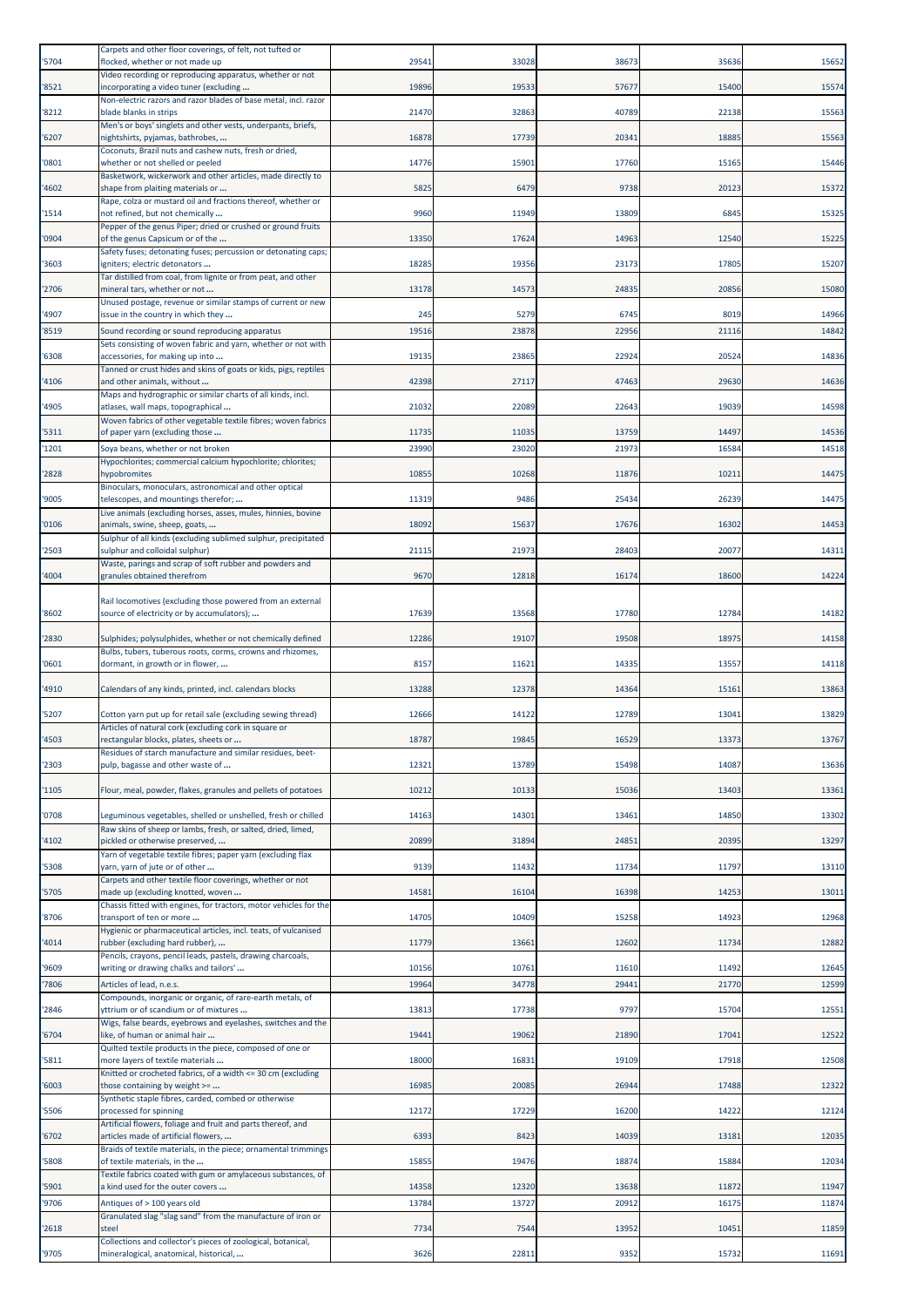|                | Carpets and other floor coverings, of felt, not tufted or                                                                 |                |                |                |                |                |
|----------------|---------------------------------------------------------------------------------------------------------------------------|----------------|----------------|----------------|----------------|----------------|
| '5704          | flocked, whether or not made up                                                                                           | 2954           | 33028          | 38673          | 35636          | 15652          |
| '8521          | Video recording or reproducing apparatus, whether or not<br>incorporating a video tuner (excluding                        | 19896          | 19533          | 57677          | 15400          | 15574          |
|                | Non-electric razors and razor blades of base metal, incl. razor                                                           |                |                |                |                |                |
| '8212          | blade blanks in strips<br>Men's or boys' singlets and other vests, underpants, briefs,                                    | 21470          | 32863          | 40789          | 22138          | 15563          |
| '6207          | nightshirts, pyjamas, bathrobes,                                                                                          | 16878          | 17739          | 20341          | 18885          | 15563          |
| '0801          | Coconuts, Brazil nuts and cashew nuts, fresh or dried,<br>whether or not shelled or peeled                                | 14776          | 15901          | 17760          | 15165          | 15446          |
|                | Basketwork, wickerwork and other articles, made directly to                                                               |                |                |                |                |                |
| '4602          | shape from plaiting materials or<br>Rape, colza or mustard oil and fractions thereof, whether or                          | 5825           | 6479           | 9738           | 20123          | 15372          |
| '1514          | not refined, but not chemically                                                                                           | 9960           | 11949          | 13809          | 6845           | 15325          |
| '0904          | Pepper of the genus Piper; dried or crushed or ground fruits<br>of the genus Capsicum or of the                           | 13350          | 17624          | 14963          | 12540          | 15225          |
|                | Safety fuses; detonating fuses; percussion or detonating caps;                                                            |                |                |                |                |                |
| '3603          | igniters; electric detonators<br>Tar distilled from coal, from lignite or from peat, and other                            | 18285          | 19356          | 23173          | 17805          | 15207          |
| '2706          | mineral tars, whether or not                                                                                              | 13178          | 14573          | 24835          | 20856          | 15080          |
| '4907          | Unused postage, revenue or similar stamps of current or new<br>issue in the country in which they                         | 245            | 5279           | 6745           | 8019           | 14966          |
| '8519          | Sound recording or sound reproducing apparatus                                                                            | 19516          | 23878          | 22956          | 21116          | 14842          |
|                | Sets consisting of woven fabric and yarn, whether or not with                                                             |                |                |                |                |                |
| '6308          | accessories, for making up into<br>Tanned or crust hides and skins of goats or kids, pigs, reptiles                       | 19135          | 23865          | 22924          | 20524          | 14836          |
| '4106          | and other animals, without                                                                                                | 42398          | 27117          | 47463          | 29630          | 14636          |
| '4905          | Maps and hydrographic or similar charts of all kinds, incl.<br>atlases, wall maps, topographical                          | 21032          | 22089          | 22643          | 19039          | 14598          |
|                | Woven fabrics of other vegetable textile fibres; woven fabrics                                                            |                |                |                |                |                |
| '5311<br>'1201 | of paper yarn (excluding those<br>Soya beans, whether or not broken                                                       | 1173<br>23990  | 11035<br>23020 | 13759<br>21973 | 14497<br>16584 | 14536<br>14518 |
|                | Hypochlorites; commercial calcium hypochlorite; chlorites;                                                                |                |                |                |                |                |
| '2828          | hypobromites                                                                                                              | 10855          | 10268          | 11876          | 10211          | 14475          |
| '9005          | Binoculars, monoculars, astronomical and other optical<br>telescopes, and mountings therefor;                             | 11319          | 9486           | 25434          | 26239          | 14475          |
|                | Live animals (excluding horses, asses, mules, hinnies, bovine                                                             |                | 15637          |                | 16302          | 14453          |
| '0106          | animals, swine, sheep, goats,<br>Sulphur of all kinds (excluding sublimed sulphur, precipitated                           | 18092          |                | 17676          |                |                |
| '2503          | sulphur and colloidal sulphur)                                                                                            | 21115          | 21973          | 28403          | 20077          | 14311          |
| '4004          | Waste, parings and scrap of soft rubber and powders and<br>granules obtained therefrom                                    | 9670           | 12818          | 16174          | 18600          | 14224          |
|                |                                                                                                                           |                |                |                |                |                |
| '8602          | Rail locomotives (excluding those powered from an external<br>source of electricity or by accumulators);                  | 17639          | 13568          | 17780          | 12784          | 14182          |
|                |                                                                                                                           |                |                |                |                |                |
| '2830          | Sulphides; polysulphides, whether or not chemically defined<br>Bulbs, tubers, tuberous roots, corms, crowns and rhizomes, | 12286          | 19107          | 19508          | 18975          | 14158          |
| '0601          | dormant, in growth or in flower,                                                                                          | 8157           | 11621          | 14335          | 13557          | 14118          |
| 4910           | Calendars of any kinds, printed, incl. calendars blocks                                                                   | 13288          | 12378          | 14364          | 15161          | 13863          |
|                |                                                                                                                           |                |                |                |                |                |
| '5207          | Cotton yarn put up for retail sale (excluding sewing thread)<br>Articles of natural cork (excluding cork in square or     | 12666          | 14122          | 12789          | 13041          | 13829          |
| 4503           | rectangular blocks, plates, sheets or                                                                                     | 1878           | 19845          | 16529          | 13373          | 13767          |
| '2303          | Residues of starch manufacture and similar residues, beet-<br>pulp, bagasse and other waste of                            | 1232:          | 13789          | 15498          | 14087          | 13636          |
|                |                                                                                                                           |                |                |                |                |                |
| '1105          | Flour, meal, powder, flakes, granules and pellets of potatoes                                                             | 10212          | 10133          | 15036          | 13403          | 13361          |
| '0708          | Leguminous vegetables, shelled or unshelled, fresh or chilled                                                             | 14163          | 14301          | 13461          | 14850          | 13302          |
| '4102          | Raw skins of sheep or lambs, fresh, or salted, dried, limed,<br>pickled or otherwise preserved,                           | 20899          | 31894          | 24851          | 20395          | 13297          |
|                | Yarn of vegetable textile fibres; paper yarn (excluding flax                                                              |                |                |                |                |                |
| '5308          | yarn, yarn of jute or of other<br>Carpets and other textile floor coverings, whether or not                               | 9139           | 11432          | 11734          | 11797          | 13110          |
| '5705          | made up (excluding knotted, woven                                                                                         | 14581          | 16104          | 16398          | 14253          | 13011          |
| '8706          | Chassis fitted with engines, for tractors, motor vehicles for the<br>transport of ten or more                             | 14705          | 10409          | 15258          | 14923          | 12968          |
|                | Hygienic or pharmaceutical articles, incl. teats, of vulcanised                                                           |                |                |                |                |                |
| '4014          | rubber (excluding hard rubber),<br>Pencils, crayons, pencil leads, pastels, drawing charcoals,                            | 11779          | 13661          | 12602          | 11734          | 12882          |
| '9609          | writing or drawing chalks and tailors'                                                                                    | 10156          | 10761          | 11610          | 11492          | 12645          |
| '7806          | Articles of lead, n.e.s.<br>Compounds, inorganic or organic, of rare-earth metals, of                                     | 19964          | 34778          | 29441          | 21770          | 12599          |
| '2846          | yttrium or of scandium or of mixtures                                                                                     | 13813          | 17738          | 9797           | 15704          | 12551          |
|                | Wigs, false beards, eyebrows and eyelashes, switches and the                                                              |                |                |                |                |                |
| '6704          | like, of human or animal hair<br>Quilted textile products in the piece, composed of one or                                | 19441          | 19062          | 21890          | 17041          | 12522          |
| '5811          | more layers of textile materials                                                                                          | 18000          | 16831          | 19109          | 17918          | 12508          |
| '6003          | Knitted or crocheted fabrics, of a width <= 30 cm (excluding<br>those containing by weight >=                             | 16985          | 20085          | 26944          | 17488          | 12322          |
|                | Synthetic staple fibres, carded, combed or otherwise                                                                      | 12172          | 17229          | 16200          | 14222          | 12124          |
| '5506          | processed for spinning<br>Artificial flowers, foliage and fruit and parts thereof, and                                    |                |                |                |                |                |
| '6702          | articles made of artificial flowers,                                                                                      | 6393           | 8423           | 14039          | 1318           | 12035          |
| '5808          | Braids of textile materials, in the piece; ornamental trimmings<br>of textile materials, in the                           | 15855          | 19476          | 18874          | 15884          | 12034          |
|                | Textile fabrics coated with gum or amylaceous substances, of                                                              |                |                |                |                |                |
| '5901<br>'9706 | a kind used for the outer covers<br>Antiques of > 100 years old                                                           | 14358<br>13784 | 12320<br>13727 | 13638<br>20912 | 11872<br>16175 | 11947<br>11874 |
|                | Granulated slag "slag sand" from the manufacture of iron or                                                               |                |                |                |                |                |
| '2618          | steel<br>Collections and collector's pieces of zoological, botanical,                                                     | 7734           | 7544           | 13952          | 10451          | 11859          |
| '9705          | mineralogical, anatomical, historical,                                                                                    | 3626           | 22811          | 9352           | 15732          | 11691          |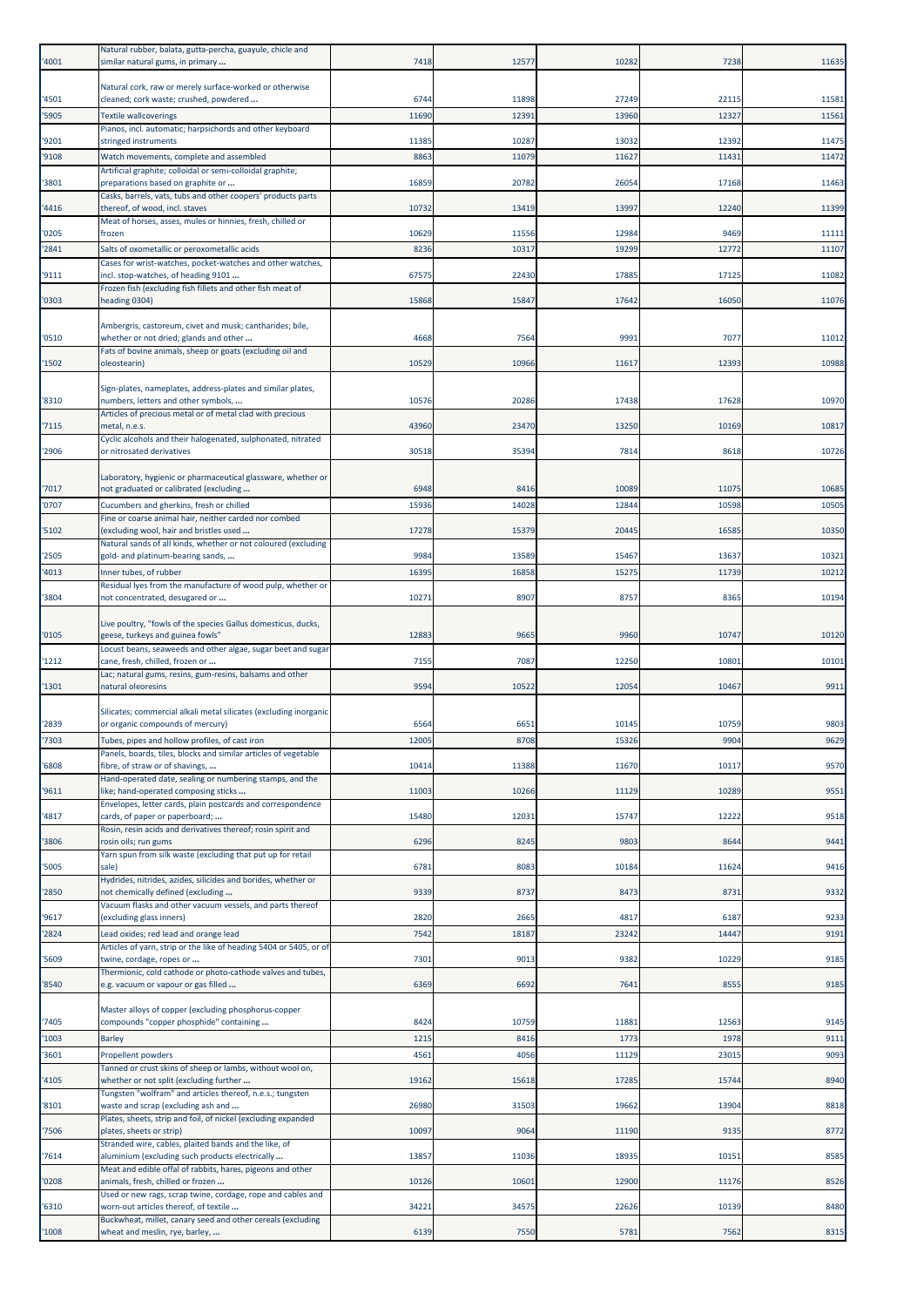| '4001          | Natural rubber, balata, gutta-percha, guayule, chicle and<br>similar natural gums, in primary                     | 7418          | 12577         | 10282          | 7238          | 11635        |
|----------------|-------------------------------------------------------------------------------------------------------------------|---------------|---------------|----------------|---------------|--------------|
| '4501          | Natural cork, raw or merely surface-worked or otherwise<br>cleaned; cork waste; crushed, powdered                 | 6744          | 11898         | 27249          | 22115         | 11581        |
| '5905          | <b>Textile wallcoverings</b>                                                                                      | 11690         | 12391         | 13960          | 12327         | 11561        |
| '9201          | Pianos, incl. automatic; harpsichords and other keyboard<br>stringed instruments                                  | 11385         | 10287         | 13032          | 12392         | 11475        |
| '9108          | Watch movements, complete and assembled                                                                           | 8863          | 11079         | 11627          | 11431         | 11472        |
| '3801          | Artificial graphite; colloidal or semi-colloidal graphite;<br>preparations based on graphite or                   | 16859         | 20782         | 26054          | 17168         | 11463        |
| '4416          | Casks, barrels, vats, tubs and other coopers' products parts<br>thereof, of wood, incl. staves                    | 10732         | 13419         | 13997          | 12240         | 11399        |
| '0205          | Meat of horses, asses, mules or hinnies, fresh, chilled or<br>frozen                                              | 10629         | 11556         | 12984          | 9469          | 11111        |
| '2841          | Salts of oxometallic or peroxometallic acids                                                                      | 8236          | 10317         | 19299          | 12772         | 11107        |
| '9111          | Cases for wrist-watches, pocket-watches and other watches,<br>incl. stop-watches, of heading 9101                 | 67575         | 22430         | 17885          | 17125         | 11082        |
| '0303          | Frozen fish (excluding fish fillets and other fish meat of<br>heading 0304)                                       | 15868         | 15847         | 17642          | 16050         | 11076        |
| '0510          | Ambergris, castoreum, civet and musk; cantharides; bile,<br>whether or not dried; glands and other                | 4668          | 7564          | 9991           | 7077          | 11012        |
| '1502          | Fats of bovine animals, sheep or goats (excluding oil and<br>oleostearin)                                         | 10529         | 10966         | 11617          | 12393         | 10988        |
|                |                                                                                                                   |               |               |                |               |              |
| '8310          | Sign-plates, nameplates, address-plates and similar plates,<br>numbers, letters and other symbols,                | 10576         | 20286         | 17438          | 17628         | 10970        |
| '7115          | Articles of precious metal or of metal clad with precious<br>metal, n.e.s.                                        | 43960         | 23470         | 13250          | 10169         | 10817        |
| '2906          | Cyclic alcohols and their halogenated, sulphonated, nitrated<br>or nitrosated derivatives                         | 30518         | 35394         | 7814           | 8618          | 10726        |
|                | Laboratory, hygienic or pharmaceutical glassware, whether or                                                      |               |               |                |               |              |
| '7017          | not graduated or calibrated (excluding                                                                            | 6948          | 8416          | 10089          | 11075         | 10685        |
| '0707          | Cucumbers and gherkins, fresh or chilled<br>Fine or coarse animal hair, neither carded nor combed                 | 15936         | 14028         | 12844          | 10598         | 10505        |
| '5102          | (excluding wool, hair and bristles used<br>Natural sands of all kinds, whether or not coloured (excluding         | 17278         | 15379         | 20445          | 16585         | 10350        |
| '2505          | gold- and platinum-bearing sands,                                                                                 | 9984          | 13589         | 15467          | 13637         | 10321        |
| '4013          | Inner tubes, of rubber<br>Residual lyes from the manufacture of wood pulp, whether or                             | 1639          | 16858         | 15275          | 11739         | 10212        |
| '3804          | not concentrated, desugared or                                                                                    | 10271         | 8907          | 8757           | 8365          | 10194        |
| '0105          | Live poultry, "fowls of the species Gallus domesticus, ducks,<br>geese, turkeys and guinea fowls"                 | 12883         | 9665          | 9960           | 10747         | 10120        |
| '1212          | Locust beans, seaweeds and other algae, sugar beet and sugar<br>cane, fresh, chilled, frozen or                   | 7155          | 7087          | 12250          | 10801         | 10101        |
| '1301          | Lac; natural gums, resins, gum-resins, balsams and other<br>natural oleoresins                                    | 9594          | 10522         | 12054          | 10467         | 9911         |
|                | Silicates; commercial alkali metal silicates (excluding inorganic                                                 |               |               |                |               |              |
| '2839          | or organic compounds of mercury)                                                                                  | 6564<br>12005 | 6651          | 10145<br>15326 | 10759         | 9803         |
| '7303          | Tubes, pipes and hollow profiles, of cast iron<br>Panels, boards, tiles, blocks and similar articles of vegetable |               | 8708          |                | 9904          | 9629         |
| '6808          | fibre, of straw or of shavings,<br>Hand-operated date, sealing or numbering stamps, and the                       | 10414         | 11388         | 11670          | 10117         | 9570         |
| '9611          | like; hand-operated composing sticks<br>Envelopes, letter cards, plain postcards and correspondence               | 11003         | 10266         | 11129          | 10289         | 9551         |
| '4817          | cards, of paper or paperboard;                                                                                    | 15480         | 12031         | 15747          | 12222         | 9518         |
| '3806          | Rosin, resin acids and derivatives thereof; rosin spirit and<br>rosin oils; run gums                              | 6296          | 8245          | 9803           | 8644          | 9441         |
| '5005          | Yarn spun from silk waste (excluding that put up for retail<br>sale)                                              | 6781          | 8083          | 10184          | 11624         | 9416         |
| '2850          | Hydrides, nitrides, azides, silicides and borides, whether or<br>not chemically defined (excluding                | 9339          | 8737          | 8473           | 8731          | 9332         |
|                | Vacuum flasks and other vacuum vessels, and parts thereof                                                         |               |               |                | 6187          |              |
| '9617<br>'2824 | (excluding glass inners)<br>Lead oxides; red lead and orange lead                                                 | 2820<br>7542  | 2665<br>18187 | 4817<br>23242  | 14447         | 9233<br>9191 |
| '5609          | Articles of yarn, strip or the like of heading 5404 or 5405, or of<br>twine, cordage, ropes or                    | 7301          | 9013          | 9382           | 10229         | 9185         |
| '8540          | Thermionic, cold cathode or photo-cathode valves and tubes,<br>e.g. vacuum or vapour or gas filled                | 6369          | 6692          | 7641           | 8555          | 9185         |
|                | Master alloys of copper (excluding phosphorus-copper                                                              |               |               |                |               |              |
| '7405          | compounds "copper phosphide" containing                                                                           | 8424          | 10759         | 11881          | 12563         | 9145         |
| '1003          | <b>Barley</b>                                                                                                     | 1215          | 8416          | 1773           | 1978<br>23015 | 9111         |
| '3601          | Propellent powders<br>Tanned or crust skins of sheep or lambs, without wool on,                                   | 4561          | 4056          | 11129          |               | 9093         |
| '4105          | whether or not split (excluding further<br>Tungsten "wolfram" and articles thereof, n.e.s.; tungsten              | 19162         | 15618         | 17285          | 15744         | 8940         |
| '8101          | waste and scrap (excluding ash and<br>Plates, sheets, strip and foil, of nickel (excluding expanded               | 26980         | 31503         | 19662          | 13904         | 8818         |
| '7506          | plates, sheets or strip)<br>Stranded wire, cables, plaited bands and the like, of                                 | 10097         | 9064          | 11190          | 9135          | 8772         |
| '7614          | aluminium (excluding such products electrically<br>Meat and edible offal of rabbits, hares, pigeons and other     | 13857         | 11036         | 18935          | 10151         | 8585         |
| '0208          | animals, fresh, chilled or frozen<br>Used or new rags, scrap twine, cordage, rope and cables and                  | 10126         | 10601         | 12900          | 11176         | 8526         |
| '6310          | worn-out articles thereof, of textile                                                                             | 34221         | 34575         | 22626          | 10139         | 8480         |
| '1008          | Buckwheat, millet, canary seed and other cereals (excluding<br>wheat and meslin, rye, barley,                     | 6139          | 7550          | 5781           | 7562          | 8315         |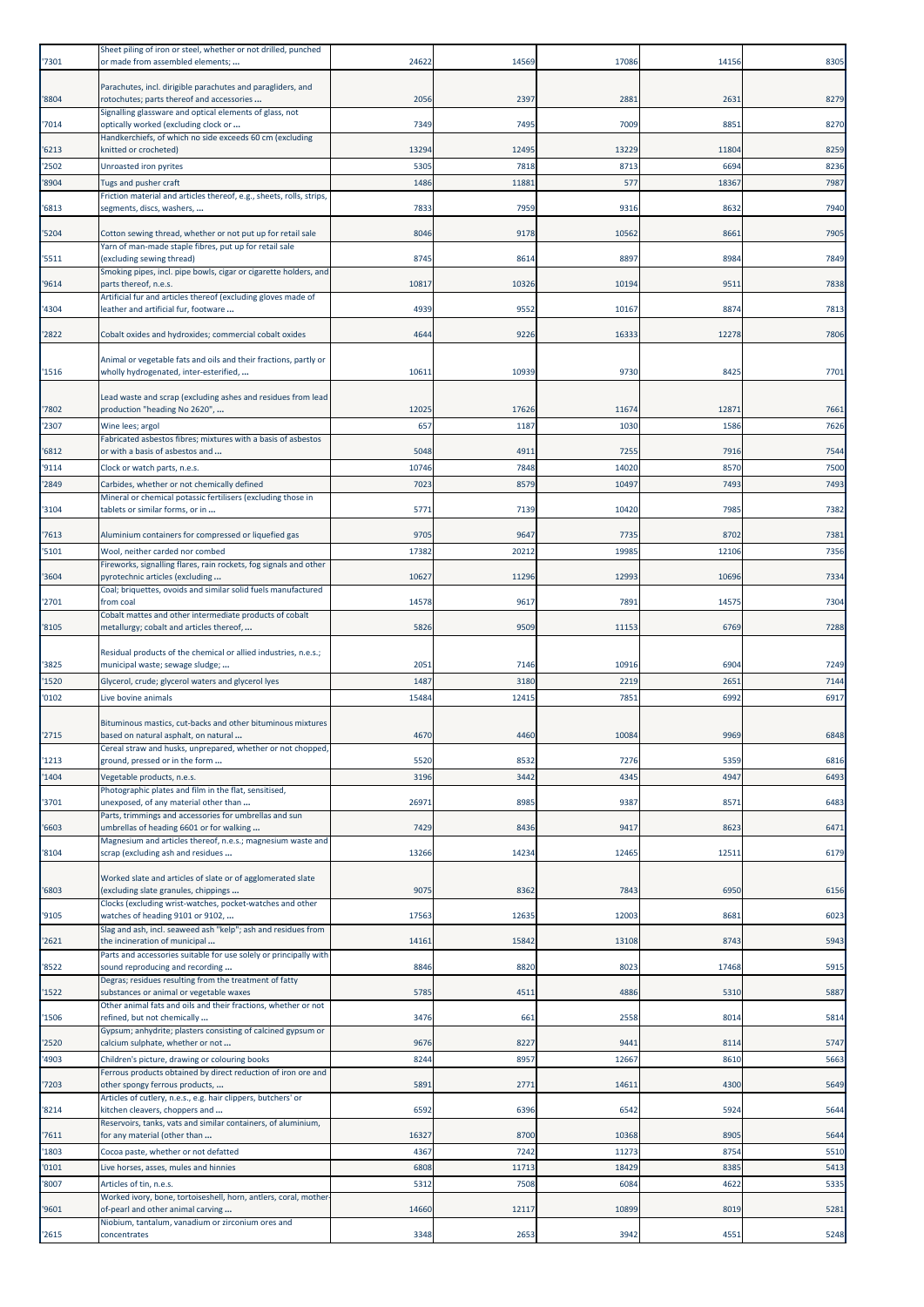| '7301          | Sheet piling of iron or steel, whether or not drilled, punched<br>or made from assembled elements;                                                                 | 24622         | 14569         | 17086         | 14156        | 8305         |
|----------------|--------------------------------------------------------------------------------------------------------------------------------------------------------------------|---------------|---------------|---------------|--------------|--------------|
| '8804          | Parachutes, incl. dirigible parachutes and paragliders, and<br>rotochutes; parts thereof and accessories                                                           | 2056          | 2397          | 2881          | 2631         | 8279         |
| '7014          | Signalling glassware and optical elements of glass, not<br>optically worked (excluding clock or                                                                    | 7349          | 7495          | 7009          | 8851         | 8270         |
| '6213          | Handkerchiefs, of which no side exceeds 60 cm (excluding<br>knitted or crocheted)                                                                                  | 13294         | 12495         | 13229         | 11804        | 8259         |
| '2502          | Unroasted iron pyrites                                                                                                                                             | 5305          | 7818          | 8713          | 6694         | 8236         |
| '8904          | Tugs and pusher craft<br>Friction material and articles thereof, e.g., sheets, rolls, strips,                                                                      | 1486          | 11881         | 577           | 18367        | 7987         |
| '6813          | segments, discs, washers,                                                                                                                                          | 7833          | 7959          | 9316          | 8632         | 7940         |
| '5204          | Cotton sewing thread, whether or not put up for retail sale                                                                                                        | 8046          | 9178          | 10562         | 8661         | 7905         |
| '5511          | Yarn of man-made staple fibres, put up for retail sale<br>(excluding sewing thread)                                                                                | 8745          | 8614          | 8897          | 8984         | 7849         |
| '9614          | Smoking pipes, incl. pipe bowls, cigar or cigarette holders, and<br>parts thereof, n.e.s.                                                                          | 10817         | 10326         | 10194         | 9511         | 7838         |
| '4304          | Artificial fur and articles thereof (excluding gloves made of<br>leather and artificial fur, footware                                                              | 4939          | 9552          | 10167         | 8874         | 7813         |
| '2822          | Cobalt oxides and hydroxides; commercial cobalt oxides                                                                                                             | 4644          | 9226          | 16333         | 12278        | 7806         |
| '1516          | Animal or vegetable fats and oils and their fractions, partly or<br>wholly hydrogenated, inter-esterified,                                                         | 1061          | 10939         | 9730          | 8425         | 7701         |
| '7802          | Lead waste and scrap (excluding ashes and residues from lead<br>production "heading No 2620",                                                                      | 1202          | 17626         | 11674         | 12871        | 7661         |
| '2307          | Wine lees; argol                                                                                                                                                   | 657           | 1187          | 1030          | 1586         | 7626         |
| '6812          | Fabricated asbestos fibres; mixtures with a basis of asbestos<br>or with a basis of asbestos and                                                                   | 5048          | 4911          | 7255          | 7916         | 7544         |
| '9114          | Clock or watch parts, n.e.s.                                                                                                                                       | 10746         | 7848          | 14020         | 8570         | 7500         |
| '2849          | Carbides, whether or not chemically defined<br>Mineral or chemical potassic fertilisers (excluding those in                                                        | 702           | 8579          | 10497         | 7493         | 7493         |
| '3104          | tablets or similar forms, or in                                                                                                                                    | 5771          | 7139          | 10420         | 7985         | 7382         |
| '7613          | Aluminium containers for compressed or liquefied gas                                                                                                               | 9705          | 9647          | 7735          | 8702         | 7381         |
| '5101          | Wool, neither carded nor combed<br>Fireworks, signalling flares, rain rockets, fog signals and other                                                               | 17382         | 20212         | 19985         | 12106        | 7356         |
| '3604          | pyrotechnic articles (excluding<br>Coal; briquettes, ovoids and similar solid fuels manufactured                                                                   | 1062          | 11296         | 12993         | 10696        | 7334         |
| '2701          | from coal<br>Cobalt mattes and other intermediate products of cobalt                                                                                               | 14578         | 9617          | 7891          | 14575        | 7304         |
| '8105          | metallurgy; cobalt and articles thereof,                                                                                                                           | 5826          | 9509          | 11153         | 6769         | 7288         |
| '3825          | Residual products of the chemical or allied industries, n.e.s.;<br>municipal waste; sewage sludge;                                                                 | 2051          | 7146          | 10916         | 6904         | 7249         |
| '1520          | Glycerol, crude; glycerol waters and glycerol lyes                                                                                                                 | 1487          | 3180          | 2219          | 2651         | 7144         |
| '0102          | Live bovine animals                                                                                                                                                | 15484         | 12415         | 7851          | 6992         | 6917         |
| '2715          |                                                                                                                                                                    |               | 4460          | 10084         | 9969         | 6848         |
|                | Bituminous mastics, cut-backs and other bituminous mixtures<br>based on natural asphalt, on natural<br>Cereal straw and husks, unprepared, whether or not chopped, | 4670          |               |               |              |              |
| '1213          | ground, pressed or in the form                                                                                                                                     | 5520          | 8532          | 7276          | 5359         | 6816         |
| '1404          | Vegetable products, n.e.s.<br>Photographic plates and film in the flat, sensitised,                                                                                | 3196          | 3442          | 4345          | 4947         | 6493         |
| '3701          | unexposed, of any material other than<br>Parts, trimmings and accessories for umbrellas and sun                                                                    | 26971         | 8985          | 9387          | 8571         | 6483         |
| '6603          | umbrellas of heading 6601 or for walking                                                                                                                           | 7429          | 8436          | 9417          | 8623         | 6471         |
| '8104          | Magnesium and articles thereof, n.e.s.; magnesium waste and<br>scrap (excluding ash and residues                                                                   | 13266         | 14234         | 12465         | 12511        | 6179         |
| '6803          | Worked slate and articles of slate or of agglomerated slate<br>(excluding slate granules, chippings<br>Clocks (excluding wrist-watches, pocket-watches and other   | 9075          | 8362          | 7843          | 6950         | 6156         |
| '9105          | watches of heading 9101 or 9102,                                                                                                                                   | 17563         | 12635         | 12003         | 8681         | 6023         |
| '2621          | Slag and ash, incl. seaweed ash "kelp"; ash and residues from<br>the incineration of municipal                                                                     | 14161         | 15842         | 13108         | 8743         | 5943         |
| '8522          | Parts and accessories suitable for use solely or principally with<br>sound reproducing and recording                                                               | 8846          | 8820          | 8023          | 17468        | 5915         |
| 1522           | Degras; residues resulting from the treatment of fatty<br>substances or animal or vegetable waxes                                                                  | 5785          | 4511          | 4886          | 5310         | 5887         |
| '1506          | Other animal fats and oils and their fractions, whether or not<br>refined, but not chemically                                                                      | 3476          | 661           | 2558          | 8014         | 5814         |
| '2520          | Gypsum; anhydrite; plasters consisting of calcined gypsum or<br>calcium sulphate, whether or not                                                                   | 9676          | 8227          | 9441          | 8114         | 5747         |
| '4903          | Children's picture, drawing or colouring books                                                                                                                     | 8244          | 8957          | 12667         | 8610         | 5663         |
| '7203          | Ferrous products obtained by direct reduction of iron ore and<br>other spongy ferrous products,                                                                    | 5891          | 2771          | 14611         | 4300         | 5649         |
| '8214          | Articles of cutlery, n.e.s., e.g. hair clippers, butchers' or<br>kitchen cleavers, choppers and                                                                    | 6592          | 6396          | 6542          | 5924         | 5644         |
| '7611          | Reservoirs, tanks, vats and similar containers, of aluminium,<br>for any material (other than                                                                      | 16327         | 8700          | 10368         | 8905         | 5644         |
| '1803          | Cocoa paste, whether or not defatted                                                                                                                               | 4367          | 7242          | 11273         | 8754         | 5510         |
| '0101<br>'8007 | Live horses, asses, mules and hinnies<br>Articles of tin, n.e.s.                                                                                                   | 6808<br>5312  | 11713<br>7508 | 18429<br>6084 | 8385<br>4622 | 5413<br>5335 |
|                | Worked ivory, bone, tortoiseshell, horn, antlers, coral, mother                                                                                                    |               |               |               |              |              |
| '9601<br>'2615 | of-pearl and other animal carving<br>Niobium, tantalum, vanadium or zirconium ores and<br>concentrates                                                             | 14660<br>3348 | 12117<br>2653 | 10899<br>3942 | 8019<br>4551 | 5281<br>5248 |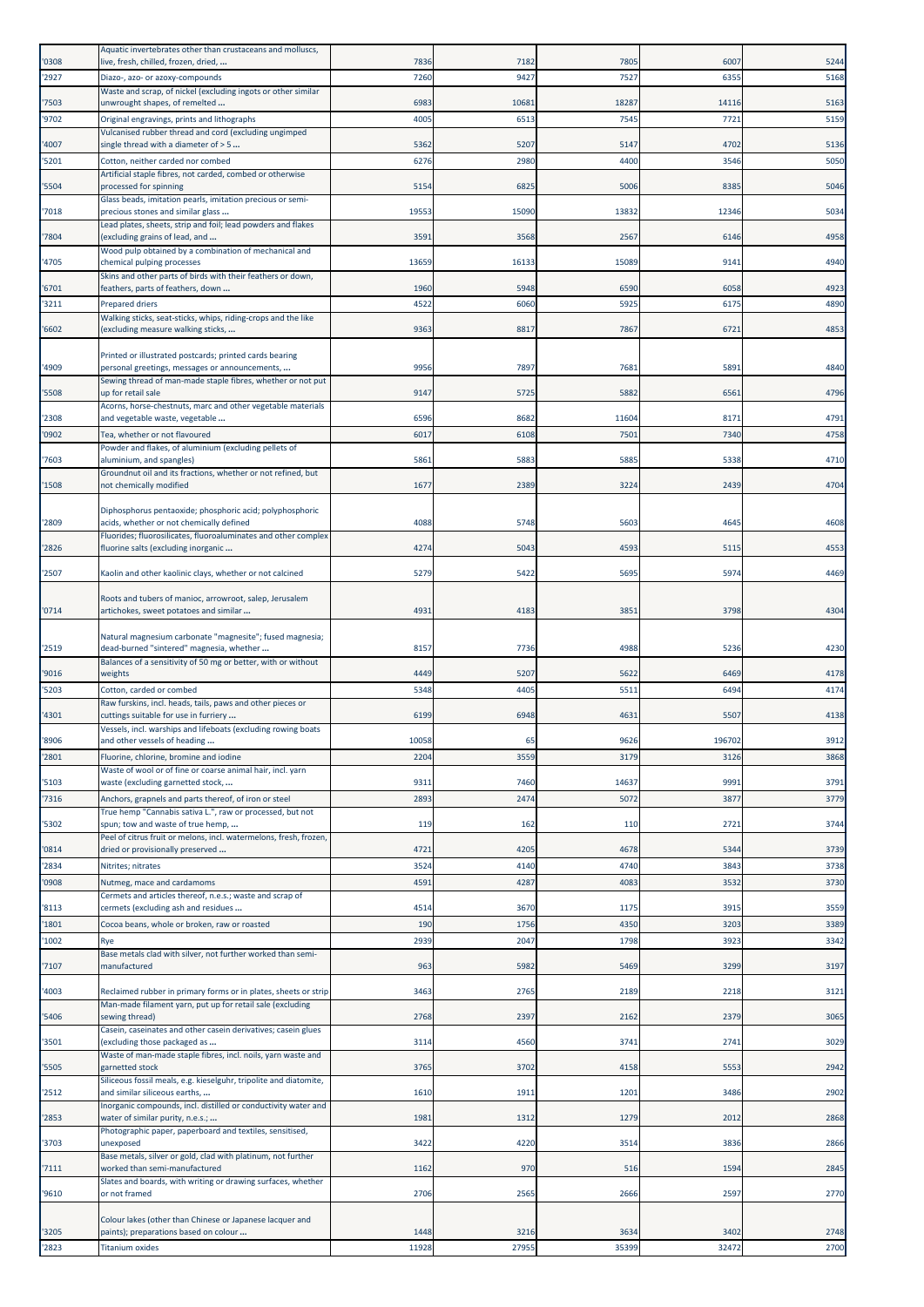| '0308          | Aquatic invertebrates other than crustaceans and molluscs,<br>live, fresh, chilled, frozen, dried,                 | 7836         | 7182          | 7805          | 6007          | 5244         |
|----------------|--------------------------------------------------------------------------------------------------------------------|--------------|---------------|---------------|---------------|--------------|
| '2927          | Diazo-, azo- or azoxy-compounds                                                                                    | 7260         | 9427          | 7527          | 6355          | 5168         |
|                | Waste and scrap, of nickel (excluding ingots or other similar                                                      |              |               |               |               |              |
| '7503<br>'9702 | unwrought shapes, of remelted<br>Original engravings, prints and lithographs                                       | 6983<br>4005 | 10681<br>6513 | 18287<br>7545 | 14116<br>7721 | 5163<br>5159 |
|                | Vulcanised rubber thread and cord (excluding ungimped                                                              |              |               |               |               |              |
| '4007          | single thread with a diameter of $>$ 5                                                                             | 5362         | 5207          | 5147          | 4702          | 5136         |
| 5201           | Cotton, neither carded nor combed<br>Artificial staple fibres, not carded, combed or otherwise                     | 6276         | 2980          | 4400          | 3546          | 5050         |
| '5504          | processed for spinning<br>Glass beads, imitation pearls, imitation precious or semi-                               | 5154         | 6825          | 5006          | 8385          | 5046         |
| '7018          | precious stones and similar glass                                                                                  | 19553        | 15090         | 13832         | 12346         | 5034         |
| '7804          | Lead plates, sheets, strip and foil; lead powders and flakes<br>(excluding grains of lead, and                     | 3591         | 3568          | 2567          | 6146          | 4958         |
| '4705          | Wood pulp obtained by a combination of mechanical and<br>chemical pulping processes                                | 13659        | 16133         | 15089         | 9141          | 4940         |
| '6701          | Skins and other parts of birds with their feathers or down,<br>feathers, parts of feathers, down                   | 1960         | 5948          | 6590          | 6058          | 4923         |
| '3211          | <b>Prepared driers</b>                                                                                             | 4522         | 6060          | 5925          | 6175          | 4890         |
| '6602          | Walking sticks, seat-sticks, whips, riding-crops and the like<br>(excluding measure walking sticks,                | 9363         | 8817          | 7867          | 6721          | 4853         |
|                |                                                                                                                    |              |               |               |               |              |
| '4909          | Printed or illustrated postcards; printed cards bearing<br>personal greetings, messages or announcements,          | 9956         | 7897          | 7681          | 5891          | 4840         |
| 5508           | Sewing thread of man-made staple fibres, whether or not put<br>up for retail sale                                  | 9147         | 5725          | 5882          | 6561          | 4796         |
|                | Acorns, horse-chestnuts, marc and other vegetable materials                                                        |              |               |               |               |              |
| '2308<br>'0902 | and vegetable waste, vegetable<br>Tea, whether or not flavoured                                                    | 6596<br>6017 | 8682<br>6108  | 11604<br>7501 | 8171<br>7340  | 4791<br>4758 |
|                | Powder and flakes, of aluminium (excluding pellets of                                                              |              |               |               |               |              |
| 7603           | aluminium, and spangles)<br>Groundnut oil and its fractions, whether or not refined, but                           | 5861         | 5883          | 5885          | 5338          | 4710         |
| '1508          | not chemically modified                                                                                            | 1677         | 2389          | 3224          | 2439          | 4704         |
| '2809          | Diphosphorus pentaoxide; phosphoric acid; polyphosphoric<br>acids, whether or not chemically defined               | 4088         | 5748          | 5603          | 4645          | 4608         |
| '2826          | Fluorides; fluorosilicates, fluoroaluminates and other complex<br>fluorine salts (excluding inorganic              | 4274         | 5043          | 4593          | 5115          | 4553         |
| '2507          | Kaolin and other kaolinic clays, whether or not calcined                                                           | 5279         | 5422          | 5695          | 5974          | 4469         |
|                | Roots and tubers of manioc, arrowroot, salep, Jerusalem                                                            |              |               |               |               |              |
| '0714          | artichokes, sweet potatoes and similar                                                                             | 4931         | 4183          | 3851          | 3798          | 4304         |
| '2519          | Natural magnesium carbonate "magnesite"; fused magnesia;<br>dead-burned "sintered" magnesia, whether               | 8157         | 7736          | 4988          | 5236          | 4230         |
| '9016          | Balances of a sensitivity of 50 mg or better, with or without<br>weights                                           | 4449         | 5207          | 5622          | 6469          | 4178         |
| 5203           | Cotton, carded or combed                                                                                           | 5348         | 4405          | 5511          | 6494          | 4174         |
|                | Raw furskins, incl. heads, tails, paws and other pieces or                                                         |              |               |               |               |              |
| '4301          | cuttings suitable for use in furriery<br>Vessels, incl. warships and lifeboats (excluding rowing boats             | 6199         | 6948          | 4631          | 5507          | 4138         |
| '8906          | and other vessels of heading                                                                                       | 10058        | 65            | 9626          | 196702        | 3912         |
| '2801          | Fluorine, chlorine, bromine and iodine<br>Waste of wool or of fine or coarse animal hair, incl. yarn               | 2204         | 3559          | 3179          | 3126          | 3868         |
| '5103          | waste (excluding garnetted stock,                                                                                  | 9311         | 7460          | 14637         | 9991          | 3791         |
| '7316          | Anchors, grapnels and parts thereof, of iron or steel<br>True hemp "Cannabis sativa L.", raw or processed, but not | 2893         | 2474          | 5072          | 3877          | 3779         |
| '5302          | spun; tow and waste of true hemp,                                                                                  | 119          | 162           | 110           | 2721          | 3744         |
| '0814          | Peel of citrus fruit or melons, incl. watermelons, fresh, frozen,<br>dried or provisionally preserved              | 4721         | 4205          | 4678          | 5344          | 3739         |
| '2834          | Nitrites; nitrates                                                                                                 | 3524         | 4140          | 4740          | 3843          | 3738         |
| '0908          | Nutmeg, mace and cardamoms                                                                                         | 4591         | 4287          | 4083          | 3532          | 3730         |
| '8113          | Cermets and articles thereof, n.e.s.; waste and scrap of<br>cermets (excluding ash and residues                    | 4514         | 3670          | 1175          | 3915          | 3559         |
| '1801          | Cocoa beans, whole or broken, raw or roasted                                                                       | 190          | 1756          | 4350          | 3203          | 3389         |
| '1002          | Rye                                                                                                                | 2939         | 2047          | 1798          | 3923          | 3342         |
| '7107          | Base metals clad with silver, not further worked than semi-<br>manufactured                                        | 963          | 5982          | 5469          | 3299          | 3197         |
| '4003          | Reclaimed rubber in primary forms or in plates, sheets or strip                                                    | 3463         | 2765          | 2189          | 2218          | 3121         |
| '5406          | Man-made filament yarn, put up for retail sale (excluding<br>sewing thread)                                        | 2768         | 2397          | 2162          | 2379          | 3065         |
| '3501          | Casein, caseinates and other casein derivatives; casein glues<br>(excluding those packaged as                      | 3114         | 4560          | 3741          | 2741          | 3029         |
| '5505          | Waste of man-made staple fibres, incl. noils, yarn waste and<br>garnetted stock                                    | 3765         | 3702          | 4158          | 5553          | 2942         |
| '2512          | Siliceous fossil meals, e.g. kieselguhr, tripolite and diatomite,<br>and similar siliceous earths,                 | 1610         | 1911          | 1201          | 3486          | 2902         |
| '2853          | Inorganic compounds, incl. distilled or conductivity water and<br>water of similar purity, n.e.s.;                 | 1981         | 1312          | 1279          | 2012          | 2868         |
| '3703          | Photographic paper, paperboard and textiles, sensitised,<br>unexposed                                              | 3422         | 4220          | 3514          | 3836          | 2866         |
| '7111          | Base metals, silver or gold, clad with platinum, not further<br>worked than semi-manufactured                      | 1162         | 970           | 516           | 1594          | 2845         |
| '9610          | Slates and boards, with writing or drawing surfaces, whether<br>or not framed                                      | 2706         | 2565          | 2666          | 2597          | 2770         |
| '3205          | Colour lakes (other than Chinese or Japanese lacquer and<br>paints); preparations based on colour                  | 1448         | 3216          | 3634          | 3402          | 2748         |
| '2823          | <b>Titanium oxides</b>                                                                                             | 11928        | 27955         | 35399         | 32472         | 2700         |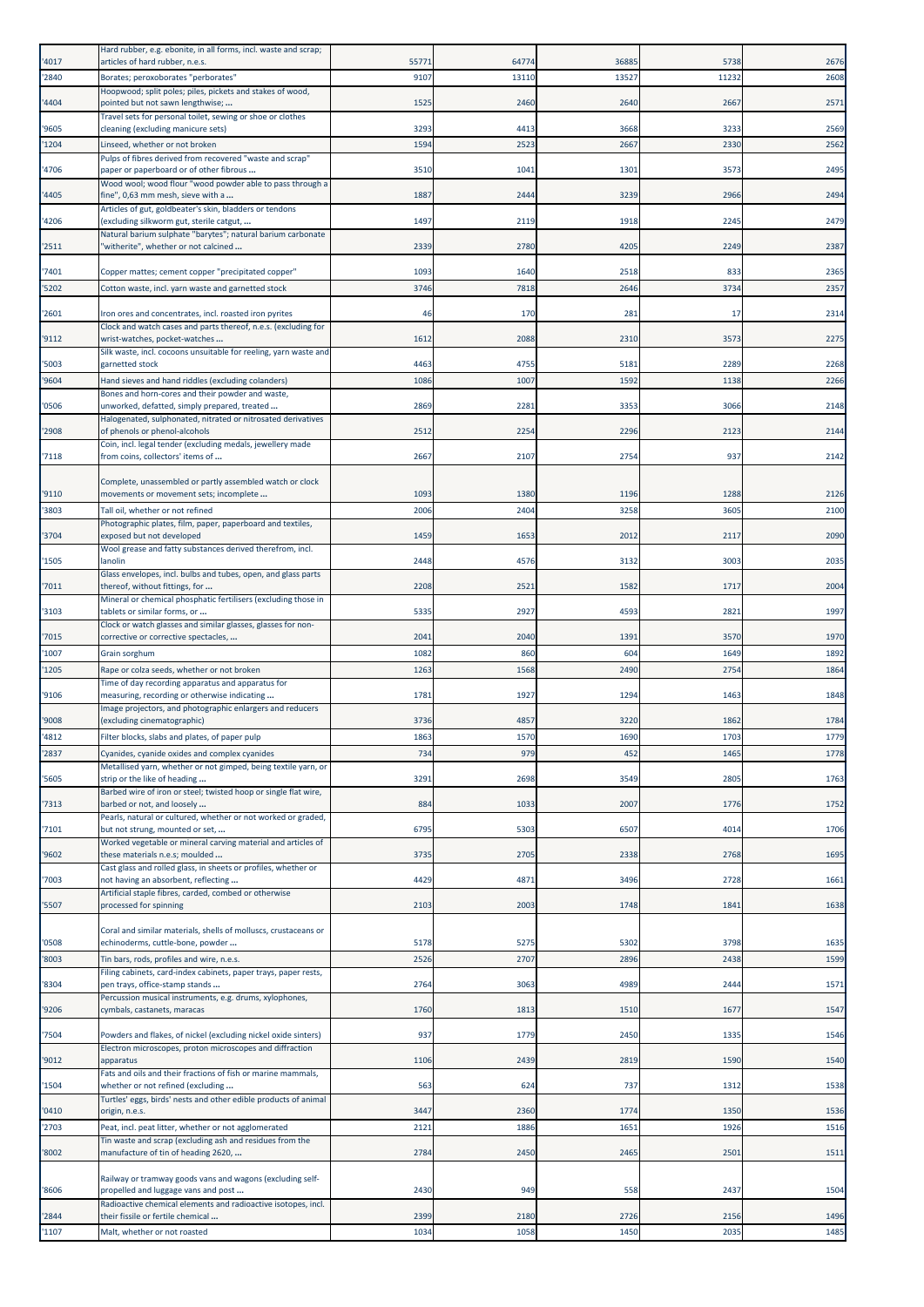| '4017 | Hard rubber, e.g. ebonite, in all forms, incl. waste and scrap;<br>articles of hard rubber, n.e.s.                         | 5577 | 64774 | 36885 | 5738  | 2676 |
|-------|----------------------------------------------------------------------------------------------------------------------------|------|-------|-------|-------|------|
| '2840 | Borates; peroxoborates "perborates"                                                                                        | 9107 | 13110 | 13527 | 11232 | 2608 |
|       | Hoopwood; split poles; piles, pickets and stakes of wood,                                                                  |      |       |       |       |      |
| '4404 | pointed but not sawn lengthwise;<br>Travel sets for personal toilet, sewing or shoe or clothes                             | 1525 | 2460  | 2640  | 2667  | 2571 |
| '9605 | cleaning (excluding manicure sets)                                                                                         | 3293 | 4413  | 3668  | 3233  | 2569 |
| '1204 | Linseed, whether or not broken<br>Pulps of fibres derived from recovered "waste and scrap"                                 | 1594 | 2523  | 2667  | 2330  | 2562 |
| '4706 | paper or paperboard or of other fibrous                                                                                    | 3510 | 1041  | 1301  | 3573  | 2495 |
| '4405 | Wood wool; wood flour "wood powder able to pass through a<br>fine", 0,63 mm mesh, sieve with a                             | 1887 | 2444  | 3239  | 2966  | 2494 |
|       | Articles of gut, goldbeater's skin, bladders or tendons                                                                    |      |       |       |       |      |
| '4206 | (excluding silkworm gut, sterile catgut,<br>Natural barium sulphate "barytes"; natural barium carbonate                    | 1497 | 2119  | 1918  | 2245  | 2479 |
| '2511 | 'witherite", whether or not calcined                                                                                       | 2339 | 2780  | 4205  | 2249  | 2387 |
| 7401  | Copper mattes; cement copper "precipitated copper"                                                                         | 1093 | 1640  | 2518  | 833   | 2365 |
| '5202 | Cotton waste, incl. yarn waste and garnetted stock                                                                         | 3746 | 7818  | 2646  | 3734  | 2357 |
| '2601 | Iron ores and concentrates, incl. roasted iron pyrites                                                                     | 46   | 170   | 281   | 17    | 2314 |
|       | Clock and watch cases and parts thereof, n.e.s. (excluding for                                                             |      |       |       |       |      |
| '9112 | wrist-watches, pocket-watches<br>Silk waste, incl. cocoons unsuitable for reeling, yarn waste and                          | 1612 | 2088  | 2310  | 3573  | 2275 |
| '5003 | garnetted stock                                                                                                            | 4463 | 4755  | 5181  | 2289  | 2268 |
| '9604 | Hand sieves and hand riddles (excluding colanders)<br>Bones and horn-cores and their powder and waste,                     | 1086 | 1007  | 1592  | 1138  | 2266 |
| '0506 | unworked, defatted, simply prepared, treated                                                                               | 2869 | 2281  | 3353  | 3066  | 2148 |
| '2908 | Halogenated, sulphonated, nitrated or nitrosated derivatives<br>of phenols or phenol-alcohols                              | 2512 | 2254  | 2296  | 2123  | 2144 |
|       | Coin, incl. legal tender (excluding medals, jewellery made                                                                 |      |       |       |       |      |
| '7118 | from coins, collectors' items of                                                                                           | 2667 | 2107  | 2754  | 937   | 2142 |
| '9110 | Complete, unassembled or partly assembled watch or clock<br>movements or movement sets; incomplete                         | 1093 | 1380  | 1196  | 1288  | 2126 |
| '3803 | Tall oil, whether or not refined                                                                                           | 2006 | 2404  | 3258  | 3605  | 2100 |
|       | Photographic plates, film, paper, paperboard and textiles,                                                                 |      |       |       |       |      |
| '3704 | exposed but not developed<br>Wool grease and fatty substances derived therefrom, incl.                                     | 1459 | 1653  | 2012  | 2117  | 2090 |
| '1505 | lanolin<br>Glass envelopes, incl. bulbs and tubes, open, and glass parts                                                   | 2448 | 4576  | 3132  | 3003  | 2035 |
| '7011 | thereof, without fittings, for                                                                                             | 2208 | 2521  | 1582  | 1717  | 2004 |
| '3103 | Mineral or chemical phosphatic fertilisers (excluding those in<br>tablets or similar forms, or                             | 5335 | 2927  | 4593  | 2821  | 1997 |
| '7015 | Clock or watch glasses and similar glasses, glasses for non-<br>corrective or corrective spectacles,                       | 2041 | 2040  | 1391  | 3570  | 1970 |
| 1007  | Grain sorghum                                                                                                              | 1082 | 860   | 604   | 1649  | 1892 |
| '1205 | Rape or colza seeds, whether or not broken                                                                                 | 1263 | 1568  | 2490  | 2754  | 1864 |
| '9106 | Time of day recording apparatus and apparatus for<br>measuring, recording or otherwise indicating                          | 1781 | 1927  | 1294  | 1463  | 1848 |
| '9008 | Image projectors, and photographic enlargers and reducers<br>(excluding cinematographic)                                   | 3736 | 4857  | 3220  | 1862  | 1784 |
| '4812 | Filter blocks, slabs and plates, of paper pulp                                                                             | 1863 | 1570  | 1690  | 1703  | 1779 |
| '2837 | Cyanides, cyanide oxides and complex cyanides                                                                              | 734  | 979   | 452   | 1465  | 1778 |
| '5605 | Metallised yarn, whether or not gimped, being textile yarn, or<br>strip or the like of heading                             | 3291 | 2698  | 3549  | 2805  | 1763 |
|       | Barbed wire of iron or steel; twisted hoop or single flat wire,                                                            |      |       |       |       |      |
| '7313 | barbed or not, and loosely<br>Pearls, natural or cultured, whether or not worked or graded,                                | 884  | 1033  | 2007  | 1776  | 1752 |
| '7101 | but not strung, mounted or set,<br>Worked vegetable or mineral carving material and articles of                            | 6795 | 5303  | 6507  | 4014  | 1706 |
| '9602 | these materials n.e.s; moulded                                                                                             | 3735 | 2705  | 2338  | 2768  | 1695 |
| '7003 | Cast glass and rolled glass, in sheets or profiles, whether or<br>not having an absorbent, reflecting                      | 4429 | 4871  | 3496  | 2728  | 1661 |
|       | Artificial staple fibres, carded, combed or otherwise                                                                      |      |       |       |       |      |
| '5507 | processed for spinning                                                                                                     | 2103 | 2003  | 1748  | 1841  | 1638 |
| '0508 | Coral and similar materials, shells of molluscs, crustaceans or<br>echinoderms, cuttle-bone, powder                        | 5178 | 5275  | 5302  | 3798  | 1635 |
| '8003 | Tin bars, rods, profiles and wire, n.e.s.                                                                                  | 2526 | 2707  | 2896  | 2438  | 1599 |
|       | Filing cabinets, card-index cabinets, paper trays, paper rests,                                                            | 2764 | 3063  | 4989  | 2444  | 1571 |
| '8304 | pen trays, office-stamp stands<br>Percussion musical instruments, e.g. drums, xylophones,                                  |      |       |       |       |      |
| '9206 | cymbals, castanets, maracas                                                                                                | 1760 | 1813  | 1510  | 1677  | 1547 |
| 7504  | Powders and flakes, of nickel (excluding nickel oxide sinters)<br>Electron microscopes, proton microscopes and diffraction | 937  | 1779  | 2450  | 1335  | 1546 |
| '9012 | apparatus<br>Fats and oils and their fractions of fish or marine mammals,                                                  | 1106 | 2439  | 2819  | 1590  | 1540 |
| '1504 | whether or not refined (excluding<br>Turtles' eggs, birds' nests and other edible products of animal                       | 563  | 624   | 737   | 1312  | 1538 |
| '0410 | origin, n.e.s.                                                                                                             | 3447 | 2360  | 1774  | 1350  | 1536 |
| '2703 | Peat, incl. peat litter, whether or not agglomerated<br>Tin waste and scrap (excluding ash and residues from the           | 2121 | 1886  | 1651  | 1926  | 1516 |
| '8002 | manufacture of tin of heading 2620,                                                                                        | 2784 | 2450  | 2465  | 2501  | 1511 |
|       | Railway or tramway goods vans and wagons (excluding self-                                                                  |      |       |       |       |      |
| '8606 | propelled and luggage vans and post<br>Radioactive chemical elements and radioactive isotopes, incl.                       | 2430 | 949   | 558   | 2437  | 1504 |
| '2844 | their fissile or fertile chemical                                                                                          | 2399 | 2180  | 2726  | 2156  | 1496 |
| '1107 | Malt, whether or not roasted                                                                                               | 1034 | 1058  | 1450  | 2035  | 1485 |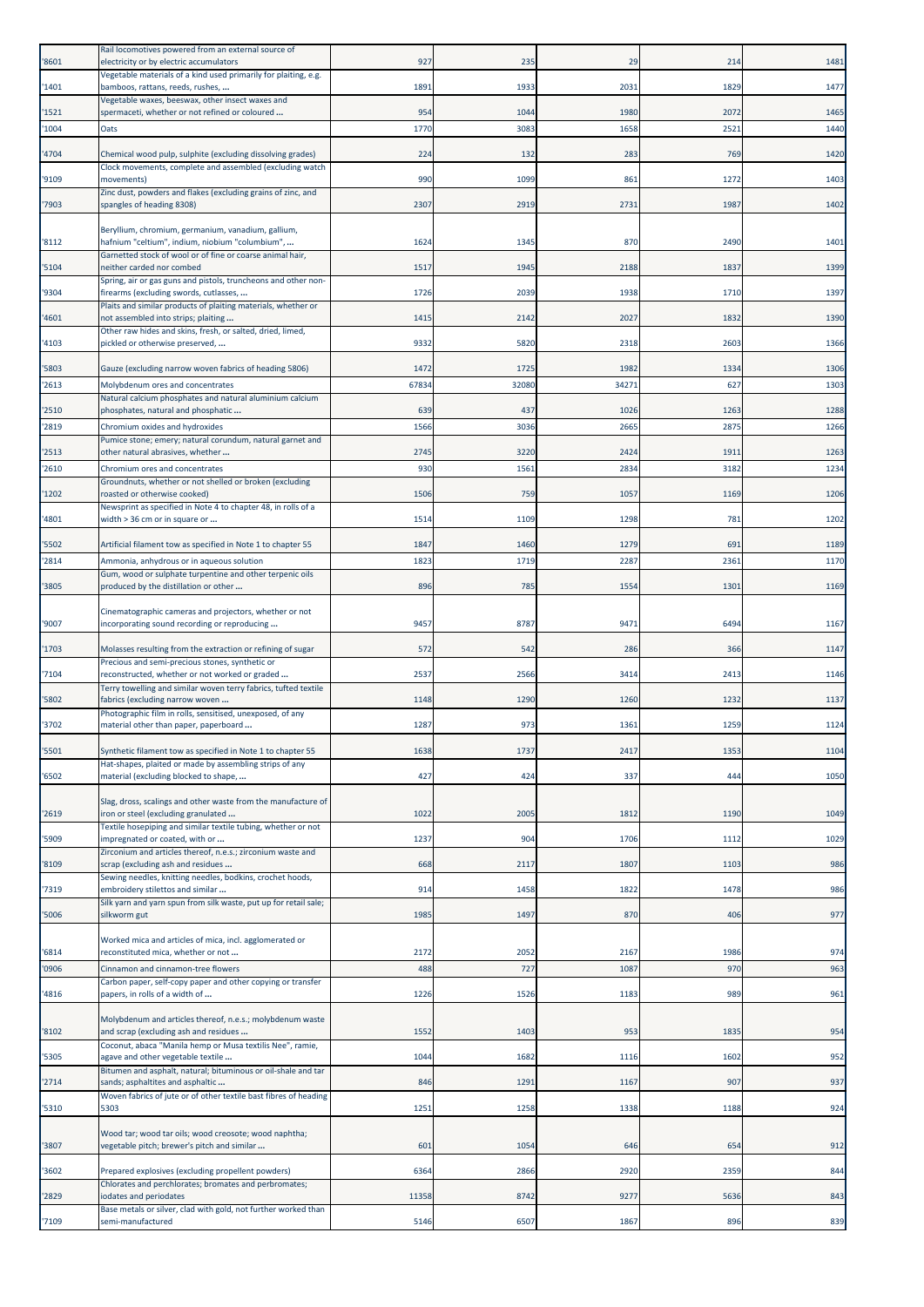| '8601 | Rail locomotives powered from an external source of<br>electricity or by electric accumulators                 | 927   | 235   | 29    | 214  | 1481 |
|-------|----------------------------------------------------------------------------------------------------------------|-------|-------|-------|------|------|
| '1401 | Vegetable materials of a kind used primarily for plaiting, e.g.<br>bamboos, rattans, reeds, rushes,            | 1891  | 1933  | 2031  | 1829 | 1477 |
| '1521 | Vegetable waxes, beeswax, other insect waxes and<br>spermaceti, whether or not refined or coloured             | 954   | 1044  | 1980  | 2072 | 1465 |
| '1004 | Oats                                                                                                           | 1770  | 3083  | 1658  | 2521 | 1440 |
| '4704 | Chemical wood pulp, sulphite (excluding dissolving grades)                                                     | 224   | 132   | 283   | 769  | 1420 |
| '9109 | Clock movements, complete and assembled (excluding watch<br>movements)                                         | 990   | 1099  | 861   | 1272 | 1403 |
| '7903 | Zinc dust, powders and flakes (excluding grains of zinc, and<br>spangles of heading 8308)                      | 2307  | 2919  | 2731  | 1987 | 1402 |
|       | Beryllium, chromium, germanium, vanadium, gallium,                                                             |       |       |       |      |      |
| '8112 | hafnium "celtium", indium, niobium "columbium",<br>Garnetted stock of wool or of fine or coarse animal hair,   | 1624  | 1345  | 87C   | 2490 | 1401 |
| '5104 | neither carded nor combed                                                                                      | 1517  | 1945  | 2188  | 1837 | 1399 |
| '9304 | Spring, air or gas guns and pistols, truncheons and other non-<br>firearms (excluding swords, cutlasses,       | 1726  | 2039  | 1938  | 1710 | 1397 |
| '4601 | Plaits and similar products of plaiting materials, whether or<br>not assembled into strips; plaiting           | 1415  | 2142  | 2027  | 1832 | 1390 |
| '4103 | Other raw hides and skins, fresh, or salted, dried, limed,<br>pickled or otherwise preserved,                  | 9332  | 5820  | 2318  | 2603 | 1366 |
| '5803 | Gauze (excluding narrow woven fabrics of heading 5806)                                                         | 1472  | 1725  | 1982  | 1334 | 1306 |
| '2613 | Molybdenum ores and concentrates                                                                               | 67834 | 32080 | 34271 | 627  | 1303 |
| '2510 | Natural calcium phosphates and natural aluminium calcium<br>phosphates, natural and phosphatic                 | 639   | 437   | 1026  | 1263 | 1288 |
| '2819 | Chromium oxides and hydroxides                                                                                 | 1566  | 3036  | 2665  | 2875 | 1266 |
| '2513 | Pumice stone; emery; natural corundum, natural garnet and<br>other natural abrasives, whether                  | 2745  | 3220  | 2424  | 1911 | 1263 |
| '2610 | Chromium ores and concentrates<br>Groundnuts, whether or not shelled or broken (excluding                      | 930   | 1561  | 2834  | 3182 | 1234 |
| '1202 | roasted or otherwise cooked)                                                                                   | 1506  | 759   | 1057  | 1169 | 1206 |
| '4801 | Newsprint as specified in Note 4 to chapter 48, in rolls of a<br>width > 36 cm or in square or                 | 1514  | 1109  | 1298  | 781  | 1202 |
| '5502 | Artificial filament tow as specified in Note 1 to chapter 55                                                   | 1847  | 1460  | 1279  | 691  | 1189 |
| '2814 | Ammonia, anhydrous or in aqueous solution                                                                      | 1823  | 1719  | 2287  | 2361 | 1170 |
| '3805 | Gum, wood or sulphate turpentine and other terpenic oils<br>produced by the distillation or other              | 896   | 785   | 1554  | 1301 | 1169 |
|       | Cinematographic cameras and projectors, whether or not                                                         |       |       |       |      |      |
| '9007 | incorporating sound recording or reproducing                                                                   | 9457  | 8787  | 9471  | 6494 | 1167 |
| '1703 | Molasses resulting from the extraction or refining of sugar<br>Precious and semi-precious stones, synthetic or | 572   | 542   | 286   | 366  | 1147 |
| '7104 | reconstructed, whether or not worked or graded                                                                 | 2537  | 2566  | 3414  | 2413 | 1146 |
| '5802 | Terry towelling and similar woven terry fabrics, tufted textile<br>fabrics (excluding narrow woven             | 1148  | 1290  | 1260  | 1232 | 1137 |
| '3702 | Photographic film in rolls, sensitised, unexposed, of any<br>material other than paper, paperboard             | 1287  | 973   | 1361  | 1259 | 1124 |
| '5501 | Synthetic filament tow as specified in Note 1 to chapter 55                                                    | 1638  | 1737  | 2417  | 1353 | 1104 |
| '6502 | Hat-shapes, plaited or made by assembling strips of any<br>material (excluding blocked to shape,               | 427   | 424   | 337   | 444  | 1050 |
|       | Slag, dross, scalings and other waste from the manufacture of                                                  |       |       |       |      |      |
| '2619 | iron or steel (excluding granulated                                                                            | 1022  | 2005  | 1812  | 1190 | 1049 |
| '5909 | Textile hosepiping and similar textile tubing, whether or not<br>impregnated or coated, with or                | 1237  | 904   | 1706  | 1112 | 1029 |
| '8109 | Zirconium and articles thereof, n.e.s.; zirconium waste and<br>scrap (excluding ash and residues               | 668   | 2117  | 1807  | 1103 | 986  |
| '7319 | Sewing needles, knitting needles, bodkins, crochet hoods,<br>embroidery stilettos and similar                  | 914   | 1458  | 1822  | 1478 | 986  |
| '5006 | Silk yarn and yarn spun from silk waste, put up for retail sale;<br>silkworm gut                               | 1985  | 1497  | 870   | 406  | 977  |
|       | Worked mica and articles of mica, incl. agglomerated or                                                        |       |       |       |      |      |
| '6814 | reconstituted mica, whether or not                                                                             | 2172  | 2052  | 2167  | 1986 | 974  |
| '0906 | Cinnamon and cinnamon-tree flowers<br>Carbon paper, self-copy paper and other copying or transfer              | 488   | 727   | 1087  | 970  | 963  |
| '4816 | papers, in rolls of a width of                                                                                 | 1226  | 1526  | 1183  | 989  | 961  |
| '8102 | Molybdenum and articles thereof, n.e.s.; molybdenum waste<br>and scrap (excluding ash and residues             | 1552  | 1403  | 953   | 1835 | 954  |
| '5305 | Coconut, abaca "Manila hemp or Musa textilis Nee", ramie,<br>agave and other vegetable textile                 | 1044  | 1682  | 1116  | 1602 | 952  |
|       | Bitumen and asphalt, natural; bituminous or oil-shale and tar<br>sands; asphaltites and asphaltic              | 846   | 1291  |       | 907  | 937  |
| '2714 | Woven fabrics of jute or of other textile bast fibres of heading                                               |       |       | 1167  |      |      |
| '5310 | 5303                                                                                                           | 1251  | 1258  | 1338  | 1188 | 924  |
| '3807 | Wood tar; wood tar oils; wood creosote; wood naphtha;<br>vegetable pitch; brewer's pitch and similar           | 601   | 1054  | 646   | 654  | 912  |
| '3602 | Prepared explosives (excluding propellent powders)                                                             | 6364  | 2866  | 2920  | 2359 | 844  |
| '2829 | Chlorates and perchlorates; bromates and perbromates;<br>iodates and periodates                                | 11358 | 8742  | 9277  | 5636 | 843  |
|       | Base metals or silver, clad with gold, not further worked than                                                 |       |       |       |      |      |
| '7109 | semi-manufactured                                                                                              | 5146  | 6507  | 1867  | 896  | 839  |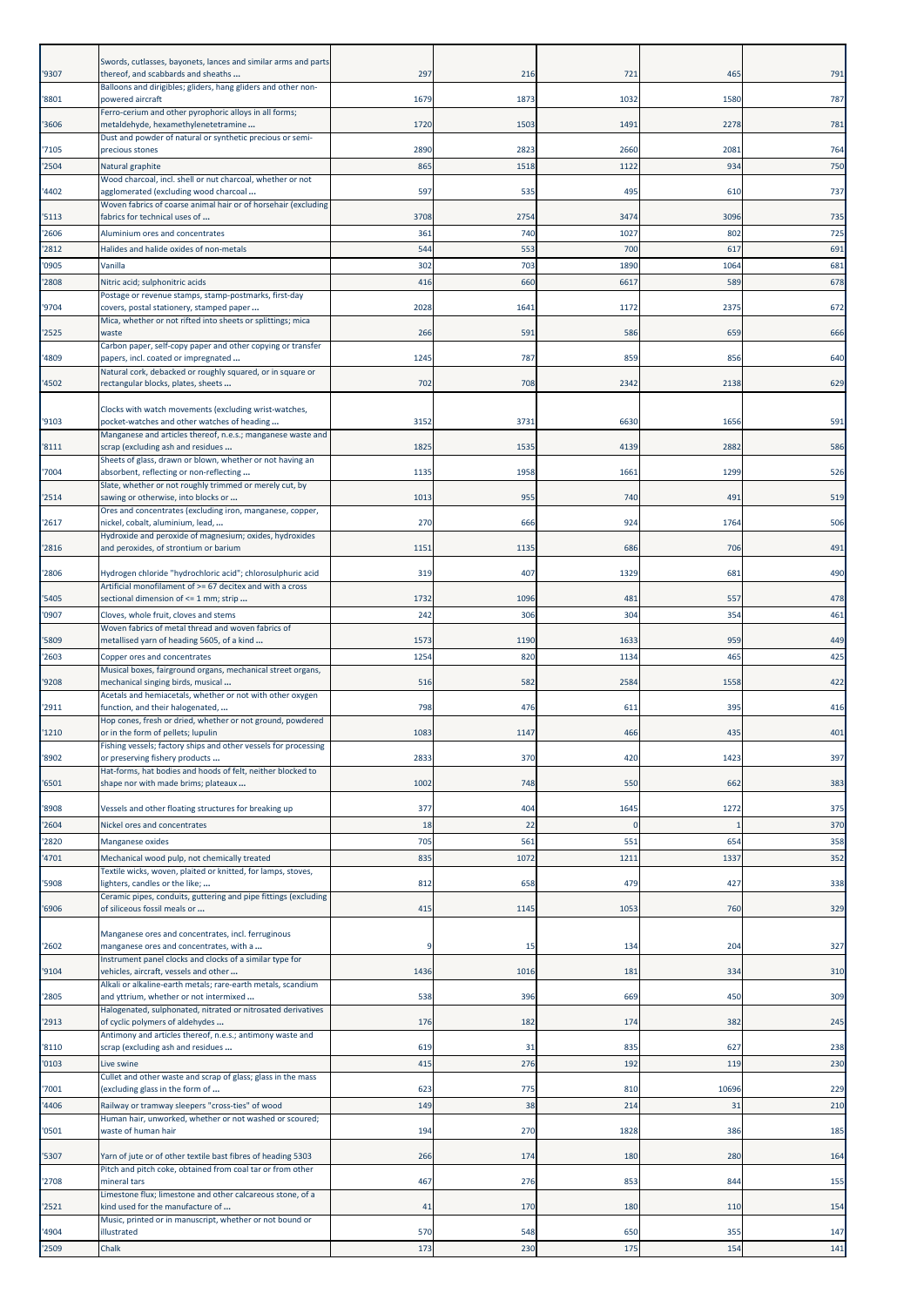|       | Swords, cutlasses, bayonets, lances and similar arms and parts                                               |      |      |             |              |     |
|-------|--------------------------------------------------------------------------------------------------------------|------|------|-------------|--------------|-----|
| '9307 | thereof, and scabbards and sheaths<br>Balloons and dirigibles; gliders, hang gliders and other non-          | 297  | 216  | 721         | 465          | 791 |
| '8801 | powered aircraft                                                                                             | 1679 | 1873 | 1032        | 1580         | 787 |
|       | Ferro-cerium and other pyrophoric alloys in all forms;                                                       |      |      |             |              |     |
| '3606 | metaldehyde, hexamethylenetetramine<br>Dust and powder of natural or synthetic precious or semi-             | 1720 | 1503 | 1491        | 2278         | 781 |
| 7105  | precious stones                                                                                              | 2890 | 2823 | 2660        | 2081         | 764 |
| '2504 | Natural graphite                                                                                             | 865  | 1518 | 1122        | 934          | 750 |
| 4402  | Wood charcoal, incl. shell or nut charcoal, whether or not<br>agglomerated (excluding wood charcoal          | 597  | 535  | 495         | 610          | 737 |
|       | Woven fabrics of coarse animal hair or of horsehair (excluding                                               |      |      |             |              |     |
| '5113 | fabrics for technical uses of                                                                                | 3708 | 2754 | 3474        | 3096         | 735 |
| '2606 | Aluminium ores and concentrates                                                                              | 361  | 740  | 1027        | 802          | 725 |
| '2812 | Halides and halide oxides of non-metals                                                                      | 544  | 553  | 700         | 617          | 691 |
| 0905  | Vanilla                                                                                                      | 302  | 703  | 1890        | 1064         | 681 |
| '2808 | Nitric acid; sulphonitric acids<br>Postage or revenue stamps, stamp-postmarks, first-day                     | 416  | 660  | 6617        | 589          | 678 |
| '9704 | covers, postal stationery, stamped paper                                                                     | 2028 | 1641 | 1172        | 2375         | 672 |
|       | Mica, whether or not rifted into sheets or splittings; mica                                                  |      |      |             |              |     |
| '2525 | waste<br>Carbon paper, self-copy paper and other copying or transfer                                         | 266  | 591  | 586         | 659          | 666 |
| 4809  | papers, incl. coated or impregnated                                                                          | 1245 | 787  | 859         | 856          | 640 |
|       | Natural cork, debacked or roughly squared, or in square or                                                   |      | 708  | 2342        | 2138         | 629 |
| '4502 | rectangular blocks, plates, sheets                                                                           | 702  |      |             |              |     |
|       | Clocks with watch movements (excluding wrist-watches,                                                        |      |      |             |              |     |
| '9103 | pocket-watches and other watches of heading<br>Manganese and articles thereof, n.e.s.; manganese waste and   | 3152 | 3731 | 6630        | 1656         | 591 |
| '8111 | scrap (excluding ash and residues                                                                            | 1825 | 1535 | 4139        | 2882         | 586 |
|       | Sheets of glass, drawn or blown, whether or not having an                                                    |      |      |             |              |     |
| '7004 | absorbent, reflecting or non-reflecting<br>Slate, whether or not roughly trimmed or merely cut, by           | 1135 | 1958 | 1661        | 1299         | 526 |
| '2514 | sawing or otherwise, into blocks or                                                                          | 1013 | 955  | 740         | 491          | 519 |
|       | Ores and concentrates (excluding iron, manganese, copper,                                                    | 270  | 666  | 924         | 1764         |     |
| '2617 | nickel, cobalt, aluminium, lead,<br>Hydroxide and peroxide of magnesium; oxides, hydroxides                  |      |      |             |              | 506 |
| '2816 | and peroxides, of strontium or barium                                                                        | 1151 | 1135 | 686         | 706          | 491 |
| '2806 | Hydrogen chloride "hydrochloric acid"; chlorosulphuric acid                                                  | 319  | 407  | 1329        | 681          | 490 |
|       | Artificial monofilament of >= 67 decitex and with a cross                                                    |      |      |             |              |     |
| '5405 | sectional dimension of <= 1 mm; strip                                                                        | 1732 | 1096 | 481         | 557          | 478 |
| '0907 | Cloves, whole fruit, cloves and stems                                                                        | 242  | 306  | 304         | 354          | 461 |
| 5809  | Woven fabrics of metal thread and woven fabrics of<br>metallised yarn of heading 5605, of a kind             | 1573 | 1190 | 1633        | 959          | 449 |
| '2603 | Copper ores and concentrates                                                                                 | 1254 | 820  | 1134        | 465          | 425 |
|       | Musical boxes, fairground organs, mechanical street organs,                                                  |      |      |             |              |     |
| '9208 | mechanical singing birds, musical<br>Acetals and hemiacetals, whether or not with other oxygen               | 516  | 582  | 2584        | 1558         | 422 |
| '2911 | function, and their halogenated,                                                                             | 798  | 476  | 611         | 395          | 416 |
|       | Hop cones, fresh or dried, whether or not ground, powdered                                                   |      |      |             |              |     |
| '1210 | or in the form of pellets; lupulin<br>Fishing vessels; factory ships and other vessels for processing        | 1083 | 1147 | 466         | 435          | 401 |
| '8902 | or preserving fishery products                                                                               | 2833 | 370  | 420         | 1423         | 397 |
| '6501 | Hat-forms, hat bodies and hoods of felt, neither blocked to                                                  | 1002 | 748  |             | 662          | 383 |
|       | shape nor with made brims; plateaux                                                                          |      |      | 550         |              |     |
| '8908 | Vessels and other floating structures for breaking up                                                        | 377  | 404  | 1645        | 1272         | 375 |
| '2604 | Nickel ores and concentrates                                                                                 | 18   | 22   | $\mathbf 0$ | $\mathbf{1}$ | 370 |
| '2820 | Manganese oxides                                                                                             | 705  | 561  | 551         | 654          | 358 |
| '4701 | Mechanical wood pulp, not chemically treated<br>Textile wicks, woven, plaited or knitted, for lamps, stoves, | 835  | 1072 | 1211        | 1337         | 352 |
| '5908 | lighters, candles or the like;                                                                               | 812  | 658  | 479         | 427          | 338 |
|       | Ceramic pipes, conduits, guttering and pipe fittings (excluding                                              |      |      |             |              |     |
| '6906 | of siliceous fossil meals or                                                                                 | 415  | 1145 | 1053        | 760          | 329 |
|       | Manganese ores and concentrates, incl. ferruginous                                                           |      |      |             |              |     |
| '2602 | manganese ores and concentrates, with a                                                                      |      | 15   | 134         | 204          | 327 |
| '9104 | Instrument panel clocks and clocks of a similar type for<br>vehicles, aircraft, vessels and other            | 1436 | 1016 | 181         | 334          | 310 |
|       | Alkali or alkaline-earth metals; rare-earth metals, scandium                                                 |      |      |             |              |     |
| '2805 | and yttrium, whether or not intermixed<br>Halogenated, sulphonated, nitrated or nitrosated derivatives       | 538  | 396  | 669         | 450          | 309 |
| '2913 | of cyclic polymers of aldehydes                                                                              | 176  | 182  | 174         | 382          | 245 |
|       | Antimony and articles thereof, n.e.s.; antimony waste and                                                    |      |      |             |              |     |
| '8110 | scrap (excluding ash and residues                                                                            | 619  | 31   | 835         | 627          | 238 |
| '0103 | Live swine<br>Cullet and other waste and scrap of glass; glass in the mass                                   | 415  | 276  | 192         | 119          | 230 |
| 7001  | (excluding glass in the form of                                                                              | 623  | 775  | 810         | 10696        | 229 |
| '4406 | Railway or tramway sleepers "cross-ties" of wood                                                             | 149  | 38   | 214         | 31           | 210 |
| '0501 | Human hair, unworked, whether or not washed or scoured;<br>waste of human hair                               | 194  | 270  | 1828        | 386          | 185 |
|       |                                                                                                              |      |      |             |              |     |
| '5307 | Yarn of jute or of other textile bast fibres of heading 5303                                                 | 266  | 174  | 180         | 280          | 164 |
| '2708 | Pitch and pitch coke, obtained from coal tar or from other<br>mineral tars                                   | 467  | 276  | 853         | 844          | 155 |
|       | Limestone flux; limestone and other calcareous stone, of a                                                   |      |      |             |              |     |
| '2521 | kind used for the manufacture of                                                                             | 41   | 170  | 180         | 110          | 154 |
| '4904 | Music, printed or in manuscript, whether or not bound or<br>illustrated                                      | 570  | 548  | 650         | 355          | 147 |
| '2509 | Chalk                                                                                                        | 173  | 230  | 175         | 154          | 141 |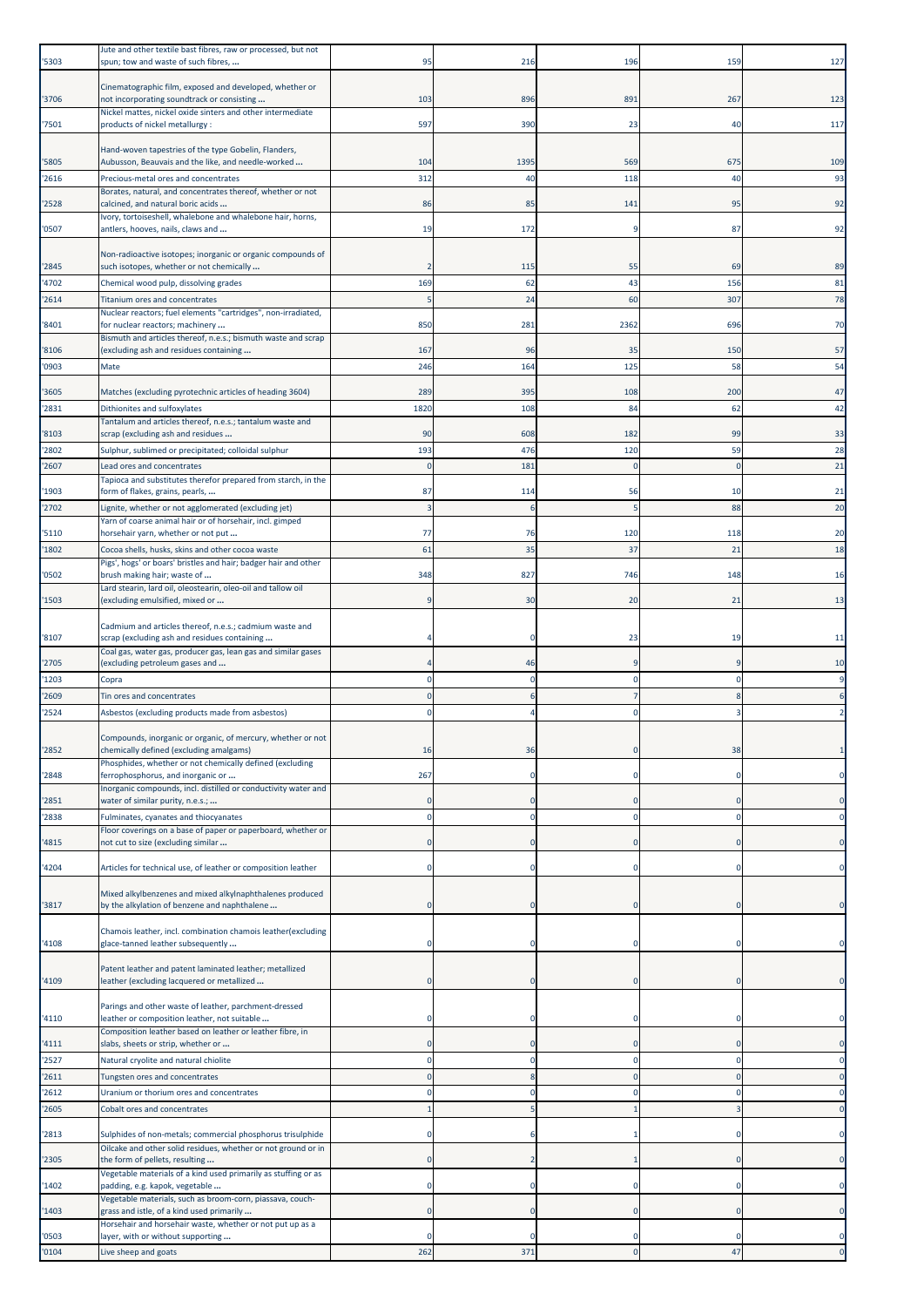| '5303          | Jute and other textile bast fibres, raw or processed, but not<br>spun; tow and waste of such fibres,    | 95         | 216        | 196          | 159          | 127       |
|----------------|---------------------------------------------------------------------------------------------------------|------------|------------|--------------|--------------|-----------|
| '3706          | Cinematographic film, exposed and developed, whether or<br>not incorporating soundtrack or consisting   | 103        | 896        | 891          | 267          | 123       |
| '7501          | Nickel mattes, nickel oxide sinters and other intermediate<br>products of nickel metallurgy :           | 597        | 390        | 23           | 40           | 117       |
|                | Hand-woven tapestries of the type Gobelin, Flanders,                                                    |            |            |              |              |           |
| '5805<br>'2616 | Aubusson, Beauvais and the like, and needle-worked<br>Precious-metal ores and concentrates              | 104<br>312 | 1395<br>40 | 569<br>118   | 675<br>40    | 109<br>93 |
|                | Borates, natural, and concentrates thereof, whether or not                                              |            |            |              |              |           |
| '2528          | calcined, and natural boric acids<br>Ivory, tortoiseshell, whalebone and whalebone hair, horns,         | 86         | 85         | 141          | 95           | 92        |
| '0507          | antlers, hooves, nails, claws and                                                                       | 19         | 172        | q            | 87           | 92        |
| '2845          | Non-radioactive isotopes; inorganic or organic compounds of<br>such isotopes, whether or not chemically |            | 115        | 55           | 69           | 89        |
| '4702          | Chemical wood pulp, dissolving grades                                                                   | 169        | 62         | 43           | 156          | 81        |
| '2614          | Titanium ores and concentrates<br>Nuclear reactors; fuel elements "cartridges", non-irradiated,         | .5         | 24         | 60           | 307          | 78        |
| '8401          | for nuclear reactors; machinery<br>Bismuth and articles thereof, n.e.s.; bismuth waste and scrap        | 850        | 281        | 2362         | 696          | 70        |
| '8106          | (excluding ash and residues containing                                                                  | 167        | 96         | 35           | 150          | 57        |
| '0903          | Mate                                                                                                    | 246        | 164        | 125          | 58           | 54        |
| '3605          | Matches (excluding pyrotechnic articles of heading 3604)                                                | 289        | 395        | 108          | 200          | 47        |
| '2831          | Dithionites and sulfoxylates<br>Tantalum and articles thereof, n.e.s.; tantalum waste and               | 1820       | 108        | 84           | 62           | 42        |
| '8103<br>'2802 | scrap (excluding ash and residues<br>Sulphur, sublimed or precipitated; colloidal sulphur               | 90<br>193  | 608<br>476 | 182<br>120   | 99<br>59     | 33<br>28  |
| '2607          | Lead ores and concentrates                                                                              | $\Omega$   | 181        | <sup>-</sup> | <sup>-</sup> | 21        |
| '1903          | Tapioca and substitutes therefor prepared from starch, in the<br>form of flakes, grains, pearls,        | 87         | 114        | 56           | 10           | 21        |
| '2702          | Lignite, whether or not agglomerated (excluding jet)                                                    |            | 6          |              | 88           | 20        |
| '5110          | Yarn of coarse animal hair or of horsehair, incl. gimped<br>horsehair yarn, whether or not put          | 77         | 76         | 120          | 118          | 20        |
| '1802          | Cocoa shells, husks, skins and other cocoa waste                                                        | 61         | 35         | 37           | 21           | 18        |
| '0502          | Pigs', hogs' or boars' bristles and hair; badger hair and other<br>brush making hair; waste of          | 348        | 827        | 746          | 148          | 16        |
| '1503          | Lard stearin, lard oil, oleostearin, oleo-oil and tallow oil<br>(excluding emulsified, mixed or         |            | 30         | 20           | 21           | 13        |
|                | Cadmium and articles thereof, n.e.s.; cadmium waste and                                                 |            |            |              |              |           |
| '8107          | scrap (excluding ash and residues containing                                                            |            |            | 23           | 19           | 11        |
| '2705          | Coal gas, water gas, producer gas, lean gas and similar gases<br>(excluding petroleum gases and         |            | 46         | q            | c            | 10        |
| '1203<br>'2609 | Copra<br>Tin ores and concentrates                                                                      |            | O<br>6     | 0<br>7       | 8            | 9         |
| '2524          | Asbestos (excluding products made from asbestos)                                                        |            |            | $\Omega$     |              |           |
| '2852          | Compounds, inorganic or organic, of mercury, whether or not<br>chemically defined (excluding amalgams)  | 16         | 36         |              | 38           |           |
| '2848          | Phosphides, whether or not chemically defined (excluding<br>ferrophosphorus, and inorganic or           | 267        |            |              |              |           |
|                | Inorganic compounds, incl. distilled or conductivity water and<br>water of similar purity, n.e.s.;      |            |            |              |              |           |
| '2851<br>'2838 | Fulminates, cyanates and thiocyanates                                                                   |            | $\Omega$   | C            | C            |           |
| '4815          | Floor coverings on a base of paper or paperboard, whether or<br>not cut to size (excluding similar      |            |            |              |              |           |
| '4204          | Articles for technical use, of leather or composition leather                                           |            |            | 0            |              |           |
|                | Mixed alkylbenzenes and mixed alkylnaphthalenes produced                                                |            |            |              |              |           |
| '3817          | by the alkylation of benzene and naphthalene                                                            |            |            |              | C.           |           |
| '4108          | Chamois leather, incl. combination chamois leather(excluding<br>glace-tanned leather subsequently       |            |            |              |              |           |
| '4109          | Patent leather and patent laminated leather; metallized<br>leather (excluding lacquered or metallized   |            |            |              |              |           |
| '4110          | Parings and other waste of leather, parchment-dressed<br>leather or composition leather, not suitable   |            |            |              |              |           |
| '4111          | Composition leather based on leather or leather fibre, in<br>slabs, sheets or strip, whether or         |            |            |              |              |           |
| '2527          | Natural cryolite and natural chiolite                                                                   |            |            |              |              |           |
| '2611<br>'2612 | Tungsten ores and concentrates<br>Uranium or thorium ores and concentrates                              |            |            |              |              |           |
| '2605          | Cobalt ores and concentrates                                                                            |            |            |              |              |           |
| '2813          | Sulphides of non-metals; commercial phosphorus trisulphide                                              |            |            |              |              |           |
| '2305          | Oilcake and other solid residues, whether or not ground or in<br>the form of pellets, resulting         |            |            |              |              |           |
|                | Vegetable materials of a kind used primarily as stuffing or as                                          |            |            |              |              |           |
| '1402          | padding, e.g. kapok, vegetable<br>Vegetable materials, such as broom-corn, piassava, couch-             |            |            |              |              |           |
| '1403          | grass and istle, of a kind used primarily<br>Horsehair and horsehair waste, whether or not put up as a  |            |            |              |              |           |
| '0503<br>'0104 | layer, with or without supporting<br>Live sheep and goats                                               | 262        | 371        |              | 47           |           |
|                |                                                                                                         |            |            |              |              |           |